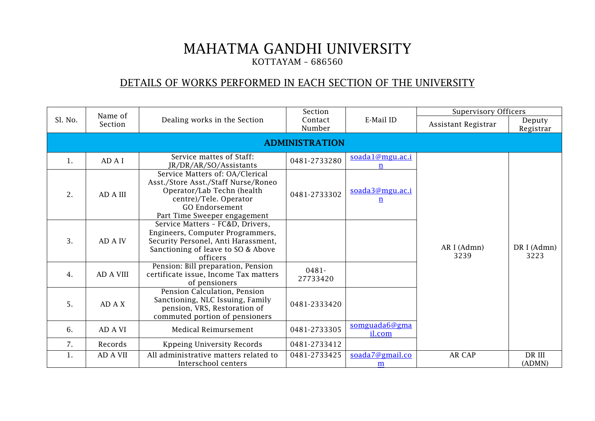## MAHATMA GANDHI UNIVERSITY KOTTAYAM – 686560

## DETAILS OF WORKS PERFORMED IN EACH SECTION OF THE UNIVERSITY

|         | Name of               |                                                                                                                                                                                         | Section              |                                    |                     | <b>Supervisory Officers</b> |  |  |
|---------|-----------------------|-----------------------------------------------------------------------------------------------------------------------------------------------------------------------------------------|----------------------|------------------------------------|---------------------|-----------------------------|--|--|
| Sl. No. | Section               | Dealing works in the Section                                                                                                                                                            | Contact<br>Number    | E-Mail ID                          | Assistant Registrar | Deputy<br>Registrar         |  |  |
|         | <b>ADMINISTRATION</b> |                                                                                                                                                                                         |                      |                                    |                     |                             |  |  |
| 1.      | AD A I                | Service mattes of Staff:<br>JR/DR/AR/SO/Assistants                                                                                                                                      | 0481-2733280         | soada1@mgu.ac.i<br>n               |                     |                             |  |  |
| 2.      | AD A III              | Service Matters of: OA/Clerical<br>Asst./Store Asst./Staff Nurse/Roneo<br>Operator/Lab Techn (health<br>centre)/Tele. Operator<br><b>GO Endorsement</b><br>Part Time Sweeper engagement | 0481-2733302         | soada3@mgu.ac.i<br>$\underline{n}$ |                     |                             |  |  |
| 3.      | AD A IV               | Service Matters - FC&D, Drivers,<br>Engineers, Computer Programmers,<br>Security Personel, Anti Harassment,<br>Sanctioning of leave to SO & Above<br>officers                           |                      |                                    | AR I (Admn)<br>3239 | DR I (Admn)<br>3223         |  |  |
| 4.      | <b>AD A VIII</b>      | Pension: Bill preparation, Pension<br>certificate issue, Income Tax matters<br>of pensioners                                                                                            | $0481 -$<br>27733420 |                                    |                     |                             |  |  |
| 5.      | AD A X                | Pension Calculation, Pension<br>Sanctioning, NLC Issuing, Family<br>pension, VRS, Restoration of<br>commuted portion of pensioners                                                      | 0481-2333420         |                                    |                     |                             |  |  |
| 6.      | AD A VI               | Medical Reimursement                                                                                                                                                                    | 0481-2733305         | somguada6@gma<br>il.com            |                     |                             |  |  |
| 7.      | Records               | Kppeing University Records                                                                                                                                                              | 0481-2733412         |                                    |                     |                             |  |  |
| 1.      | AD A VII              | All administrative matters related to<br>Interschool centers                                                                                                                            | 0481-2733425         | soada7@gmail.co<br>m               | AR CAP              | DR III<br>(ADMN)            |  |  |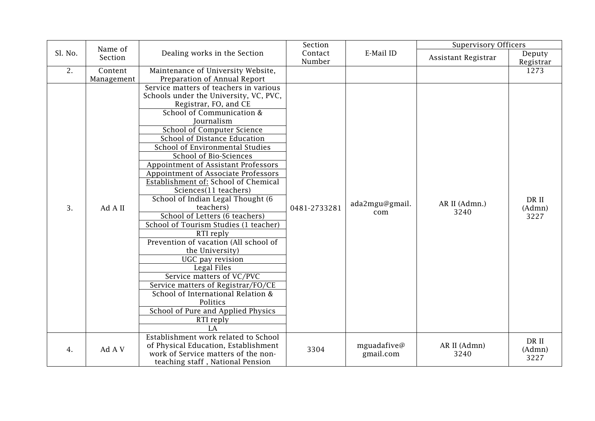|         | Name of    |                                                            | Section      |                       | <b>Supervisory Officers</b> |                         |
|---------|------------|------------------------------------------------------------|--------------|-----------------------|-----------------------------|-------------------------|
| Sl. No. | Section    | Dealing works in the Section                               | Contact      | E-Mail ID             | Assistant Registrar         | Deputy                  |
|         |            |                                                            | Number       |                       |                             | Registrar               |
| 2.      | Content    | Maintenance of University Website,                         |              |                       |                             | 1273                    |
|         | Management | Preparation of Annual Report                               |              |                       |                             |                         |
|         |            | Service matters of teachers in various                     |              |                       |                             |                         |
|         |            | Schools under the University, VC, PVC,                     |              |                       |                             |                         |
|         |            | Registrar, FO, and CE                                      |              |                       |                             |                         |
|         |            | School of Communication &<br>Journalism                    |              |                       |                             |                         |
|         |            |                                                            |              |                       |                             |                         |
|         |            | School of Computer Science<br>School of Distance Education |              |                       |                             | DR II<br>(Admn)<br>3227 |
|         |            | School of Environmental Studies                            |              |                       |                             |                         |
|         |            | School of Bio-Sciences                                     |              |                       |                             |                         |
|         |            |                                                            |              |                       |                             |                         |
|         |            | Appointment of Assistant Professors                        |              |                       |                             |                         |
|         |            | Appointment of Associate Professors                        |              |                       |                             |                         |
|         |            | Establishment of: School of Chemical                       |              |                       |                             |                         |
|         |            | Sciences(11 teachers)<br>School of Indian Legal Thought (6 |              |                       |                             |                         |
| 3.      | Ad A II    | teachers)                                                  | 0481-2733281 | ada2mgu@gmail.<br>com | AR II (Admn.)               |                         |
|         |            | School of Letters (6 teachers)                             |              |                       | 3240                        |                         |
|         |            | School of Tourism Studies (1 teacher)                      |              |                       |                             |                         |
|         |            | RTI reply                                                  |              |                       |                             |                         |
|         |            | Prevention of vacation (All school of                      |              |                       |                             |                         |
|         |            | the University)                                            |              |                       |                             |                         |
|         |            | UGC pay revision                                           |              |                       |                             |                         |
|         |            | Legal Files                                                |              |                       |                             |                         |
|         |            | Service matters of VC/PVC                                  |              |                       |                             |                         |
|         |            | Service matters of Registrar/FO/CE                         |              |                       |                             |                         |
|         |            | School of International Relation &                         |              |                       |                             |                         |
|         |            | Politics                                                   |              |                       |                             |                         |
|         |            | School of Pure and Applied Physics                         |              |                       |                             |                         |
|         |            | RTI reply                                                  |              |                       |                             |                         |
|         |            | LA                                                         |              |                       |                             |                         |
|         |            | Establishment work related to School                       |              |                       |                             |                         |
|         |            | of Physical Education, Establishment                       |              | mguadafive@           | AR II (Admn)                | DR II                   |
| 4.      | Ad A V     | work of Service matters of the non-                        | 3304         | gmail.com             | 3240                        | (Admn)                  |
|         |            | teaching staff, National Pension                           |              |                       |                             | 3227                    |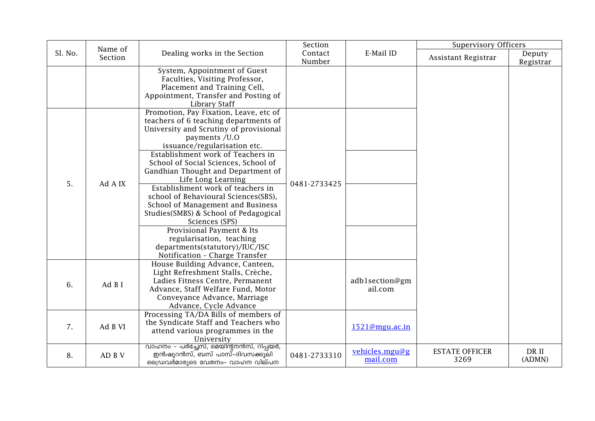|         | Name of |                                                                                                                                                                                                                                                                                                                                                                                                                                                                                                                                                                                                                               | Section           |                            | <b>Supervisory Officers</b>   |                     |
|---------|---------|-------------------------------------------------------------------------------------------------------------------------------------------------------------------------------------------------------------------------------------------------------------------------------------------------------------------------------------------------------------------------------------------------------------------------------------------------------------------------------------------------------------------------------------------------------------------------------------------------------------------------------|-------------------|----------------------------|-------------------------------|---------------------|
| Sl. No. | Section | Dealing works in the Section                                                                                                                                                                                                                                                                                                                                                                                                                                                                                                                                                                                                  | Contact<br>Number | E-Mail ID                  | Assistant Registrar           | Deputy<br>Registrar |
|         |         | System, Appointment of Guest<br>Faculties, Visiting Professor,<br>Placement and Training Cell,<br>Appointment, Transfer and Posting of<br><b>Library Staff</b>                                                                                                                                                                                                                                                                                                                                                                                                                                                                |                   |                            |                               |                     |
| 5.      | Ad A IX | Promotion, Pay Fixation, Leave, etc of<br>teachers of 6 teaching departments of<br>University and Scrutiny of provisional<br>payments /U.O<br>issuance/regularisation etc.<br>Establishment work of Teachers in<br>School of Social Sciences, School of<br>Gandhian Thought and Department of<br>Life Long Learning<br>Establishment work of teachers in<br>school of Behavioural Sciences(SBS),<br>School of Management and Business<br>Studies(SMBS) & School of Pedagogical<br>Sciences (SPS)<br>Provisional Payment & Its<br>regularisation, teaching<br>departments(statutory)/IUC/ISC<br>Notification - Charge Transfer | 0481-2733425      |                            |                               |                     |
| 6.      | Ad B I  | House Building Advance, Canteen,<br>Light Refreshment Stalls, Crèche,<br>Ladies Fitness Centre, Permanent<br>Advance, Staff Welfare Fund, Motor<br>Conveyance Advance, Marriage<br>Advance, Cycle Advance                                                                                                                                                                                                                                                                                                                                                                                                                     |                   | adb1section@gm<br>ail.com  |                               |                     |
| 7.      | Ad B VI | Processing TA/DA Bills of members of<br>the Syndicate Staff and Teachers who<br>attend various programmes in the<br>University                                                                                                                                                                                                                                                                                                                                                                                                                                                                                                |                   | 1521@mgu.ac.in             |                               |                     |
| 8.      | AD B V  | വാഹനം - പർച്ചേസ്, മെയിന്റനൻസ്, റിപ്പയർ,<br>ഇൻഷുറൻസ്, ബസ് പാസ്-ദിവസക്കൂലി<br>ഡ്രൈവർമാരുടെ വേതനം- വാഹന വില്പന                                                                                                                                                                                                                                                                                                                                                                                                                                                                                                                   | 0481-2733310      | vehicles.mgu@g<br>mail.com | <b>ESTATE OFFICER</b><br>3269 | DR II<br>(ADMN)     |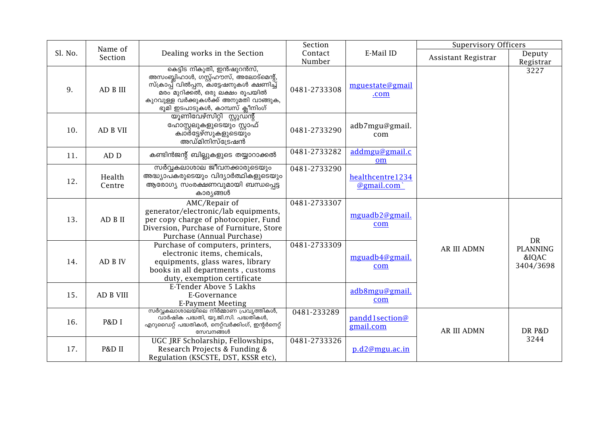|         | Name of          |                                                                                                                                                                                                                                | Section      |                                | <b>Supervisory Officers</b> |                                             |
|---------|------------------|--------------------------------------------------------------------------------------------------------------------------------------------------------------------------------------------------------------------------------|--------------|--------------------------------|-----------------------------|---------------------------------------------|
| Sl. No. | Section          | Dealing works in the Section                                                                                                                                                                                                   | Contact      | E-Mail ID                      | Assistant Registrar         | Deputy                                      |
|         |                  |                                                                                                                                                                                                                                | Number       |                                |                             | Registrar                                   |
| 9.      | AD B III         | കെട്ടിട നികുതി, ഇൻഷുറൻസ്,<br>അസംബ്ലിഹാൾ, ഗസ്റ്റ്ഹൗസ്, അലോട്മെന്റ്,<br>സ്ക്രാപ്പ് വിൽപ്പന, കിട്ടേഷനുകൾ ക്ഷണിച്ച്<br>മരം മുറിക്കൽ, ഒരു ലക്ഷം രൂപയിൽ<br>കുറവുള്ള വർക്കുകൾക്ക് അനുമതി വാങ്ങുക,<br>ഭൂമി ഇടപാടുകൾ, കാമ്പസ് ക്ലീനിംഗ് | 0481-2733308 | mguestate@gmail<br>.com        |                             | 3227                                        |
| 10.     | AD B VII         | യൂണിവേഴ്സിറ്റി സ്റ്റുഡന്റ്<br>ഹോസ്റ്റലുകളുടെയും സ്റ്റാഫ്<br>ക്വാര്ട്ടേഴ്സുകളുടെയും<br>അഡ്മിനിസ്ട്രേഷൻ                                                                                                                          | 0481-2733290 | adb7mgu@gmail.<br>com          |                             |                                             |
| 11.     | AD D             | കണ്ടിൻജന്റ് ബില്ലുകളുടെ തയ്യാറാക്കൽ                                                                                                                                                                                            | 0481-2733282 | addmgu@gmail.c<br>om           |                             |                                             |
| 12.     | Health<br>Centre | സർവ്വകലാശാല ജീവനക്കാരുടെയും<br>അദ്ധ്യാപകരുടെയും വിദ്യാർത്ഥികളുടെയും<br>ആരോഗ്യ സംരക്ഷണവുമായി ബന്ധപ്പെട്ട<br>കാര്യങ്ങൾ                                                                                                           | 0481-2733290 | healthcentre1234<br>@gmail.com |                             |                                             |
| 13.     | AD B II          | AMC/Repair of<br>generator/electronic/lab equipments,<br>per copy charge of photocopier, Fund<br>Diversion, Purchase of Furniture, Store<br>Purchase (Annual Purchase)                                                         | 0481-2733307 | mguadb2@gmail.<br>com          |                             |                                             |
| 14.     | AD B IV          | Purchase of computers, printers,<br>electronic items, chemicals,<br>equipments, glass wares, library<br>books in all departments, customs<br>duty, exemption certificate                                                       | 0481-2733309 | mguadb4@gmail.<br>com          | <b>AR III ADMN</b>          | DR<br><b>PLANNING</b><br>&IQAC<br>3404/3698 |
| 15.     | AD B VIII        | E-Tender Above 5 Lakhs<br>E-Governance<br><b>E-Payment Meeting</b>                                                                                                                                                             |              | adb8mgu@gmail.<br>com          |                             |                                             |
| 16.     | P&D I            | സർവ്വകലാശാലയിലെ നിർമ്മാണ പ്രവൃത്തികൾ,<br>വാർഷിക പദ്ധതി, യു.ജി.സി. പദ്ധതികൾ,<br>എറുഡൈറ്റ് പദ്ധതികൾ, നെറ്റ്വർക്കിംഗ്, ഇന്റർനെറ്റ്<br>സേവനങ്ങൾ                                                                                    | 0481-233289  | pandd1section@<br>gmail.com    | <b>AR III ADMN</b>          | DR P&D                                      |
| 17.     | P&D II           | UGC JRF Scholarship, Fellowships,<br>Research Projects & Funding &<br>Regulation (KSCSTE, DST, KSSR etc),                                                                                                                      | 0481-2733326 | p.d2@mgu.ac.in                 |                             | 3244                                        |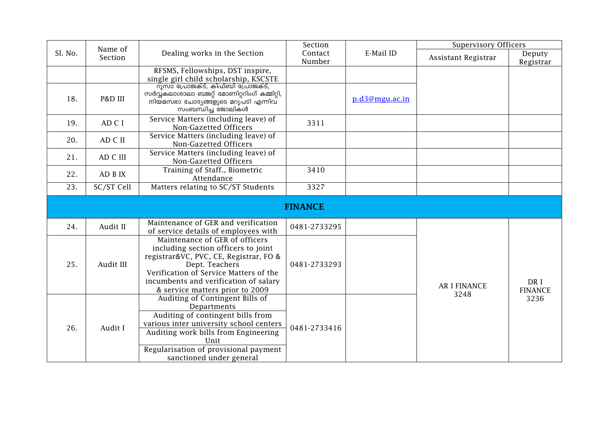|         | Name of    |                                                                                                                                                                                                                                                         | Section           |                | <b>Supervisory Officers</b> |                        |
|---------|------------|---------------------------------------------------------------------------------------------------------------------------------------------------------------------------------------------------------------------------------------------------------|-------------------|----------------|-----------------------------|------------------------|
| Sl. No. | Section    | Dealing works in the Section                                                                                                                                                                                                                            | Contact<br>Number | E-Mail ID      | Assistant Registrar         | Deputy<br>Registrar    |
|         |            | RFSMS, Fellowships, DST inspire,<br>single girl child scholarship, KSCSTE                                                                                                                                                                               |                   |                |                             |                        |
| 18.     | P&D III    | റൂസാ പ്രോജക്ട്, കിഫ്ബി പ്രോജക്ട്,<br>സർവ്വകലാശാലാ ബജറ്റ് മോണിറ്ററിംഗ് കമ്മിറ്റി,<br>നിയമസഭാ ചോദ്യങ്ങളുടെ മറുപടി എന്നിവ്<br>സംബന്ധിച്ച ജോലികൾ                                                                                                            |                   | p.d3@mgu.ac.in |                             |                        |
| 19.     | AD C I     | Service Matters (including leave) of<br>Non-Gazetted Officers                                                                                                                                                                                           | 3311              |                |                             |                        |
| 20.     | AD C II    | Service Matters (including leave) of<br>Non-Gazetted Officers                                                                                                                                                                                           |                   |                |                             |                        |
| 21.     | AD C III   | Service Matters (including leave) of<br>Non-Gazetted Officers                                                                                                                                                                                           |                   |                |                             |                        |
| 22.     | AD B IX    | Training of Staff., Biometric<br>Attendance                                                                                                                                                                                                             | 3410              |                |                             |                        |
| 23.     | SC/ST Cell | Matters relating to SC/ST Students                                                                                                                                                                                                                      | 3327              |                |                             |                        |
|         |            |                                                                                                                                                                                                                                                         | <b>FINANCE</b>    |                |                             |                        |
| 24.     | Audit II   | Maintenance of GER and verification<br>of service details of employees with                                                                                                                                                                             | 0481-2733295      |                |                             |                        |
| 25.     | Audit III  | Maintenance of GER of officers<br>including section officers to joint<br>registrar&VC, PVC, CE, Registrar, FO &<br>Dept. Teachers<br>Verification of Service Matters of the<br>incumbents and verification of salary<br>& service matters prior to 2009 | 0481-2733293      |                | <b>AR I FINANCE</b><br>3248 | DR I<br><b>FINANCE</b> |
| 26.     | Audit I    | Auditing of Contingent Bills of<br>Departments<br>Auditing of contingent bills from<br>various inter university school centers<br>Auditing work bills from Engineering<br>Unit<br>Regularisation of provisional payment<br>sanctioned under general     | 0481-2733416      |                |                             | 3236                   |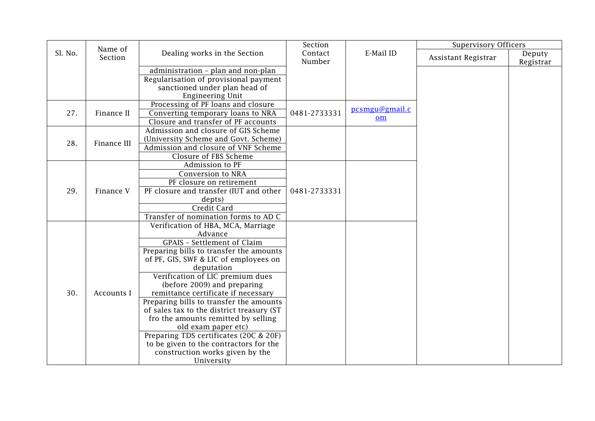|         | Name of     |                                           | Section           |                | <b>Supervisory Officers</b> |                     |
|---------|-------------|-------------------------------------------|-------------------|----------------|-----------------------------|---------------------|
| Sl. No. | Section     | Dealing works in the Section              | Contact<br>Number | E-Mail ID      | Assistant Registrar         | Deputy<br>Registrar |
|         |             | administration - plan and non-plan        |                   |                |                             |                     |
|         |             | Regularisation of provisional payment     |                   |                |                             |                     |
|         |             | sanctioned under plan head of             |                   |                |                             |                     |
|         |             | <b>Engineering Unit</b>                   |                   |                |                             |                     |
|         |             | Processing of PF loans and closure        |                   |                |                             |                     |
| 27.     | Finance II  | Converting temporary loans to NRA         | 0481-2733331      | pcsmgu@gmail.c |                             |                     |
|         |             | Closure and transfer of PF accounts       |                   | om             |                             |                     |
|         |             | Admission and closure of GIS Scheme       |                   |                |                             |                     |
| 28.     | Finance III | (University Scheme and Govt. Scheme)      |                   |                |                             |                     |
|         |             | Admission and closure of VNF Scheme       |                   |                |                             |                     |
|         |             | Closure of FBS Scheme                     |                   |                |                             |                     |
|         |             | Admission to PF                           |                   |                |                             |                     |
|         |             | Conversion to NRA                         |                   |                |                             |                     |
|         |             | PF closure on retirement                  |                   |                |                             |                     |
| 29.     | Finance V   | PF closure and transfer (IUT and other    | 0481-2733331      |                |                             |                     |
|         |             | depts)                                    |                   |                |                             |                     |
|         |             | Credit Card                               |                   |                |                             |                     |
|         |             | Transfer of nomination forms to AD C      |                   |                |                             |                     |
|         |             | Verification of HBA, MCA, Marriage        |                   |                |                             |                     |
|         |             | Advance                                   |                   |                |                             |                     |
|         |             | <b>GPAIS</b> - Settlement of Claim        |                   |                |                             |                     |
|         |             | Preparing bills to transfer the amounts   |                   |                |                             |                     |
|         |             | of PF, GIS, SWF & LIC of employees on     |                   |                |                             |                     |
|         |             | deputation                                |                   |                |                             |                     |
|         |             | Verification of LIC premium dues          |                   |                |                             |                     |
|         |             | (before 2009) and preparing               |                   |                |                             |                     |
| 30.     | Accounts I  | remittance certificate if necessary       |                   |                |                             |                     |
|         |             | Preparing bills to transfer the amounts   |                   |                |                             |                     |
|         |             | of sales tax to the district treasury (ST |                   |                |                             |                     |
|         |             | fro the amounts remitted by selling       |                   |                |                             |                     |
|         |             | old exam paper etc)                       |                   |                |                             |                     |
|         |             | Preparing TDS certificates (20C & 20F)    |                   |                |                             |                     |
|         |             | to be given to the contractors for the    |                   |                |                             |                     |
|         |             | construction works given by the           |                   |                |                             |                     |
|         |             | University                                |                   |                |                             |                     |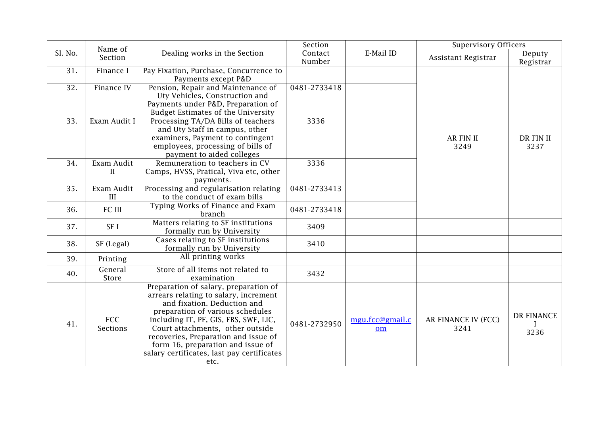|         | Name of                       |                                                                                                                                                                                                                                                                                                                                                                   | Section           |                       | <b>Supervisory Officers</b> |                     |
|---------|-------------------------------|-------------------------------------------------------------------------------------------------------------------------------------------------------------------------------------------------------------------------------------------------------------------------------------------------------------------------------------------------------------------|-------------------|-----------------------|-----------------------------|---------------------|
| Sl. No. | Section                       | Dealing works in the Section                                                                                                                                                                                                                                                                                                                                      | Contact<br>Number | E-Mail ID             | Assistant Registrar         | Deputy<br>Registrar |
| 31.     | Finance I                     | Pay Fixation, Purchase, Concurrence to<br>Payments except P&D                                                                                                                                                                                                                                                                                                     |                   |                       |                             |                     |
| 32.     | Finance IV                    | Pension, Repair and Maintenance of<br>Uty Vehicles, Construction and<br>Payments under P&D, Preparation of<br>Budget Estimates of the University                                                                                                                                                                                                                  | 0481-2733418      |                       |                             |                     |
| 33.     | Exam Audit I                  | Processing TA/DA Bills of teachers<br>and Uty Staff in campus, other<br>examiners, Payment to contingent<br>employees, processing of bills of<br>payment to aided colleges                                                                                                                                                                                        | 3336              |                       | <b>AR FIN II</b><br>3249    | DR FIN II<br>3237   |
| 34.     | Exam Audit<br>$\mathbf{I}$    | Remuneration to teachers in CV<br>Camps, HVSS, Pratical, Viva etc, other<br>payments.                                                                                                                                                                                                                                                                             | 3336              |                       |                             |                     |
| 35.     | Exam Audit<br>III             | Processing and regularisation relating<br>to the conduct of exam bills                                                                                                                                                                                                                                                                                            | 0481-2733413      |                       |                             |                     |
| 36.     | FC III                        | Typing Works of Finance and Exam<br>branch                                                                                                                                                                                                                                                                                                                        | 0481-2733418      |                       |                             |                     |
| 37.     | SF I                          | Matters relating to SF institutions<br>formally run by University                                                                                                                                                                                                                                                                                                 | 3409              |                       |                             |                     |
| 38.     | SF (Legal)                    | Cases relating to SF institutions<br>formally run by University                                                                                                                                                                                                                                                                                                   | 3410              |                       |                             |                     |
| 39.     | Printing                      | All printing works                                                                                                                                                                                                                                                                                                                                                |                   |                       |                             |                     |
| 40.     | General<br>Store              | Store of all items not related to<br>examination                                                                                                                                                                                                                                                                                                                  | 3432              |                       |                             |                     |
| 41.     | <b>FCC</b><br><b>Sections</b> | Preparation of salary, preparation of<br>arrears relating to salary, increment<br>and fixation. Deduction and<br>preparation of various schedules<br>including IT, PF, GIS, FBS, SWF, LIC,<br>Court attachments, other outside<br>recoveries, Preparation and issue of<br>form 16, preparation and issue of<br>salary certificates, last pay certificates<br>etc. | 0481-2732950      | mgu.fcc@gmail.c<br>om | AR FINANCE IV (FCC)<br>3241 | DR FINANCE<br>3236  |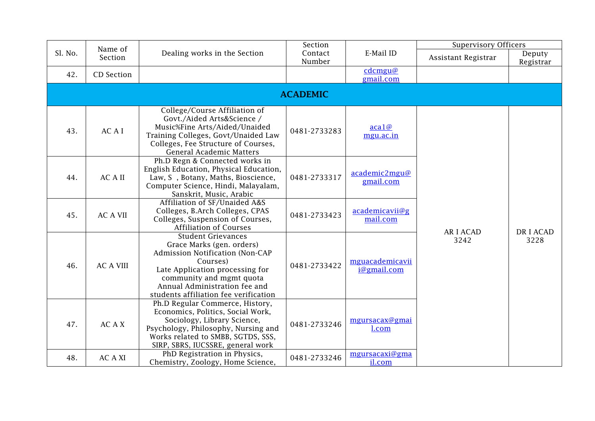|                 | Name of          |                                                                                                                                                                                                                                                | Section           |                                | <b>Supervisory Officers</b> |                     |  |  |  |
|-----------------|------------------|------------------------------------------------------------------------------------------------------------------------------------------------------------------------------------------------------------------------------------------------|-------------------|--------------------------------|-----------------------------|---------------------|--|--|--|
| Sl. No.         | Section          | Dealing works in the Section                                                                                                                                                                                                                   | Contact<br>Number | E-Mail ID                      | Assistant Registrar         | Deputy<br>Registrar |  |  |  |
| 42.             | CD Section       |                                                                                                                                                                                                                                                |                   | cdcmgu@<br>gmail.com           |                             |                     |  |  |  |
| <b>ACADEMIC</b> |                  |                                                                                                                                                                                                                                                |                   |                                |                             |                     |  |  |  |
| 43.             | AC A I           | College/Course Affiliation of<br>Govt./Aided Arts&Science /<br>Music%Fine Arts/Aided/Unaided<br>Training Colleges, Govt/Unaided Law<br>Colleges, Fee Structure of Courses,<br>General Academic Matters                                         | 0481-2733283      | acal@<br>mgu.ac.in             |                             |                     |  |  |  |
| 44.             | <b>ACAII</b>     | Ph.D Regn & Connected works in<br>English Education, Physical Education,<br>Law, S, Botany, Maths, Bioscience,<br>Computer Science, Hindi, Malayalam,<br>Sanskrit, Music, Arabic                                                               | 0481-2733317      | academic2mgu@<br>gmail.com     |                             |                     |  |  |  |
| 45.             | <b>AC A VII</b>  | Affiliation of SF/Unaided A&S<br>Colleges, B.Arch Colleges, CPAS<br>Colleges, Suspension of Courses,<br><b>Affiliation of Courses</b>                                                                                                          | 0481-2733423      | academicavii@g<br>mail.com     |                             |                     |  |  |  |
| 46.             | <b>AC A VIII</b> | <b>Student Grievances</b><br>Grace Marks (gen. orders)<br>Admission Notification (Non-CAP<br>Courses)<br>Late Application processing for<br>community and mgmt quota<br>Annual Administration fee and<br>students affiliation fee verification | 0481-2733422      | mguacademicavii<br>i@gmail.com | <b>ARIACAD</b><br>3242      | DR I ACAD<br>3228   |  |  |  |
| 47.             | AC A X           | Ph.D Regular Commerce, History,<br>Economics, Politics, Social Work,<br>Sociology, Library Science,<br>Psychology, Philosophy, Nursing and<br>Works related to SMBB, SGTDS, SSS,<br>SIRP, SBRS, IUCSSRE, general work                          | 0481-2733246      | mgursacax@gmai<br>l.com        |                             |                     |  |  |  |
| 48.             | <b>AC A XI</b>   | PhD Registration in Physics,<br>Chemistry, Zoology, Home Science,                                                                                                                                                                              | 0481-2733246      | mgursacaxi@gma<br>il.com       |                             |                     |  |  |  |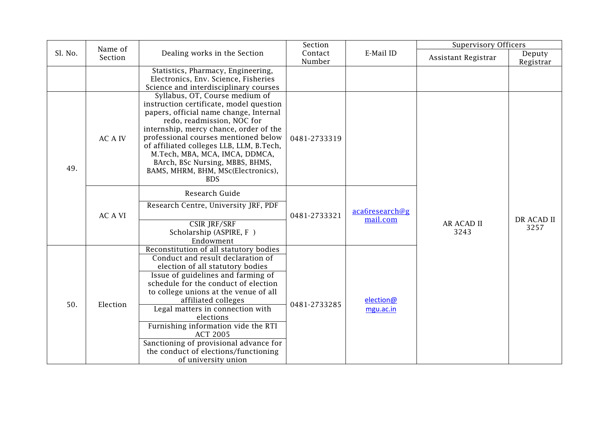|         | Name of        |                                                                                                                                                                                                                                                                                                                                                                                                                                                                                   | Section           |                            | <b>Supervisory Officers</b> |                     |
|---------|----------------|-----------------------------------------------------------------------------------------------------------------------------------------------------------------------------------------------------------------------------------------------------------------------------------------------------------------------------------------------------------------------------------------------------------------------------------------------------------------------------------|-------------------|----------------------------|-----------------------------|---------------------|
| Sl. No. | Section        | Dealing works in the Section                                                                                                                                                                                                                                                                                                                                                                                                                                                      | Contact<br>Number | E-Mail ID                  | Assistant Registrar         | Deputy<br>Registrar |
|         |                | Statistics, Pharmacy, Engineering,<br>Electronics, Env. Science, Fisheries<br>Science and interdisciplinary courses                                                                                                                                                                                                                                                                                                                                                               |                   |                            |                             |                     |
| 49.     | <b>AC A IV</b> | Syllabus, OT, Course medium of<br>instruction certificate, model question<br>papers, official name change, Internal<br>redo, readmission, NOC for<br>internship, mercy chance, order of the<br>professional courses mentioned below<br>of affiliated colleges LLB, LLM, B.Tech,<br>M.Tech, MBA, MCA, IMCA, DDMCA,<br>BArch, BSc Nursing, MBBS, BHMS,<br>BAMS, MHRM, BHM, MSc(Electronics),<br><b>BDS</b>                                                                          | 0481-2733319      |                            |                             |                     |
|         | <b>AC A VI</b> | Research Guide<br>Research Centre, University JRF, PDF                                                                                                                                                                                                                                                                                                                                                                                                                            | 0481-2733321      | aca6research@g<br>mail.com | <b>AR ACAD II</b><br>3243   |                     |
|         |                | CSIR JRF/SRF<br>Scholarship (ASPIRE, F)<br>Endowment                                                                                                                                                                                                                                                                                                                                                                                                                              |                   |                            |                             | DR ACAD II<br>3257  |
| 50.     | Election       | Reconstitution of all statutory bodies<br>Conduct and result declaration of<br>election of all statutory bodies<br>Issue of guidelines and farming of<br>schedule for the conduct of election<br>to college unions at the venue of all<br>affiliated colleges<br>Legal matters in connection with<br>elections<br>Furnishing information vide the RTI<br><b>ACT 2005</b><br>Sanctioning of provisional advance for<br>the conduct of elections/functioning<br>of university union | 0481-2733285      | election@<br>mgu.ac.in     |                             |                     |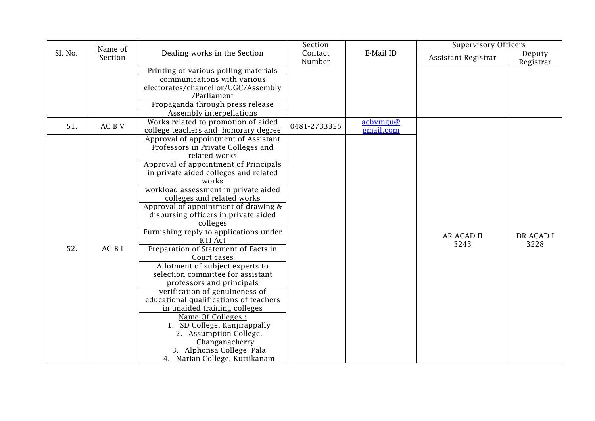|         | Name of |                                                                             | Section           |                       | <b>Supervisory Officers</b> |                     |
|---------|---------|-----------------------------------------------------------------------------|-------------------|-----------------------|-----------------------------|---------------------|
| Sl. No. | Section | Dealing works in the Section                                                | Contact<br>Number | E-Mail ID             | Assistant Registrar         | Deputy<br>Registrar |
|         |         | Printing of various polling materials                                       |                   |                       |                             |                     |
|         |         | communications with various                                                 |                   |                       |                             |                     |
|         |         | electorates/chancellor/UGC/Assembly                                         |                   |                       |                             |                     |
|         |         | /Parliament                                                                 |                   |                       |                             |                     |
|         |         | Propaganda through press release                                            |                   |                       |                             |                     |
|         |         | Assembly interpellations                                                    |                   |                       |                             |                     |
| 51.     | AC B V  | Works related to promotion of aided<br>college teachers and honorary degree | 0481-2733325      | acbvmgu@<br>gmail.com |                             |                     |
|         |         | Approval of appointment of Assistant                                        |                   |                       |                             |                     |
|         |         | Professors in Private Colleges and                                          |                   |                       |                             |                     |
|         |         | related works                                                               |                   |                       |                             |                     |
|         |         | Approval of appointment of Principals                                       |                   |                       |                             |                     |
|         |         | in private aided colleges and related                                       |                   |                       |                             |                     |
|         |         | works                                                                       |                   |                       |                             |                     |
|         |         | workload assessment in private aided                                        |                   |                       |                             |                     |
|         |         | colleges and related works                                                  |                   |                       |                             |                     |
|         |         | Approval of appointment of drawing &                                        |                   |                       |                             |                     |
|         |         | disbursing officers in private aided                                        |                   |                       |                             |                     |
|         |         | colleges                                                                    |                   |                       |                             |                     |
|         |         | Furnishing reply to applications under<br>RTI Act                           |                   |                       | <b>AR ACAD II</b><br>3243   | DR ACAD I<br>3228   |
| 52.     | AC B I  | Preparation of Statement of Facts in                                        |                   |                       |                             |                     |
|         |         | Court cases                                                                 |                   |                       |                             |                     |
|         |         | Allotment of subject experts to                                             |                   |                       |                             |                     |
|         |         | selection committee for assistant                                           |                   |                       |                             |                     |
|         |         | professors and principals                                                   |                   |                       |                             |                     |
|         |         | verification of genuineness of                                              |                   |                       |                             |                     |
|         |         | educational qualifications of teachers                                      |                   |                       |                             |                     |
|         |         | in unaided training colleges                                                |                   |                       |                             |                     |
|         |         | Name Of Colleges :                                                          |                   |                       |                             |                     |
|         |         | 1. SD College, Kanjirappally                                                |                   |                       |                             |                     |
|         |         | 2. Assumption College,                                                      |                   |                       |                             |                     |
|         |         | Changanacherry                                                              |                   |                       |                             |                     |
|         |         | 3. Alphonsa College, Pala<br>4. Marian College, Kuttikanam                  |                   |                       |                             |                     |
|         |         |                                                                             |                   |                       |                             |                     |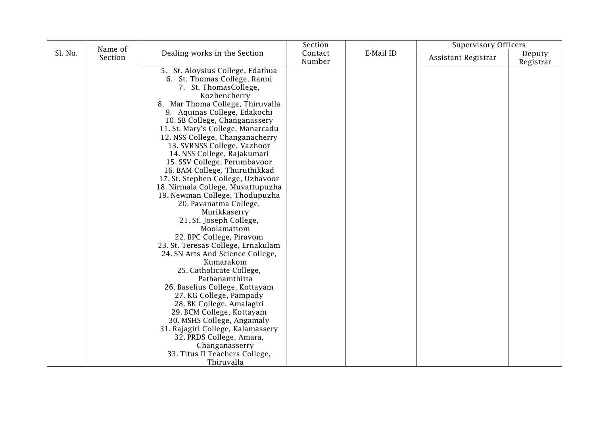|         |                    |                                    | Section |           | <b>Supervisory Officers</b> |           |
|---------|--------------------|------------------------------------|---------|-----------|-----------------------------|-----------|
| Sl. No. | Name of<br>Section | Dealing works in the Section       | Contact | E-Mail ID |                             | Deputy    |
|         |                    |                                    | Number  |           | Assistant Registrar         | Registrar |
|         |                    | 5. St. Aloysius College, Edathua   |         |           |                             |           |
|         |                    | 6. St. Thomas College, Ranni       |         |           |                             |           |
|         |                    | 7. St. ThomasCollege,              |         |           |                             |           |
|         |                    | Kozhencherry                       |         |           |                             |           |
|         |                    | 8. Mar Thoma College, Thiruvalla   |         |           |                             |           |
|         |                    | 9. Aquinas College, Edakochi       |         |           |                             |           |
|         |                    | 10. SB College, Changanassery      |         |           |                             |           |
|         |                    | 11. St. Mary's College, Manarcadu  |         |           |                             |           |
|         |                    | 12. NSS College, Changanacherry    |         |           |                             |           |
|         |                    | 13. SVRNSS College, Vazhoor        |         |           |                             |           |
|         |                    | 14. NSS College, Rajakumari        |         |           |                             |           |
|         |                    | 15. SSV College, Perumbavoor       |         |           |                             |           |
|         |                    | 16. BAM College, Thuruthikkad      |         |           |                             |           |
|         |                    | 17. St. Stephen College, Uzhavoor  |         |           |                             |           |
|         |                    | 18. Nirmala College, Muvattupuzha  |         |           |                             |           |
|         |                    | 19. Newman College, Thodupuzha     |         |           |                             |           |
|         |                    | 20. Pavanatma College,             |         |           |                             |           |
|         |                    | Murikkaserry                       |         |           |                             |           |
|         |                    | 21. St. Joseph College,            |         |           |                             |           |
|         |                    | Moolamattom                        |         |           |                             |           |
|         |                    | 22. BPC College, Piravom           |         |           |                             |           |
|         |                    | 23. St. Teresas College, Ernakulam |         |           |                             |           |
|         |                    | 24. SN Arts And Science College,   |         |           |                             |           |
|         |                    | Kumarakom                          |         |           |                             |           |
|         |                    | 25. Catholicate College,           |         |           |                             |           |
|         |                    | Pathanamthitta                     |         |           |                             |           |
|         |                    | 26. Baselius College, Kottayam     |         |           |                             |           |
|         |                    | 27. KG College, Pampady            |         |           |                             |           |
|         |                    | 28. BK College, Amalagiri          |         |           |                             |           |
|         |                    | 29. BCM College, Kottayam          |         |           |                             |           |
|         |                    | 30. MSHS College, Angamaly         |         |           |                             |           |
|         |                    | 31. Rajagiri College, Kalamassery  |         |           |                             |           |
|         |                    | 32. PRDS College, Amara,           |         |           |                             |           |
|         |                    | Changanasserry                     |         |           |                             |           |
|         |                    | 33. Titus II Teachers College,     |         |           |                             |           |
|         |                    | Thiruvalla                         |         |           |                             |           |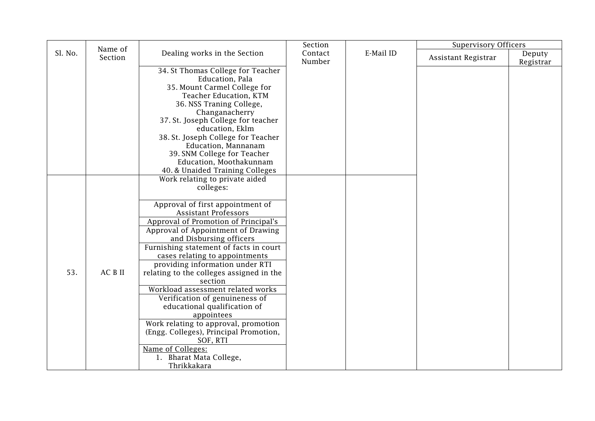|         | Name of |                                                                                                                                                                                                                                                                                                                                                                                                                                                                                                                                                                                                                                                                                                                    | Section           |           | <b>Supervisory Officers</b> |                     |
|---------|---------|--------------------------------------------------------------------------------------------------------------------------------------------------------------------------------------------------------------------------------------------------------------------------------------------------------------------------------------------------------------------------------------------------------------------------------------------------------------------------------------------------------------------------------------------------------------------------------------------------------------------------------------------------------------------------------------------------------------------|-------------------|-----------|-----------------------------|---------------------|
| Sl. No. | Section | Dealing works in the Section                                                                                                                                                                                                                                                                                                                                                                                                                                                                                                                                                                                                                                                                                       | Contact<br>Number | E-Mail ID | Assistant Registrar         | Deputy<br>Registrar |
|         |         | 34. St Thomas College for Teacher<br>Education, Pala<br>35. Mount Carmel College for<br>Teacher Education, KTM<br>36. NSS Traning College,<br>Changanacherry<br>37. St. Joseph College for teacher<br>education, Eklm<br>38. St. Joseph College for Teacher<br>Education, Mannanam<br>39. SNM College for Teacher<br>Education, Moothakunnam                                                                                                                                                                                                                                                                                                                                                                       |                   |           |                             |                     |
| 53.     | AC B II | 40. & Unaided Training Colleges<br>Work relating to private aided<br>colleges:<br>Approval of first appointment of<br><b>Assistant Professors</b><br>Approval of Promotion of Principal's<br>Approval of Appointment of Drawing<br>and Disbursing officers<br>Furnishing statement of facts in court<br>cases relating to appointments<br>providing information under RTI<br>relating to the colleges assigned in the<br>section<br>Workload assessment related works<br>Verification of genuineness of<br>educational qualification of<br>appointees<br>Work relating to approval, promotion<br>(Engg. Colleges), Principal Promotion,<br>SOF, RTI<br>Name of Colleges:<br>1. Bharat Mata College,<br>Thrikkakara |                   |           |                             |                     |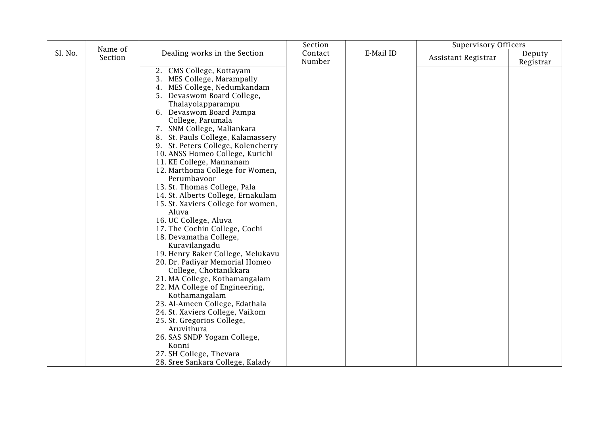|         | Name of |                                                                                                                                                                                                                                                                                                                                                                                                                                                                                                                                                                                                                                                                                                                                                                                                                                                                                                                                                                                            | Section           |           | <b>Supervisory Officers</b> |                     |
|---------|---------|--------------------------------------------------------------------------------------------------------------------------------------------------------------------------------------------------------------------------------------------------------------------------------------------------------------------------------------------------------------------------------------------------------------------------------------------------------------------------------------------------------------------------------------------------------------------------------------------------------------------------------------------------------------------------------------------------------------------------------------------------------------------------------------------------------------------------------------------------------------------------------------------------------------------------------------------------------------------------------------------|-------------------|-----------|-----------------------------|---------------------|
| Sl. No. | Section | Dealing works in the Section                                                                                                                                                                                                                                                                                                                                                                                                                                                                                                                                                                                                                                                                                                                                                                                                                                                                                                                                                               | Contact<br>Number | E-Mail ID | Assistant Registrar         | Deputy<br>Registrar |
|         |         | 2. CMS College, Kottayam<br>3. MES College, Marampally<br>4. MES College, Nedumkandam<br>5. Devaswom Board College,<br>Thalayolapparampu<br>6. Devaswom Board Pampa<br>College, Parumala<br>7. SNM College, Maliankara<br>8. St. Pauls College, Kalamassery<br>9. St. Peters College, Kolencherry<br>10. ANSS Homeo College, Kurichi<br>11. KE College, Mannanam<br>12. Marthoma College for Women,<br>Perumbavoor<br>13. St. Thomas College, Pala<br>14. St. Alberts College, Ernakulam<br>15. St. Xaviers College for women,<br>Aluva<br>16. UC College, Aluva<br>17. The Cochin College, Cochi<br>18. Devamatha College,<br>Kuravilangadu<br>19. Henry Baker College, Melukavu<br>20. Dr. Padiyar Memorial Homeo<br>College, Chottanikkara<br>21. MA College, Kothamangalam<br>22. MA College of Engineering,<br>Kothamangalam<br>23. Al-Ameen College, Edathala<br>24. St. Xaviers College, Vaikom<br>25. St. Gregorios College,<br>Aruvithura<br>26. SAS SNDP Yogam College,<br>Konni |                   |           |                             |                     |
|         |         | 27. SH College, Thevara<br>28. Sree Sankara College, Kalady                                                                                                                                                                                                                                                                                                                                                                                                                                                                                                                                                                                                                                                                                                                                                                                                                                                                                                                                |                   |           |                             |                     |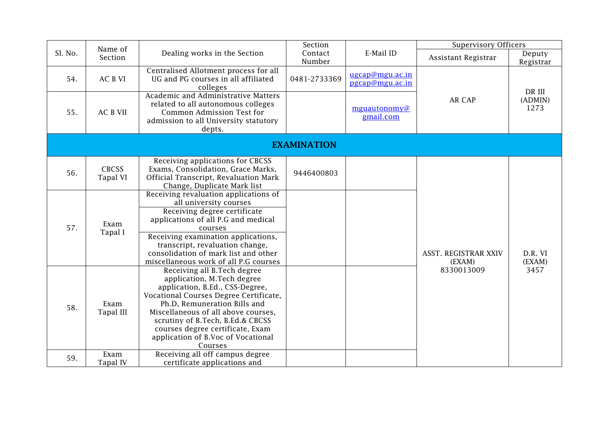|         | Name of                  |                                                                                                                                                                                                                                                                                                                                         | Section            |                                    | <b>Supervisory Officers</b>    |                     |
|---------|--------------------------|-----------------------------------------------------------------------------------------------------------------------------------------------------------------------------------------------------------------------------------------------------------------------------------------------------------------------------------------|--------------------|------------------------------------|--------------------------------|---------------------|
| Sl. No. | Section                  | Dealing works in the Section                                                                                                                                                                                                                                                                                                            | Contact<br>Number  | E-Mail ID                          | Assistant Registrar            | Deputy<br>Registrar |
| 54.     | AC B VI                  | Centralised Allotment process for all<br>UG and PG courses in all affiliated<br>colleges                                                                                                                                                                                                                                                | 0481-2733369       | ugcap@mgu.ac.in<br>pgcap@mgu.ac.in |                                | DR III              |
| 55.     | <b>AC B VII</b>          | Academic and Administrative Matters<br>related to all autonomous colleges<br>Common Admission Test for<br>admission to all University statutory<br>depts.                                                                                                                                                                               |                    | mguautonomy@<br>gmail.com          | AR CAP                         | (ADMIN)<br>1273     |
|         |                          |                                                                                                                                                                                                                                                                                                                                         | <b>EXAMINATION</b> |                                    |                                |                     |
| 56.     | <b>CBCSS</b><br>Tapal VI | Receiving applications for CBCSS<br>Exams, Consolidation, Grace Marks,<br>Official Transcript, Revaluation Mark<br>Change, Duplicate Mark list                                                                                                                                                                                          | 9446400803         |                                    |                                |                     |
| 57.     | Exam<br>Tapal I          | Receiving revaluation applications of<br>all university courses<br>Receiving degree certificate<br>applications of all P.G and medical<br>courses<br>Receiving examination applications,<br>transcript, revaluation change,<br>consolidation of mark list and other<br>miscellaneous work of all P.G courses                            |                    |                                    | ASST. REGISTRAR XXIV<br>(EXAM) | D.R. VI<br>(EXAM)   |
| 58.     | Exam<br>Tapal III        | Receiving all B. Tech degree<br>application, M.Tech degree<br>application, B.Ed., CSS-Degree,<br>Vocational Courses Degree Certificate,<br>Ph.D, Remuneration Bills and<br>Miscellaneous of all above courses,<br>scrutiny of B.Tech, B.Ed.& CBCSS<br>courses degree certificate, Exam<br>application of B.Voc of Vocational<br>Courses |                    |                                    | 8330013009                     | 3457                |
| 59.     | Exam<br>Tapal IV         | Receiving all off campus degree<br>certificate applications and                                                                                                                                                                                                                                                                         |                    |                                    |                                |                     |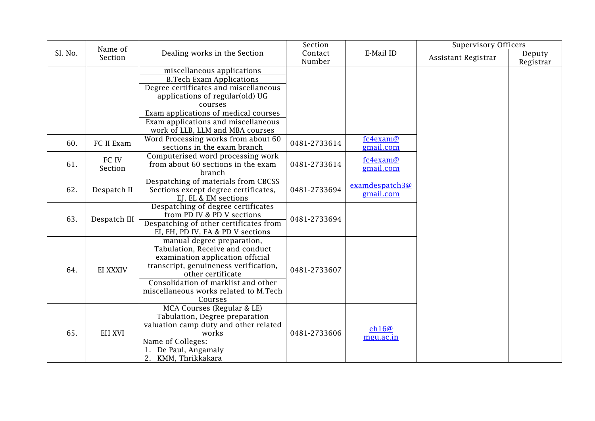|         | Name of       |                                                                  | Section      |                    | <b>Supervisory Officers</b> |           |
|---------|---------------|------------------------------------------------------------------|--------------|--------------------|-----------------------------|-----------|
| Sl. No. | Section       | Dealing works in the Section                                     | Contact      | E-Mail ID          | Assistant Registrar         | Deputy    |
|         |               |                                                                  | Number       |                    |                             | Registrar |
|         |               | miscellaneous applications                                       |              |                    |                             |           |
|         |               | <b>B.Tech Exam Applications</b>                                  |              |                    |                             |           |
|         |               | Degree certificates and miscellaneous                            |              |                    |                             |           |
|         |               | applications of regular(old) UG                                  |              |                    |                             |           |
|         |               | courses                                                          |              |                    |                             |           |
|         |               | Exam applications of medical courses                             |              |                    |                             |           |
|         |               | Exam applications and miscellaneous                              |              |                    |                             |           |
|         |               | work of LLB, LLM and MBA courses                                 |              |                    |                             |           |
| 60.     | FC II Exam    | Word Processing works from about 60                              | 0481-2733614 | fc4exam@           |                             |           |
|         |               | sections in the exam branch                                      |              | gmail.com          |                             |           |
|         | FC IV         | Computerised word processing work                                |              | fc4exam@           |                             |           |
| 61.     | Section       | from about 60 sections in the exam                               | 0481-2733614 | gmail.com          |                             |           |
|         |               | branch                                                           |              |                    |                             |           |
|         |               | Despatching of materials from CBCSS                              |              | examdespatch3@     |                             |           |
| 62.     | Despatch II   | Sections except degree certificates,                             | 0481-2733694 | gmail.com          |                             |           |
|         |               | EJ, EL & EM sections                                             |              |                    |                             |           |
|         |               | Despatching of degree certificates<br>from PD IV & PD V sections |              |                    |                             |           |
| 63.     | Despatch III  | Despatching of other certificates from                           | 0481-2733694 |                    |                             |           |
|         |               | EI, EH, PD IV, EA & PD V sections                                |              |                    |                             |           |
|         |               | manual degree preparation,                                       |              |                    |                             |           |
|         |               | Tabulation, Receive and conduct                                  |              |                    |                             |           |
|         |               | examination application official                                 |              |                    |                             |           |
|         |               | transcript, genuineness verification,                            |              |                    |                             |           |
| 64.     | EI XXXIV      | other certificate                                                | 0481-2733607 |                    |                             |           |
|         |               | Consolidation of marklist and other                              |              |                    |                             |           |
|         |               | miscellaneous works related to M.Tech                            |              |                    |                             |           |
|         |               | Courses                                                          |              |                    |                             |           |
|         |               | MCA Courses (Regular & LE)                                       |              |                    |                             |           |
|         |               | Tabulation, Degree preparation                                   |              |                    |                             |           |
|         |               | valuation camp duty and other related                            | 0481-2733606 |                    |                             |           |
| 65.     | <b>EH XVI</b> | works                                                            |              | eh16@<br>mgu.ac.in |                             |           |
|         |               | Name of Colleges:                                                |              |                    |                             |           |
|         |               | 1. De Paul, Angamaly                                             |              |                    |                             |           |
|         |               | 2. KMM, Thrikkakara                                              |              |                    |                             |           |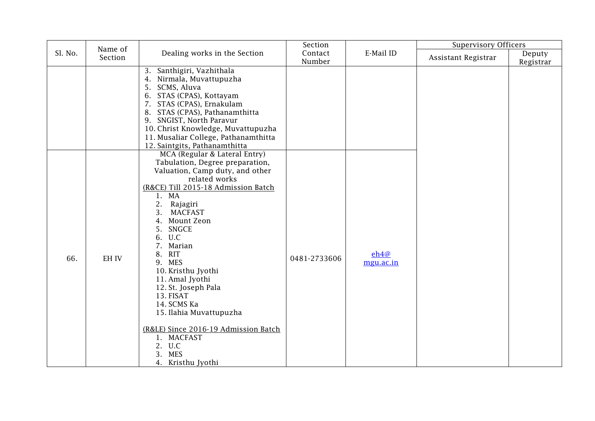|         | Name of |                                                                                                                                                                                                                                                                                                                                                                                                                                                                                                                     | Section           |                   | <b>Supervisory Officers</b> |                     |
|---------|---------|---------------------------------------------------------------------------------------------------------------------------------------------------------------------------------------------------------------------------------------------------------------------------------------------------------------------------------------------------------------------------------------------------------------------------------------------------------------------------------------------------------------------|-------------------|-------------------|-----------------------------|---------------------|
| Sl. No. | Section | Dealing works in the Section                                                                                                                                                                                                                                                                                                                                                                                                                                                                                        | Contact<br>Number | E-Mail ID         | Assistant Registrar         | Deputy<br>Registrar |
|         |         | 3. Santhigiri, Vazhithala<br>4. Nirmala, Muvattupuzha<br>SCMS, Aluva<br>5.<br>6. STAS (CPAS), Kottayam<br>7. STAS (CPAS), Ernakulam<br>8. STAS (CPAS), Pathanamthitta<br>9. SNGIST, North Paravur<br>10. Christ Knowledge, Muvattupuzha<br>11. Musaliar College, Pathanamthitta<br>12. Saintgits, Pathanamthitta                                                                                                                                                                                                    |                   |                   |                             |                     |
| 66.     | EH IV   | MCA (Regular & Lateral Entry)<br>Tabulation, Degree preparation,<br>Valuation, Camp duty, and other<br>related works<br>(R&CE) Till 2015-18 Admission Batch<br>1. MA<br>2. Rajagiri<br><b>MACFAST</b><br>3.<br>4. Mount Zeon<br>5. SNGCE<br>6. U.C<br>7. Marian<br>8. RIT<br>9. MES<br>10. Kristhu Jyothi<br>11. Amal Jyothi<br>12. St. Joseph Pala<br>13. FISAT<br>14. SCMS Ka<br>15. Ilahia Muvattupuzha<br>(R&LE) Since 2016-19 Admission Batch<br>1. MACFAST<br>2. U.C<br>3.<br><b>MES</b><br>4. Kristhu Jyothi | 0481-2733606      | eh4@<br>mgu.ac.in |                             |                     |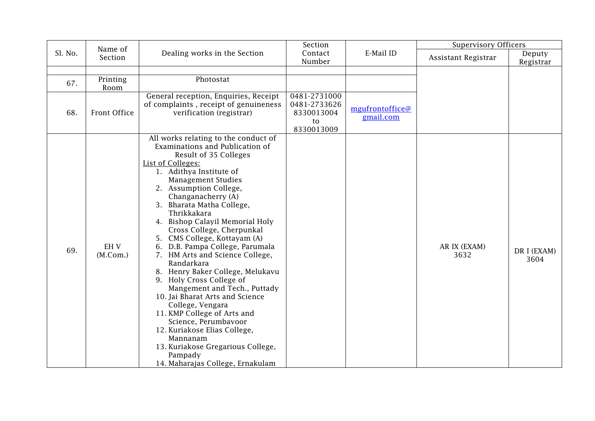|         | Name of                |                                                                                                                                                                                                                                                                                                                                                                                                                                                                                                                                                                                                                                                                                                                                                                                                             | Section                                                        |                              | <b>Supervisory Officers</b> |                     |
|---------|------------------------|-------------------------------------------------------------------------------------------------------------------------------------------------------------------------------------------------------------------------------------------------------------------------------------------------------------------------------------------------------------------------------------------------------------------------------------------------------------------------------------------------------------------------------------------------------------------------------------------------------------------------------------------------------------------------------------------------------------------------------------------------------------------------------------------------------------|----------------------------------------------------------------|------------------------------|-----------------------------|---------------------|
| Sl. No. | Section                | Dealing works in the Section                                                                                                                                                                                                                                                                                                                                                                                                                                                                                                                                                                                                                                                                                                                                                                                | Contact<br>Number                                              | E-Mail ID                    | Assistant Registrar         | Deputy<br>Registrar |
| 67.     | Printing<br>Room       | Photostat                                                                                                                                                                                                                                                                                                                                                                                                                                                                                                                                                                                                                                                                                                                                                                                                   |                                                                |                              |                             |                     |
| 68.     | Front Office           | General reception, Enquiries, Receipt<br>of complaints, receipt of genuineness<br>verification (registrar)                                                                                                                                                                                                                                                                                                                                                                                                                                                                                                                                                                                                                                                                                                  | 0481-2731000<br>0481-2733626<br>8330013004<br>to<br>8330013009 | mgufrontoffice@<br>gmail.com |                             |                     |
| 69.     | <b>EHV</b><br>(M.Com.) | All works relating to the conduct of<br>Examinations and Publication of<br>Result of 35 Colleges<br>List of Colleges:<br>1. Adithya Institute of<br><b>Management Studies</b><br>2. Assumption College,<br>Changanacherry (A)<br>3. Bharata Matha College,<br>Thrikkakara<br>4. Bishop Calayil Memorial Holy<br>Cross College, Cherpunkal<br>5. CMS College, Kottayam (A)<br>6. D.B. Pampa College, Parumala<br>7. HM Arts and Science College,<br>Randarkara<br>8. Henry Baker College, Melukavu<br>9. Holy Cross College of<br>Mangement and Tech., Puttady<br>10. Jai Bharat Arts and Science<br>College, Vengara<br>11. KMP College of Arts and<br>Science, Perumbavoor<br>12. Kuriakose Elias College,<br>Mannanam<br>13. Kuriakose Gregarious College,<br>Pampady<br>14. Maharajas College, Ernakulam |                                                                |                              | AR IX (EXAM)<br>3632        | DR I (EXAM)<br>3604 |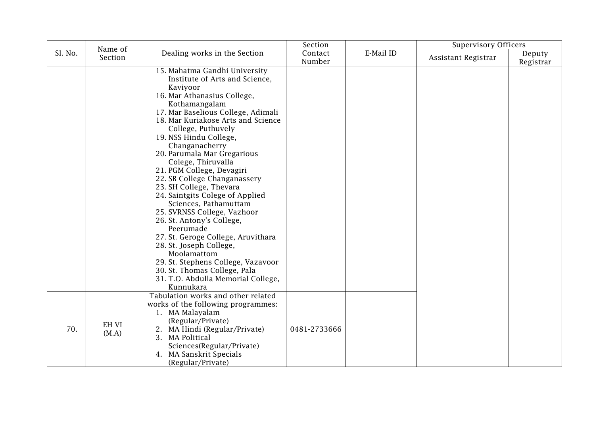|         | Name of        |                                                                                                                                                                                                                                                                                                                                                                                                                                                                                                                                                                                                                                                                                                                                                                      | Section           |           | <b>Supervisory Officers</b> |                     |
|---------|----------------|----------------------------------------------------------------------------------------------------------------------------------------------------------------------------------------------------------------------------------------------------------------------------------------------------------------------------------------------------------------------------------------------------------------------------------------------------------------------------------------------------------------------------------------------------------------------------------------------------------------------------------------------------------------------------------------------------------------------------------------------------------------------|-------------------|-----------|-----------------------------|---------------------|
| Sl. No. | Section        | Dealing works in the Section                                                                                                                                                                                                                                                                                                                                                                                                                                                                                                                                                                                                                                                                                                                                         | Contact<br>Number | E-Mail ID | Assistant Registrar         | Deputy<br>Registrar |
|         |                | 15. Mahatma Gandhi University<br>Institute of Arts and Science,<br>Kaviyoor<br>16. Mar Athanasius College,<br>Kothamangalam<br>17. Mar Baselious College, Adimali<br>18. Mar Kuriakose Arts and Science<br>College, Puthuvely<br>19. NSS Hindu College,<br>Changanacherry<br>20. Parumala Mar Gregarious<br>Colege, Thiruvalla<br>21. PGM College, Devagiri<br>22. SB College Changanassery<br>23. SH College, Thevara<br>24. Saintgits Colege of Applied<br>Sciences, Pathamuttam<br>25. SVRNSS College, Vazhoor<br>26. St. Antony's College,<br>Peerumade<br>27. St. Geroge College, Aruvithara<br>28. St. Joseph College,<br>Moolamattom<br>29. St. Stephens College, Vazavoor<br>30. St. Thomas College, Pala<br>31. T.O. Abdulla Memorial College,<br>Kunnukara |                   |           |                             |                     |
| 70.     | EH VI<br>(M.A) | Tabulation works and other related<br>works of the following programmes:<br>1. MA Malayalam<br>(Regular/Private)<br>2. MA Hindi (Regular/Private)<br>3. MA Political<br>Sciences(Regular/Private)<br>4. MA Sanskrit Specials<br>(Regular/Private)                                                                                                                                                                                                                                                                                                                                                                                                                                                                                                                    | 0481-2733666      |           |                             |                     |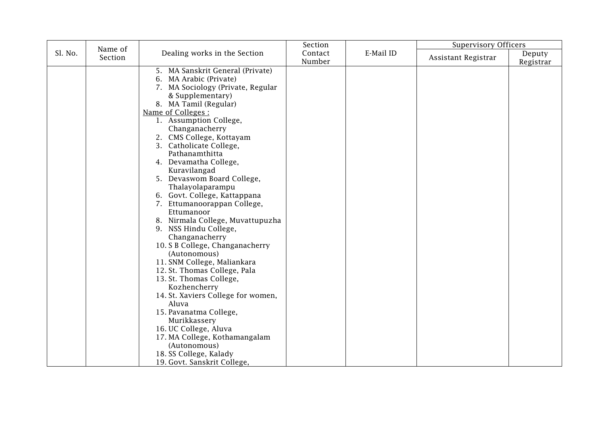|         |                    |                                    | Section |           | <b>Supervisory Officers</b> |           |
|---------|--------------------|------------------------------------|---------|-----------|-----------------------------|-----------|
| Sl. No. | Name of<br>Section | Dealing works in the Section       | Contact | E-Mail ID |                             | Deputy    |
|         |                    |                                    | Number  |           | Assistant Registrar         | Registrar |
|         |                    | 5. MA Sanskrit General (Private)   |         |           |                             |           |
|         |                    | 6. MA Arabic (Private)             |         |           |                             |           |
|         |                    | 7. MA Sociology (Private, Regular  |         |           |                             |           |
|         |                    | & Supplementary)                   |         |           |                             |           |
|         |                    | 8. MA Tamil (Regular)              |         |           |                             |           |
|         |                    | Name of Colleges :                 |         |           |                             |           |
|         |                    | 1. Assumption College,             |         |           |                             |           |
|         |                    | Changanacherry                     |         |           |                             |           |
|         |                    | 2. CMS College, Kottayam           |         |           |                             |           |
|         |                    | 3. Catholicate College,            |         |           |                             |           |
|         |                    | Pathanamthitta                     |         |           |                             |           |
|         |                    | 4. Devamatha College,              |         |           |                             |           |
|         |                    | Kuravilangad                       |         |           |                             |           |
|         |                    | 5. Devaswom Board College,         |         |           |                             |           |
|         |                    | Thalayolaparampu                   |         |           |                             |           |
|         |                    | 6. Govt. College, Kattappana       |         |           |                             |           |
|         |                    | 7. Ettumanoorappan College,        |         |           |                             |           |
|         |                    | Ettumanoor                         |         |           |                             |           |
|         |                    | 8. Nirmala College, Muvattupuzha   |         |           |                             |           |
|         |                    | 9. NSS Hindu College,              |         |           |                             |           |
|         |                    | Changanacherry                     |         |           |                             |           |
|         |                    | 10. S B College, Changanacherry    |         |           |                             |           |
|         |                    | (Autonomous)                       |         |           |                             |           |
|         |                    | 11. SNM College, Maliankara        |         |           |                             |           |
|         |                    | 12. St. Thomas College, Pala       |         |           |                             |           |
|         |                    | 13. St. Thomas College,            |         |           |                             |           |
|         |                    | Kozhencherry                       |         |           |                             |           |
|         |                    | 14. St. Xaviers College for women, |         |           |                             |           |
|         |                    | Aluva                              |         |           |                             |           |
|         |                    | 15. Pavanatma College,             |         |           |                             |           |
|         |                    | Murikkassery                       |         |           |                             |           |
|         |                    | 16. UC College, Aluva              |         |           |                             |           |
|         |                    | 17. MA College, Kothamangalam      |         |           |                             |           |
|         |                    | (Autonomous)                       |         |           |                             |           |
|         |                    | 18. SS College, Kalady             |         |           |                             |           |
|         |                    | 19. Govt. Sanskrit College,        |         |           |                             |           |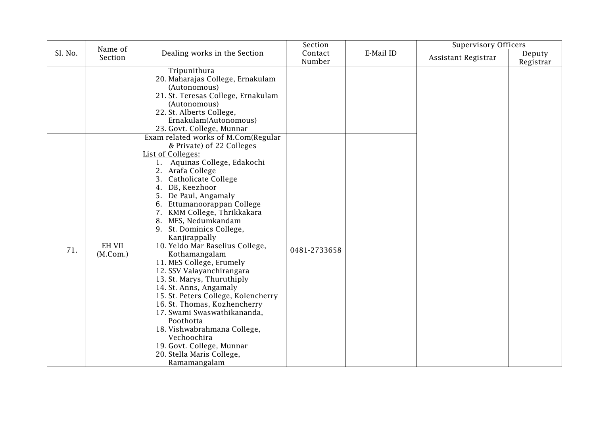|         | Name of                   |                                                                                                                                                                                                                                                                                                                                                                                                                                                                                                                                                                                                                                                                                                                                                                 | Section           |           | <b>Supervisory Officers</b> |                     |
|---------|---------------------------|-----------------------------------------------------------------------------------------------------------------------------------------------------------------------------------------------------------------------------------------------------------------------------------------------------------------------------------------------------------------------------------------------------------------------------------------------------------------------------------------------------------------------------------------------------------------------------------------------------------------------------------------------------------------------------------------------------------------------------------------------------------------|-------------------|-----------|-----------------------------|---------------------|
| Sl. No. | Section                   | Dealing works in the Section                                                                                                                                                                                                                                                                                                                                                                                                                                                                                                                                                                                                                                                                                                                                    | Contact<br>Number | E-Mail ID | Assistant Registrar         | Deputy<br>Registrar |
|         |                           | Tripunithura<br>20. Maharajas College, Ernakulam<br>(Autonomous)<br>21. St. Teresas College, Ernakulam<br>(Autonomous)<br>22. St. Alberts College,<br>Ernakulam(Autonomous)<br>23. Govt. College, Munnar                                                                                                                                                                                                                                                                                                                                                                                                                                                                                                                                                        |                   |           |                             |                     |
| 71.     | <b>EH VII</b><br>(M.Com.) | Exam related works of M.Com(Regular<br>& Private) of 22 Colleges<br>List of Colleges:<br>1. Aquinas College, Edakochi<br>2. Arafa College<br>3. Catholicate College<br>4. DB, Keezhoor<br>5. De Paul, Angamaly<br>6. Ettumanoorappan College<br>7. KMM College, Thrikkakara<br>8. MES, Nedumkandam<br>9. St. Dominics College,<br>Kanjirappally<br>10. Yeldo Mar Baselius College,<br>Kothamangalam<br>11. MES College, Erumely<br>12. SSV Valayanchirangara<br>13. St. Marys, Thuruthiply<br>14. St. Anns, Angamaly<br>15. St. Peters College, Kolencherry<br>16. St. Thomas, Kozhencherry<br>17. Swami Swaswathikananda,<br>Poothotta<br>18. Vishwabrahmana College,<br>Vechoochira<br>19. Govt. College, Munnar<br>20. Stella Maris College,<br>Ramamangalam | 0481-2733658      |           |                             |                     |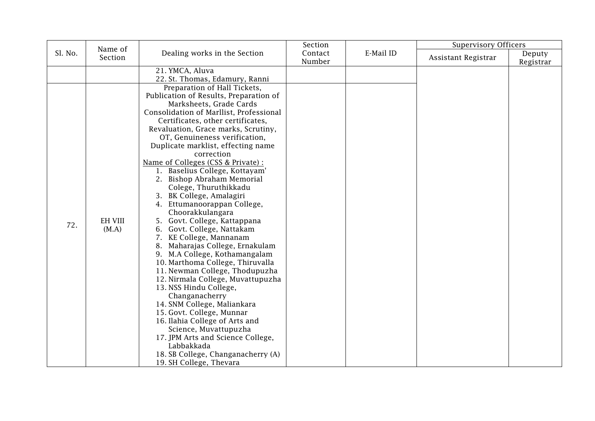|         |                                    |                                                                                                                                                                                                                                                                                                                                                                                                                                                                                                                                                                                                                                                                                                                                                                                                                                                                                                      | Section |           | <b>Supervisory Officers</b> |           |
|---------|------------------------------------|------------------------------------------------------------------------------------------------------------------------------------------------------------------------------------------------------------------------------------------------------------------------------------------------------------------------------------------------------------------------------------------------------------------------------------------------------------------------------------------------------------------------------------------------------------------------------------------------------------------------------------------------------------------------------------------------------------------------------------------------------------------------------------------------------------------------------------------------------------------------------------------------------|---------|-----------|-----------------------------|-----------|
| Sl. No. | Section                            | Dealing works in the Section                                                                                                                                                                                                                                                                                                                                                                                                                                                                                                                                                                                                                                                                                                                                                                                                                                                                         | Contact | E-Mail ID | Assistant Registrar         | Deputy    |
| 72.     | Name of<br><b>EH VIII</b><br>(M.A) | 21. YMCA, Aluva<br>22. St. Thomas, Edamury, Ranni<br>Preparation of Hall Tickets,<br>Publication of Results, Preparation of<br>Marksheets, Grade Cards<br>Consolidation of Marllist, Professional<br>Certificates, other certificates,<br>Revaluation, Grace marks, Scrutiny,<br>OT, Genuineness verification,<br>Duplicate marklist, effecting name<br>correction<br>Name of Colleges (CSS & Private) :<br>1. Baselius College, Kottayam'<br>2. Bishop Abraham Memorial<br>Colege, Thuruthikkadu<br>3. BK College, Amalagiri<br>4. Ettumanoorappan College,<br>Choorakkulangara<br>5. Govt. College, Kattappana<br>6. Govt. College, Nattakam<br>7. KE College, Mannanam<br>8. Maharajas College, Ernakulam<br>9. M.A College, Kothamangalam<br>10. Marthoma College, Thiruvalla<br>11. Newman College, Thodupuzha<br>12. Nirmala College, Muvattupuzha<br>13. NSS Hindu College,<br>Changanacherry | Number  |           |                             | Registrar |
|         |                                    | 14. SNM College, Maliankara<br>15. Govt. College, Munnar                                                                                                                                                                                                                                                                                                                                                                                                                                                                                                                                                                                                                                                                                                                                                                                                                                             |         |           |                             |           |
|         |                                    | 16. Ilahia College of Arts and<br>Science, Muvattupuzha                                                                                                                                                                                                                                                                                                                                                                                                                                                                                                                                                                                                                                                                                                                                                                                                                                              |         |           |                             |           |
|         |                                    | 17. JPM Arts and Science College,<br>Labbakkada<br>18. SB College, Changanacherry (A)<br>19. SH College, Thevara                                                                                                                                                                                                                                                                                                                                                                                                                                                                                                                                                                                                                                                                                                                                                                                     |         |           |                             |           |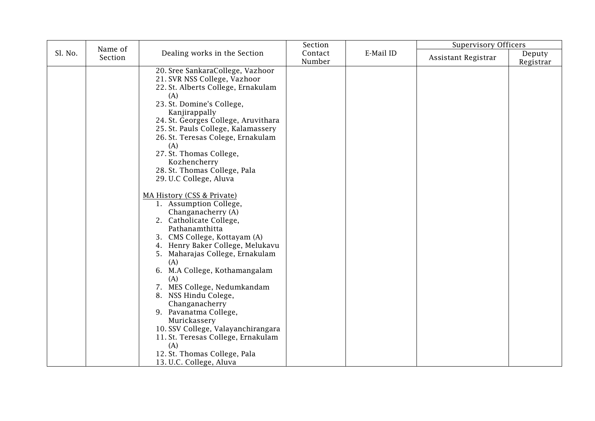|         | Name of |                                                                                                                                                                                                                                                                                                                                                                                                                                                                                                                                                                                                                                                                                                                                                                                                                                                                                                                 | Section           |           | <b>Supervisory Officers</b> |                     |
|---------|---------|-----------------------------------------------------------------------------------------------------------------------------------------------------------------------------------------------------------------------------------------------------------------------------------------------------------------------------------------------------------------------------------------------------------------------------------------------------------------------------------------------------------------------------------------------------------------------------------------------------------------------------------------------------------------------------------------------------------------------------------------------------------------------------------------------------------------------------------------------------------------------------------------------------------------|-------------------|-----------|-----------------------------|---------------------|
| Sl. No. | Section | Dealing works in the Section                                                                                                                                                                                                                                                                                                                                                                                                                                                                                                                                                                                                                                                                                                                                                                                                                                                                                    | Contact<br>Number | E-Mail ID | Assistant Registrar         | Deputy<br>Registrar |
|         |         | 20. Sree SankaraCollege, Vazhoor<br>21. SVR NSS College, Vazhoor<br>22. St. Alberts College, Ernakulam<br>(A)<br>23. St. Domine's College,<br>Kanjirappally<br>24. St. Georges College, Aruvithara<br>25. St. Pauls College, Kalamassery<br>26. St. Teresas Colege, Ernakulam<br>(A)<br>27. St. Thomas College,<br>Kozhencherry<br>28. St. Thomas College, Pala<br>29. U.C College, Aluva<br>MA History (CSS & Private)<br>1. Assumption College,<br>Changanacherry (A)<br>2. Catholicate College,<br>Pathanamthitta<br>3. CMS College, Kottayam (A)<br>4. Henry Baker College, Melukavu<br>5. Maharajas College, Ernakulam<br>(A)<br>6. M.A College, Kothamangalam<br>(A)<br>7. MES College, Nedumkandam<br>8. NSS Hindu Colege,<br>Changanacherry<br>9. Pavanatma College,<br>Murickassery<br>10. SSV College, Valayanchirangara<br>11. St. Teresas College, Ernakulam<br>(A)<br>12. St. Thomas College, Pala |                   |           |                             |                     |
|         |         | 13. U.C. College, Aluva                                                                                                                                                                                                                                                                                                                                                                                                                                                                                                                                                                                                                                                                                                                                                                                                                                                                                         |                   |           |                             |                     |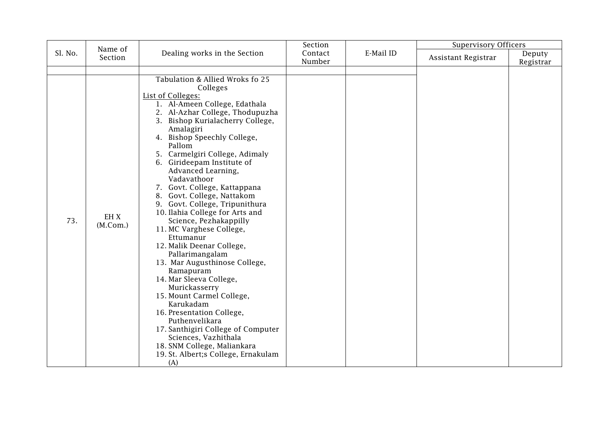|         | Name of          |                                                                                                                                                                                                                                                                                                                                                                                                                                                                                                                                                                                                                                                                                                                                                                                                                                                                                                                          | Section           |           | <b>Supervisory Officers</b> |                     |
|---------|------------------|--------------------------------------------------------------------------------------------------------------------------------------------------------------------------------------------------------------------------------------------------------------------------------------------------------------------------------------------------------------------------------------------------------------------------------------------------------------------------------------------------------------------------------------------------------------------------------------------------------------------------------------------------------------------------------------------------------------------------------------------------------------------------------------------------------------------------------------------------------------------------------------------------------------------------|-------------------|-----------|-----------------------------|---------------------|
| Sl. No. | Section          | Dealing works in the Section                                                                                                                                                                                                                                                                                                                                                                                                                                                                                                                                                                                                                                                                                                                                                                                                                                                                                             | Contact<br>Number | E-Mail ID | Assistant Registrar         | Deputy<br>Registrar |
|         |                  |                                                                                                                                                                                                                                                                                                                                                                                                                                                                                                                                                                                                                                                                                                                                                                                                                                                                                                                          |                   |           |                             |                     |
| 73.     | EH X<br>(M.Com.) | Tabulation & Allied Wroks fo 25<br>Colleges<br>List of Colleges:<br>1. Al-Ameen College, Edathala<br>2. Al-Azhar College, Thodupuzha<br>3. Bishop Kurialacherry College,<br>Amalagiri<br>4. Bishop Speechly College,<br>Pallom<br>5. Carmelgiri College, Adimaly<br>6. Girideepam Institute of<br>Advanced Learning,<br>Vadavathoor<br>7. Govt. College, Kattappana<br>8. Govt. College, Nattakom<br>9. Govt. College, Tripunithura<br>10. Ilahia College for Arts and<br>Science, Pezhakappilly<br>11. MC Varghese College,<br>Ettumanur<br>12. Malik Deenar College,<br>Pallarimangalam<br>13. Mar Augusthinose College,<br>Ramapuram<br>14. Mar Sleeva College,<br>Murickasserry<br>15. Mount Carmel College,<br>Karukadam<br>16. Presentation College,<br>Puthenvelikara<br>17. Santhigiri College of Computer<br>Sciences, Vazhithala<br>18. SNM College, Maliankara<br>19. St. Albert; s College, Ernakulam<br>(A) |                   |           |                             |                     |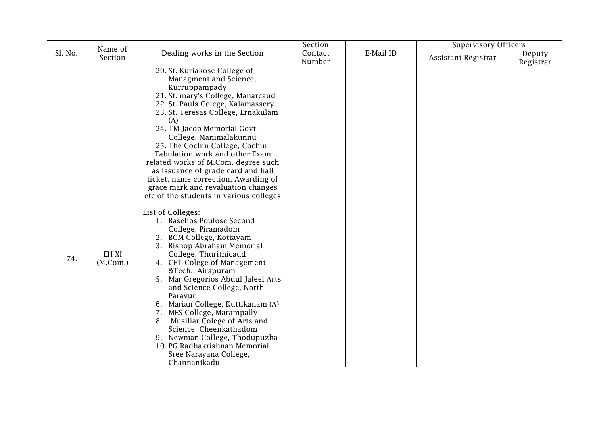|         | Name of           |                                                                                                                                                                                                                                                                                                                                                                                                                                                                                                                                                                                                                                                                                                                                                                                       | Section           |           | <b>Supervisory Officers</b> |                     |
|---------|-------------------|---------------------------------------------------------------------------------------------------------------------------------------------------------------------------------------------------------------------------------------------------------------------------------------------------------------------------------------------------------------------------------------------------------------------------------------------------------------------------------------------------------------------------------------------------------------------------------------------------------------------------------------------------------------------------------------------------------------------------------------------------------------------------------------|-------------------|-----------|-----------------------------|---------------------|
| Sl. No. | Section           | Dealing works in the Section                                                                                                                                                                                                                                                                                                                                                                                                                                                                                                                                                                                                                                                                                                                                                          | Contact<br>Number | E-Mail ID | Assistant Registrar         | Deputy<br>Registrar |
|         |                   | 20. St. Kuriakose College of<br>Managment and Science,<br>Kurruppampady<br>21. St. mary's College, Manarcaud<br>22. St. Pauls Colege, Kalamassery<br>23. St. Teresas College, Ernakulam<br>(A)<br>24. TM Jacob Memorial Govt.<br>College, Manimalakunnu<br>25. The Cochin College, Cochin                                                                                                                                                                                                                                                                                                                                                                                                                                                                                             |                   |           |                             |                     |
| 74.     | EH XI<br>(M.Com.) | Tabulation work and other Exam<br>related works of M.Com. degree such<br>as issuance of grade card and hall<br>ticket, name correction, Awarding of<br>grace mark and revaluation changes<br>etc of the students in various colleges<br><b>List of Colleges:</b><br>1. Baselios Poulose Second<br>College, Piramadom<br>2. BCM College, Kottayam<br>3. Bishop Abraham Memorial<br>College, Thurithicaud<br>4. CET Colege of Management<br>&Tech., Airapuram<br>5. Mar Gregorios Abdul Jaleel Arts<br>and Science College, North<br>Paravur<br>6. Marian College, Kuttikanam (A)<br>7. MES College, Marampally<br>8. Musiliar Colege of Arts and<br>Science, Cheenkathadom<br>9. Newman College, Thodupuzha<br>10. PG Radhakrishnan Memorial<br>Sree Narayana College,<br>Channanikadu |                   |           |                             |                     |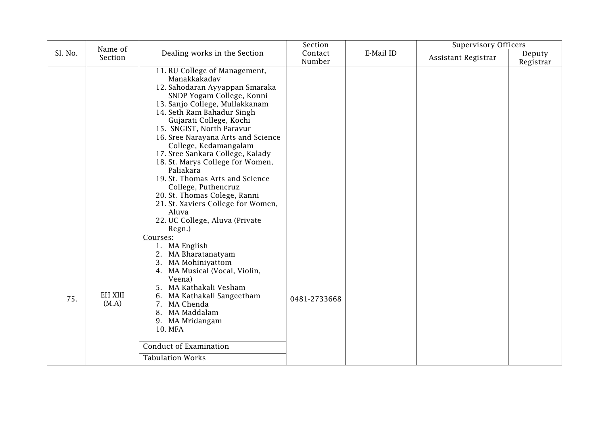|         | Name of                 |                                                                                                                                                                                                                                                                                                                                                                                                                                                                                                                                                                               | Section           |           | <b>Supervisory Officers</b> |                     |
|---------|-------------------------|-------------------------------------------------------------------------------------------------------------------------------------------------------------------------------------------------------------------------------------------------------------------------------------------------------------------------------------------------------------------------------------------------------------------------------------------------------------------------------------------------------------------------------------------------------------------------------|-------------------|-----------|-----------------------------|---------------------|
| Sl. No. | Section                 | Dealing works in the Section                                                                                                                                                                                                                                                                                                                                                                                                                                                                                                                                                  | Contact<br>Number | E-Mail ID | Assistant Registrar         | Deputy<br>Registrar |
|         |                         | 11. RU College of Management,<br>Manakkakadav<br>12. Sahodaran Ayyappan Smaraka<br>SNDP Yogam College, Konni<br>13. Sanjo College, Mullakkanam<br>14. Seth Ram Bahadur Singh<br>Gujarati College, Kochi<br>15. SNGIST, North Paravur<br>16. Sree Narayana Arts and Science<br>College, Kedamangalam<br>17. Sree Sankara College, Kalady<br>18. St. Marys College for Women,<br>Paliakara<br>19. St. Thomas Arts and Science<br>College, Puthencruz<br>20. St. Thomas Colege, Ranni<br>21. St. Xaviers College for Women,<br>Aluva<br>22. UC College, Aluva (Private<br>Regn.) |                   |           |                             |                     |
| 75.     | <b>EH XIII</b><br>(M.A) | Courses:<br>1. MA English<br>2. MA Bharatanatyam<br>3. MA Mohiniyattom<br>4. MA Musical (Vocal, Violin,<br>Veena)<br>5. MA Kathakali Vesham<br>6. MA Kathakali Sangeetham<br>7. MA Chenda<br>8. MA Maddalam<br>9. MA Mridangam<br>10. MFA<br><b>Conduct of Examination</b><br><b>Tabulation Works</b>                                                                                                                                                                                                                                                                         | 0481-2733668      |           |                             |                     |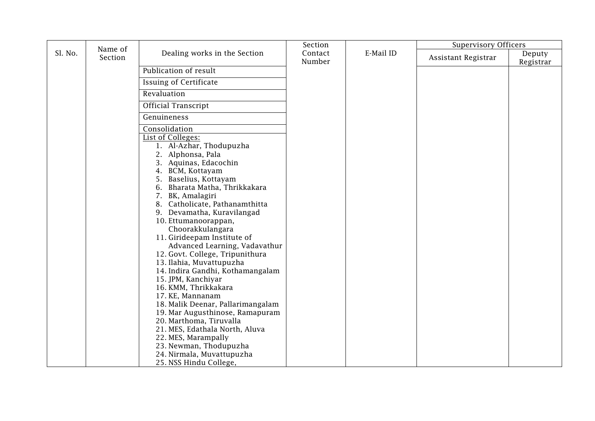|         |                    |                                                       | Section           |           | <b>Supervisory Officers</b> |                     |
|---------|--------------------|-------------------------------------------------------|-------------------|-----------|-----------------------------|---------------------|
| Sl. No. | Name of<br>Section | Dealing works in the Section                          | Contact<br>Number | E-Mail ID | Assistant Registrar         | Deputy<br>Registrar |
|         |                    | Publication of result                                 |                   |           |                             |                     |
|         |                    | <b>Issuing of Certificate</b>                         |                   |           |                             |                     |
|         |                    | Revaluation                                           |                   |           |                             |                     |
|         |                    | <b>Official Transcript</b>                            |                   |           |                             |                     |
|         |                    | Genuineness                                           |                   |           |                             |                     |
|         |                    | Consolidation                                         |                   |           |                             |                     |
|         |                    | List of Colleges:                                     |                   |           |                             |                     |
|         |                    | 1. Al-Azhar, Thodupuzha<br>2. Alphonsa, Pala          |                   |           |                             |                     |
|         |                    | 3. Aquinas, Edacochin                                 |                   |           |                             |                     |
|         |                    | 4. BCM, Kottayam                                      |                   |           |                             |                     |
|         |                    | 5. Baselius, Kottayam                                 |                   |           |                             |                     |
|         |                    | 6. Bharata Matha, Thrikkakara<br>7. BK, Amalagiri     |                   |           |                             |                     |
|         |                    | 8. Catholicate, Pathanamthitta                        |                   |           |                             |                     |
|         |                    | 9. Devamatha, Kuravilangad                            |                   |           |                             |                     |
|         |                    | 10. Ettumanoorappan,                                  |                   |           |                             |                     |
|         |                    | Choorakkulangara                                      |                   |           |                             |                     |
|         |                    | 11. Girideepam Institute of                           |                   |           |                             |                     |
|         |                    | Advanced Learning, Vadavathur                         |                   |           |                             |                     |
|         |                    | 12. Govt. College, Tripunithura                       |                   |           |                             |                     |
|         |                    | 13. Ilahia, Muvattupuzha                              |                   |           |                             |                     |
|         |                    | 14. Indira Gandhi, Kothamangalam                      |                   |           |                             |                     |
|         |                    | 15. JPM, Kanchiyar                                    |                   |           |                             |                     |
|         |                    | 16. KMM, Thrikkakara                                  |                   |           |                             |                     |
|         |                    | 17. KE, Mannanam<br>18. Malik Deenar, Pallarimangalam |                   |           |                             |                     |
|         |                    | 19. Mar Augusthinose, Ramapuram                       |                   |           |                             |                     |
|         |                    | 20. Marthoma, Tiruvalla                               |                   |           |                             |                     |
|         |                    | 21. MES, Edathala North, Aluva                        |                   |           |                             |                     |
|         |                    | 22. MES, Marampally                                   |                   |           |                             |                     |
|         |                    | 23. Newman, Thodupuzha                                |                   |           |                             |                     |
|         |                    | 24. Nirmala, Muvattupuzha                             |                   |           |                             |                     |
|         |                    | 25. NSS Hindu College,                                |                   |           |                             |                     |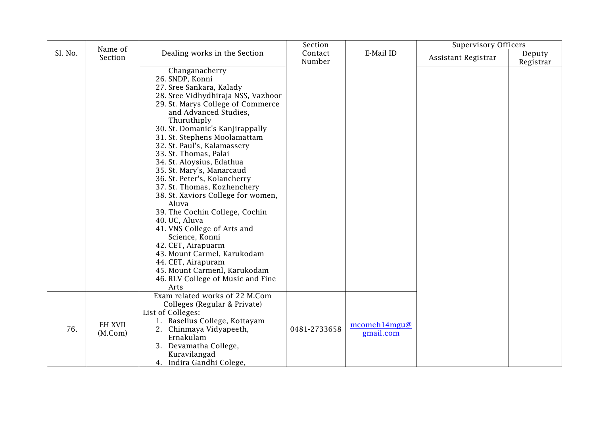|         |                           |                                                                                                                                                                                                                                                                                                                                                                                                                                                                                                                                                                                                                                                                                                                                                 | Section           |                                 | <b>Supervisory Officers</b> |                     |
|---------|---------------------------|-------------------------------------------------------------------------------------------------------------------------------------------------------------------------------------------------------------------------------------------------------------------------------------------------------------------------------------------------------------------------------------------------------------------------------------------------------------------------------------------------------------------------------------------------------------------------------------------------------------------------------------------------------------------------------------------------------------------------------------------------|-------------------|---------------------------------|-----------------------------|---------------------|
| Sl. No. | Name of<br>Section        | Dealing works in the Section                                                                                                                                                                                                                                                                                                                                                                                                                                                                                                                                                                                                                                                                                                                    | Contact<br>Number | E-Mail ID                       | Assistant Registrar         | Deputy<br>Registrar |
|         |                           | Changanacherry<br>26. SNDP, Konni<br>27. Sree Sankara, Kalady<br>28. Sree Vidhydhiraja NSS, Vazhoor<br>29. St. Marys College of Commerce<br>and Advanced Studies,<br>Thuruthiply<br>30. St. Domanic's Kanjirappally<br>31. St. Stephens Moolamattam<br>32. St. Paul's, Kalamassery<br>33. St. Thomas, Palai<br>34. St. Aloysius, Edathua<br>35. St. Mary's, Manarcaud<br>36. St. Peter's, Kolancherry<br>37. St. Thomas, Kozhenchery<br>38. St. Xaviors College for women,<br>Aluva<br>39. The Cochin College, Cochin<br>40. UC, Aluva<br>41. VNS College of Arts and<br>Science, Konni<br>42. CET, Airapuarm<br>43. Mount Carmel, Karukodam<br>44. CET, Airapuram<br>45. Mount Carmenl, Karukodam<br>46. RLV College of Music and Fine<br>Arts |                   |                                 |                             |                     |
| 76.     | <b>EH XVII</b><br>(M.Com) | Exam related works of 22 M.Com<br>Colleges (Regular & Private)<br>List of Colleges:<br>1. Baselius College, Kottayam<br>2. Chinmaya Vidyapeeth,<br>Ernakulam<br>3. Devamatha College,<br>Kuravilangad<br>4. Indira Gandhi Colege,                                                                                                                                                                                                                                                                                                                                                                                                                                                                                                               | 0481-2733658      | $mcomeh14$ mgu $@$<br>gmail.com |                             |                     |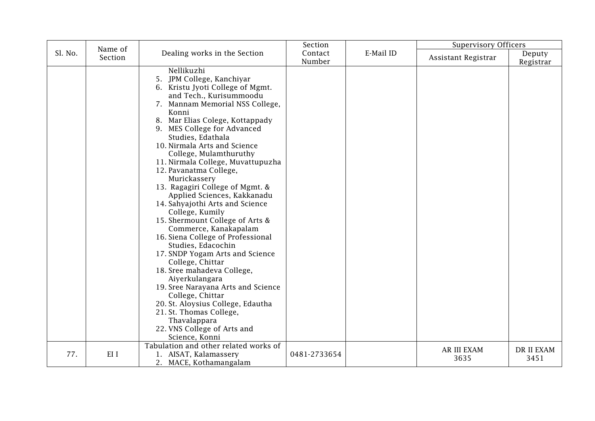|         |                    |                                                                                                                                                                                                                                                                                                                                                                                                                                                                                                                                                                                                                                                                                                                                                                                                                                                                                                                                     | Section           |           | <b>Supervisory Officers</b> |                     |
|---------|--------------------|-------------------------------------------------------------------------------------------------------------------------------------------------------------------------------------------------------------------------------------------------------------------------------------------------------------------------------------------------------------------------------------------------------------------------------------------------------------------------------------------------------------------------------------------------------------------------------------------------------------------------------------------------------------------------------------------------------------------------------------------------------------------------------------------------------------------------------------------------------------------------------------------------------------------------------------|-------------------|-----------|-----------------------------|---------------------|
| Sl. No. | Name of<br>Section | Dealing works in the Section                                                                                                                                                                                                                                                                                                                                                                                                                                                                                                                                                                                                                                                                                                                                                                                                                                                                                                        | Contact<br>Number | E-Mail ID | Assistant Registrar         | Deputy<br>Registrar |
|         |                    | Nellikuzhi<br>5. JPM College, Kanchiyar<br>6. Kristu Jyoti College of Mgmt.<br>and Tech., Kurisummoodu<br>7. Mannam Memorial NSS College,<br>Konni<br>8. Mar Elias Colege, Kottappady<br>9. MES College for Advanced<br>Studies, Edathala<br>10. Nirmala Arts and Science<br>College, Mulamthuruthy<br>11. Nirmala College, Muvattupuzha<br>12. Pavanatma College,<br>Murickassery<br>13. Ragagiri College of Mgmt. &<br>Applied Sciences, Kakkanadu<br>14. Sahyajothi Arts and Science<br>College, Kumily<br>15. Shermount College of Arts &<br>Commerce, Kanakapalam<br>16. Siena College of Professional<br>Studies, Edacochin<br>17. SNDP Yogam Arts and Science<br>College, Chittar<br>18. Sree mahadeva College,<br>Aiyerkulangara<br>19. Sree Narayana Arts and Science<br>College, Chittar<br>20. St. Aloysius College, Edautha<br>21. St. Thomas College,<br>Thavalappara<br>22. VNS College of Arts and<br>Science, Konni |                   |           |                             |                     |
| 77.     | EI I               | Tabulation and other related works of<br>1. AISAT, Kalamassery<br>2. MACE, Kothamangalam                                                                                                                                                                                                                                                                                                                                                                                                                                                                                                                                                                                                                                                                                                                                                                                                                                            | 0481-2733654      |           | AR III EXAM<br>3635         | DR II EXAM<br>3451  |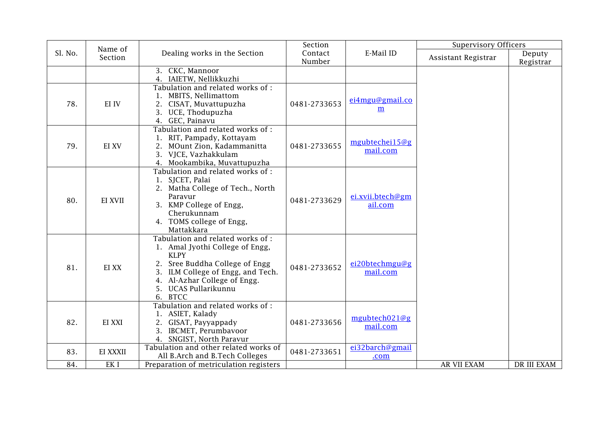|         | Name of         |                                                                      | Section      |                  | <b>Supervisory Officers</b> |             |
|---------|-----------------|----------------------------------------------------------------------|--------------|------------------|-----------------------------|-------------|
| Sl. No. | Section         | Dealing works in the Section                                         | Contact      | E-Mail ID        | Assistant Registrar         | Deputy      |
|         |                 |                                                                      | Number       |                  |                             | Registrar   |
|         |                 | 3. CKC, Mannoor                                                      |              |                  |                             |             |
|         |                 | 4. IAIETW, Nellikkuzhi                                               |              |                  |                             |             |
|         |                 | Tabulation and related works of :<br>1. MBITS, Nellimattom           |              |                  |                             |             |
| 78.     | EI IV           | CISAT, Muvattupuzha<br>2.                                            | 0481-2733653 | ei4mgu@gmail.co  |                             |             |
|         |                 | 3. UCE, Thodupuzha                                                   |              | m                |                             |             |
|         |                 | 4. GEC, Painavu                                                      |              |                  |                             |             |
|         |                 | Tabulation and related works of:                                     |              |                  |                             |             |
|         |                 | 1. RIT, Pampady, Kottayam                                            |              | mgubtechei15@g   |                             |             |
| 79.     | EI XV           | 2. MOunt Zion, Kadammanitta                                          | 0481-2733655 | mail.com         |                             |             |
|         |                 | 3. VJCE, Vazhakkulam                                                 |              |                  |                             |             |
|         |                 | 4. Mookambika, Muvattupuzha<br>Tabulation and related works of :     |              |                  |                             |             |
|         |                 | 1. SJCET, Palai                                                      |              |                  |                             |             |
|         |                 | 2. Matha College of Tech., North                                     |              |                  |                             |             |
|         | EI XVII         | Paravur                                                              | 0481-2733629 | ei.xvii.btech@gm |                             |             |
| 80.     |                 | 3. KMP College of Engg,                                              |              | ail.com          |                             |             |
|         |                 | Cherukunnam                                                          |              |                  |                             |             |
|         |                 | 4. TOMS college of Engg,                                             |              |                  |                             |             |
|         |                 | Mattakkara                                                           |              |                  |                             |             |
|         |                 | Tabulation and related works of :<br>1. Amal Jyothi College of Engg, |              |                  |                             |             |
|         |                 | <b>KLPY</b>                                                          |              |                  |                             |             |
|         |                 | 2. Sree Buddha College of Engg                                       |              | ei20btechmgu@g   |                             |             |
| 81.     | EI XX           | ILM College of Engg, and Tech.                                       | 0481-2733652 | mail.com         |                             |             |
|         |                 | 4. Al-Azhar College of Engg.                                         |              |                  |                             |             |
|         |                 | 5. UCAS Pullarikunnu                                                 |              |                  |                             |             |
|         |                 | 6. BTCC                                                              |              |                  |                             |             |
|         |                 | Tabulation and related works of :                                    |              |                  |                             |             |
| 82.     | EI XXI          | 1. ASIET, Kalady                                                     | 0481-2733656 | mgubtech $021@g$ |                             |             |
|         |                 | 2. GISAT, Payyappady<br>3. IBCMET, Perumbavoor                       |              | mail.com         |                             |             |
|         |                 | 4. SNGIST, North Paravur                                             |              |                  |                             |             |
|         |                 | Tabulation and other related works of                                |              | ei32barch@gmail  |                             |             |
| 83.     | EI XXXII        | All B.Arch and B.Tech Colleges                                       | 0481-2733651 | .com             |                             |             |
| 84.     | EK <sub>I</sub> | Preparation of metriculation registers                               |              |                  | AR VII EXAM                 | DR III EXAM |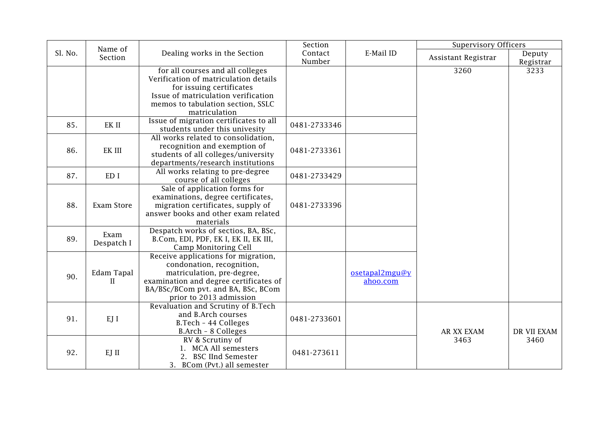|         | Name of    |                                                                 | Section      |                | <b>Supervisory Officers</b> |             |
|---------|------------|-----------------------------------------------------------------|--------------|----------------|-----------------------------|-------------|
| Sl. No. | Section    | Dealing works in the Section                                    | Contact      | E-Mail ID      | Assistant Registrar         | Deputy      |
|         |            |                                                                 | Number       |                |                             | Registrar   |
|         |            | for all courses and all colleges                                |              |                | 3260                        | 3233        |
|         |            | Verification of matriculation details                           |              |                |                             |             |
|         |            | for issuing certificates<br>Issue of matriculation verification |              |                |                             |             |
|         |            | memos to tabulation section, SSLC                               |              |                |                             |             |
|         |            | matriculation                                                   |              |                |                             |             |
|         |            | Issue of migration certificates to all                          |              |                |                             |             |
| 85.     | EK II      | students under this univesity                                   | 0481-2733346 |                |                             |             |
|         |            | All works related to consolidation,                             |              |                |                             |             |
| 86.     | EK III     | recognition and exemption of                                    | 0481-2733361 |                |                             |             |
|         |            | students of all colleges/university                             |              |                |                             |             |
|         |            | departments/research institutions                               |              |                |                             |             |
| 87.     | ED I       | All works relating to pre-degree<br>course of all colleges      | 0481-2733429 |                |                             |             |
|         |            | Sale of application forms for                                   |              |                |                             |             |
|         |            | examinations, degree certificates,                              |              |                |                             |             |
| 88.     | Exam Store | migration certificates, supply of                               | 0481-2733396 |                |                             |             |
|         |            | answer books and other exam related                             |              |                |                             |             |
|         |            | materials                                                       |              |                |                             |             |
| 89.     | Exam       | Despatch works of sectios, BA, BSc,                             |              |                |                             |             |
|         | Despatch I | B.Com, EDI, PDF, EK I, EK II, EK III,<br>Camp Monitoring Cell   |              |                |                             |             |
|         |            | Receive applications for migration,                             |              |                |                             |             |
|         |            | condonation, recognition,                                       |              |                |                             |             |
| 90.     | Edam Tapal | matriculation, pre-degree,                                      |              | osetapal2mgu@y |                             |             |
|         | $\rm II$   | examination and degree certificates of                          |              | ahoo.com       |                             |             |
|         |            | BA/BSc/BCom pvt. and BA, BSc, BCom                              |              |                |                             |             |
|         |            | prior to 2013 admission                                         |              |                |                             |             |
|         |            | Revaluation and Scrutiny of B.Tech<br>and B.Arch courses        |              |                |                             |             |
| 91.     | EJ I       | B.Tech - 44 Colleges                                            | 0481-2733601 |                |                             |             |
|         |            | B.Arch - 8 Colleges                                             |              |                | AR XX EXAM                  | DR VII EXAM |
|         |            | RV & Scrutiny of                                                |              |                | 3463                        | 3460        |
|         |            | 1. MCA All semesters                                            |              |                |                             |             |
| 92.     | EJ II      | 2. BSC IInd Semester                                            | 0481-273611  |                |                             |             |
|         |            | 3. BCom (Pvt.) all semester                                     |              |                |                             |             |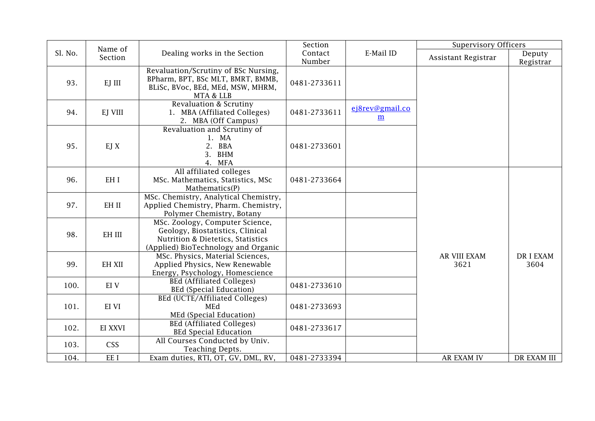|         | Name of       |                                                                                                                                                 | Section           |                                    | <b>Supervisory Officers</b> |                        |
|---------|---------------|-------------------------------------------------------------------------------------------------------------------------------------------------|-------------------|------------------------------------|-----------------------------|------------------------|
| Sl. No. | Section       | Dealing works in the Section                                                                                                                    | Contact<br>Number | E-Mail ID                          | Assistant Registrar         | Deputy<br>Registrar    |
| 93.     | EJ III        | Revaluation/Scrutiny of BSc Nursing,<br>BPharm, BPT, BSc MLT, BMRT, BMMB,<br>BLiSc, BVoc, BEd, MEd, MSW, MHRM,<br>MTA & LLB                     | 0481-2733611      |                                    |                             |                        |
| 94.     | EJ VIII       | Revaluation & Scrutiny<br>1. MBA (Affiliated Colleges)<br>2. MBA (Off Campus)                                                                   | 0481-2733611      | ej8rev@gmail.co<br>$\underline{m}$ |                             |                        |
| 95.     | EJ X          | Revaluation and Scrutiny of<br>1. MA<br>2. BBA<br>3. BHM<br>4. MFA                                                                              | 0481-2733601      |                                    |                             |                        |
| 96.     | EH I          | All affiliated colleges<br>MSc. Mathematics, Statistics, MSc<br>Mathematics(P)                                                                  | 0481-2733664      |                                    |                             |                        |
| 97.     | EH II         | MSc. Chemistry, Analytical Chemistry,<br>Applied Chemistry, Pharm. Chemistry,<br>Polymer Chemistry, Botany                                      |                   |                                    |                             |                        |
| 98.     | EH III        | MSc. Zoology, Computer Science,<br>Geology, Biostatistics, Clinical<br>Nutrition & Dietetics, Statistics<br>(Applied) BioTechnology and Organic |                   |                                    |                             |                        |
| 99.     | <b>EH XII</b> | MSc. Physics, Material Sciences,<br>Applied Physics, New Renewable<br>Energy, Psychology, Homescience                                           |                   |                                    | AR VIII EXAM<br>3621        | <b>DRIEXAM</b><br>3604 |
| 100.    | EI V          | <b>BEd (Affiliated Colleges)</b><br><b>BEd (Special Education)</b>                                                                              | 0481-2733610      |                                    |                             |                        |
| 101.    | EI VI         | <b>BEd (UCTE/Affiliated Colleges)</b><br>MEd<br>MEd (Special Education)                                                                         | 0481-2733693      |                                    |                             |                        |
| 102.    | EI XXVI       | <b>BEd (Affiliated Colleges)</b><br><b>BEd Special Education</b>                                                                                | 0481-2733617      |                                    |                             |                        |
| 103.    | <b>CSS</b>    | All Courses Conducted by Univ.<br>Teaching Depts.                                                                                               |                   |                                    |                             |                        |
| 104.    | EE I          | Exam duties, RTI, OT, GV, DML, RV,                                                                                                              | 0481-2733394      |                                    | <b>AR EXAM IV</b>           | <b>DR EXAM III</b>     |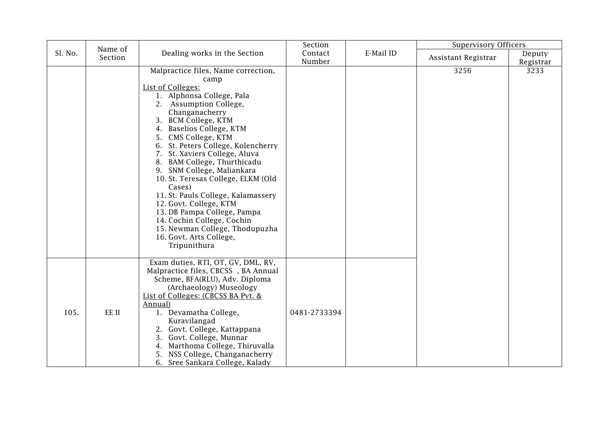|         | Name of |                                                                                                                                                                                                                                                                                                                                                                                                                                                                                                                                                                                                                   | Section           |           | <b>Supervisory Officers</b> |                     |
|---------|---------|-------------------------------------------------------------------------------------------------------------------------------------------------------------------------------------------------------------------------------------------------------------------------------------------------------------------------------------------------------------------------------------------------------------------------------------------------------------------------------------------------------------------------------------------------------------------------------------------------------------------|-------------------|-----------|-----------------------------|---------------------|
| Sl. No. | Section | Dealing works in the Section                                                                                                                                                                                                                                                                                                                                                                                                                                                                                                                                                                                      | Contact<br>Number | E-Mail ID | Assistant Registrar         | Deputy<br>Registrar |
|         |         | Malpractice files, Name correction,<br>camp<br>List of Colleges:<br>1. Alphonsa College, Pala<br>2. Assumption College,<br>Changanacherry<br>3. BCM College, KTM<br>4. Baselios College, KTM<br>5. CMS College, KTM<br>6. St. Peters College, Kolencherry<br>7. St. Xaviers College, Aluva<br>8. BAM College, Thurthicadu<br>9. SNM College, Maliankara<br>10. St. Teresas College, ELKM (Old<br>Cases)<br>11. St. Pauls College, Kalamassery<br>12. Govt. College, KTM<br>13. DB Pampa College, Pampa<br>14. Cochin College, Cochin<br>15. Newman College, Thodupuzha<br>16. Govt. Arts College,<br>Tripunithura |                   |           | 3256                        | 3233                |
| 105.    | EE II   | Exam duties, RTI, OT, GV, DML, RV,<br>Malpractice files, CBCSS, BA Annual<br>Scheme, BFA(RLU), Adv. Diploma<br>(Archaeology) Museology<br>List of Colleges: (CBCSS BA Pvt. &<br>Annual)<br>1. Devamatha College,<br>Kuravilangad<br>2. Govt. College, Kattappana<br>3. Govt. College, Munnar<br>4. Marthoma College, Thiruvalla<br>NSS College, Changanacherry<br>5.<br>6. Sree Sankara College, Kalady                                                                                                                                                                                                           | 0481-2733394      |           |                             |                     |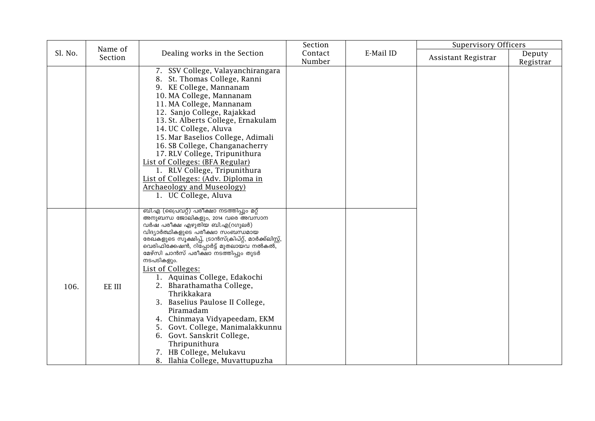|         | Name of |                                                                     | Section |           | <b>Supervisory Officers</b> |           |
|---------|---------|---------------------------------------------------------------------|---------|-----------|-----------------------------|-----------|
| Sl. No. | Section | Dealing works in the Section                                        | Contact | E-Mail ID | Assistant Registrar         | Deputy    |
|         |         |                                                                     | Number  |           |                             | Registrar |
|         |         | 7. SSV College, Valayanchirangara                                   |         |           |                             |           |
|         |         | 8. St. Thomas College, Ranni                                        |         |           |                             |           |
|         |         | 9. KE College, Mannanam<br>10. MA College, Mannanam                 |         |           |                             |           |
|         |         | 11. MA College, Mannanam                                            |         |           |                             |           |
|         |         | 12. Sanjo College, Rajakkad                                         |         |           |                             |           |
|         |         | 13. St. Alberts College, Ernakulam                                  |         |           |                             |           |
|         |         | 14. UC College, Aluva                                               |         |           |                             |           |
|         |         | 15. Mar Baselios College, Adimali                                   |         |           |                             |           |
|         |         | 16. SB College, Changanacherry                                      |         |           |                             |           |
|         |         | 17. RLV College, Tripunithura                                       |         |           |                             |           |
|         |         | <b>List of Colleges: (BFA Regular)</b>                              |         |           |                             |           |
|         |         | 1. RLV College, Tripunithura                                        |         |           |                             |           |
|         |         | List of Colleges: (Adv. Diploma in                                  |         |           |                             |           |
|         |         | <b>Archaeology and Museology)</b>                                   |         |           |                             |           |
|         |         | 1. UC College, Aluva                                                |         |           |                             |           |
|         |         | ബി.എ (പ്രൈവറ്റ്) പരീക്ഷാ നടത്തിപ്പും മറ്റ്                          |         |           |                             |           |
|         |         | അനുബന്ധ ജോലികളും, 2014 വരെ അവസാന                                    |         |           |                             |           |
|         |         | വർഷ പരീക്ഷ എഴുതിയ ബി.എ(റഗുലർ)<br>വിദ്യാർത്ഥികളുടെ പരീക്ഷാ സംബന്ധമായ |         |           |                             |           |
|         |         | രേഖകളുടെ സൂക്ഷിപ്പ്, ട്രാൻസ്ക്രിപ്റ്റ്, മാർക്ക്ലിസ്റ്റ്,            |         |           |                             |           |
|         |         | വെരിഫിക്കേഷൻ, റിപ്പോർട്ട് മുതലായ്വ നൽകൽ,                            |         |           |                             |           |
|         |         | മേഴ്സി ചാൻസ് പരീക്ഷാ നടത്തിപ്പും തുടർ                               |         |           |                             |           |
|         |         | നടപടികളും.<br>List of Colleges:                                     |         |           |                             |           |
|         |         | 1. Aquinas College, Edakochi                                        |         |           |                             |           |
| 106.    | EE III  | 2. Bharathamatha College,                                           |         |           |                             |           |
|         |         | Thrikkakara                                                         |         |           |                             |           |
|         |         | 3. Baselius Paulose II College,                                     |         |           |                             |           |
|         |         | Piramadam                                                           |         |           |                             |           |
|         |         | 4. Chinmaya Vidyapeedam, EKM                                        |         |           |                             |           |
|         |         | 5. Govt. College, Manimalakkunnu                                    |         |           |                             |           |
|         |         | 6. Govt. Sanskrit College,                                          |         |           |                             |           |
|         |         | Thripunithura                                                       |         |           |                             |           |
|         |         | 7. HB College, Melukavu                                             |         |           |                             |           |
|         |         | 8. Ilahia College, Muvattupuzha                                     |         |           |                             |           |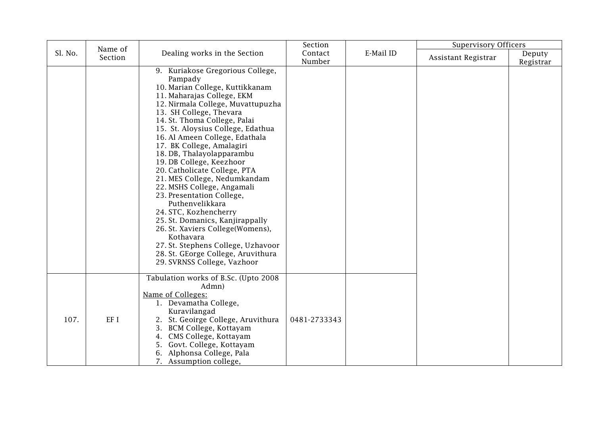|         | Name of |                                                                                                                                                                                                                                                                                                                                                                                                                                                                                                                                                                                                                                                                                                                                                 | Section           |           | <b>Supervisory Officers</b> |                     |
|---------|---------|-------------------------------------------------------------------------------------------------------------------------------------------------------------------------------------------------------------------------------------------------------------------------------------------------------------------------------------------------------------------------------------------------------------------------------------------------------------------------------------------------------------------------------------------------------------------------------------------------------------------------------------------------------------------------------------------------------------------------------------------------|-------------------|-----------|-----------------------------|---------------------|
| Sl. No. | Section | Dealing works in the Section                                                                                                                                                                                                                                                                                                                                                                                                                                                                                                                                                                                                                                                                                                                    | Contact<br>Number | E-Mail ID | Assistant Registrar         | Deputy<br>Registrar |
|         |         | 9. Kuriakose Gregorious College,<br>Pampady<br>10. Marian College, Kuttikkanam<br>11. Maharajas College, EKM<br>12. Nirmala College, Muvattupuzha<br>13. SH College, Thevara<br>14. St. Thoma College, Palai<br>15. St. Aloysius College, Edathua<br>16. Al Ameen College, Edathala<br>17. BK College, Amalagiri<br>18. DB, Thalayolapparambu<br>19. DB College, Keezhoor<br>20. Catholicate College, PTA<br>21. MES College, Nedumkandam<br>22. MSHS College, Angamali<br>23. Presentation College,<br>Puthenvelikkara<br>24. STC, Kozhencherry<br>25. St. Domanics, Kanjirappally<br>26. St. Xaviers College(Womens),<br>Kothavara<br>27. St. Stephens College, Uzhavoor<br>28. St. GEorge College, Aruvithura<br>29. SVRNSS College, Vazhoor |                   |           |                             |                     |
| 107.    | EF I    | Tabulation works of B.Sc. (Upto 2008<br>Admn)<br>Name of Colleges:<br>1. Devamatha College,<br>Kuravilangad<br>2. St. Geoirge College, Aruvithura<br>3. BCM College, Kottayam<br>4. CMS College, Kottayam<br>5. Govt. College, Kottayam<br>6. Alphonsa College, Pala<br>7. Assumption college,                                                                                                                                                                                                                                                                                                                                                                                                                                                  | 0481-2733343      |           |                             |                     |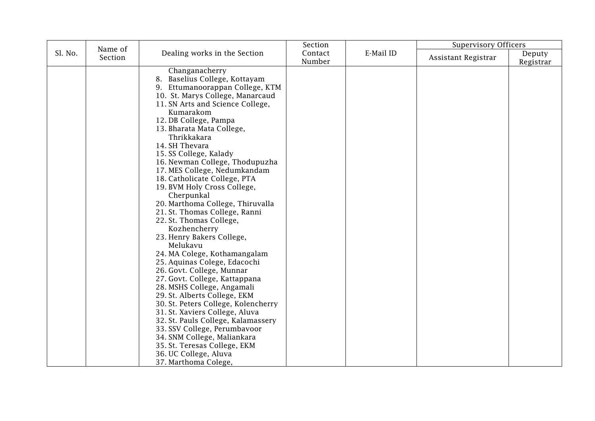|         |                    |                                                                                                                                                                                                                                                                                                                                                                                                                                                                                                                                                                                                                                                                                                                                                                                                                                                                                                                                                                                                                                     | Section           |           | <b>Supervisory Officers</b> |                     |
|---------|--------------------|-------------------------------------------------------------------------------------------------------------------------------------------------------------------------------------------------------------------------------------------------------------------------------------------------------------------------------------------------------------------------------------------------------------------------------------------------------------------------------------------------------------------------------------------------------------------------------------------------------------------------------------------------------------------------------------------------------------------------------------------------------------------------------------------------------------------------------------------------------------------------------------------------------------------------------------------------------------------------------------------------------------------------------------|-------------------|-----------|-----------------------------|---------------------|
| Sl. No. | Name of<br>Section | Dealing works in the Section                                                                                                                                                                                                                                                                                                                                                                                                                                                                                                                                                                                                                                                                                                                                                                                                                                                                                                                                                                                                        | Contact<br>Number | E-Mail ID | Assistant Registrar         | Deputy<br>Registrar |
|         |                    | Changanacherry<br>8. Baselius College, Kottayam<br>9. Ettumanoorappan College, KTM<br>10. St. Marys College, Manarcaud<br>11. SN Arts and Science College,<br>Kumarakom<br>12. DB College, Pampa<br>13. Bharata Mata College,<br>Thrikkakara<br>14. SH Thevara<br>15. SS College, Kalady<br>16. Newman College, Thodupuzha<br>17. MES College, Nedumkandam<br>18. Catholicate College, PTA<br>19. BVM Holy Cross College,<br>Cherpunkal<br>20. Marthoma College, Thiruvalla<br>21. St. Thomas College, Ranni<br>22. St. Thomas College,<br>Kozhencherry<br>23. Henry Bakers College,<br>Melukavu<br>24. MA Colege, Kothamangalam<br>25. Aquinas Colege, Edacochi<br>26. Govt. College, Munnar<br>27. Govt. College, Kattappana<br>28. MSHS College, Angamali<br>29. St. Alberts College, EKM<br>30. St. Peters College, Kolencherry<br>31. St. Xaviers College, Aluva<br>32. St. Pauls College, Kalamassery<br>33. SSV College, Perumbavoor<br>34. SNM College, Maliankara<br>35. St. Teresas College, EKM<br>36. UC College, Aluva |                   |           |                             |                     |
|         |                    | 37. Marthoma Colege,                                                                                                                                                                                                                                                                                                                                                                                                                                                                                                                                                                                                                                                                                                                                                                                                                                                                                                                                                                                                                |                   |           |                             |                     |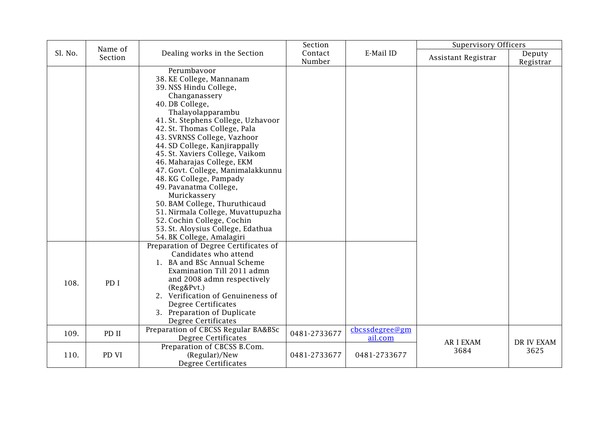|         | Name of |                                                                                                                                                                                                                                                                                                                                                                                                                                                                                                                                                                                                                   | Section           |                           | <b>Supervisory Officers</b> |                     |
|---------|---------|-------------------------------------------------------------------------------------------------------------------------------------------------------------------------------------------------------------------------------------------------------------------------------------------------------------------------------------------------------------------------------------------------------------------------------------------------------------------------------------------------------------------------------------------------------------------------------------------------------------------|-------------------|---------------------------|-----------------------------|---------------------|
| Sl. No. | Section | Dealing works in the Section                                                                                                                                                                                                                                                                                                                                                                                                                                                                                                                                                                                      | Contact<br>Number | E-Mail ID                 | Assistant Registrar         | Deputy<br>Registrar |
|         |         | Perumbayoor<br>38. KE College, Mannanam<br>39. NSS Hindu College,<br>Changanassery<br>40. DB College,<br>Thalayolapparambu<br>41. St. Stephens College, Uzhavoor<br>42. St. Thomas College, Pala<br>43. SVRNSS College, Vazhoor<br>44. SD College, Kanjirappally<br>45. St. Xaviers College, Vaikom<br>46. Maharajas College, EKM<br>47. Govt. College, Manimalakkunnu<br>48. KG College, Pampady<br>49. Pavanatma College,<br>Murickassery<br>50. BAM College, Thuruthicaud<br>51. Nirmala College, Muvattupuzha<br>52. Cochin College, Cochin<br>53. St. Aloysius College, Edathua<br>54. BK College, Amalagiri |                   |                           |                             |                     |
| 108.    | PD I    | Preparation of Degree Certificates of<br>Candidates who attend<br>1. BA and BSc Annual Scheme<br>Examination Till 2011 admn<br>and 2008 admn respectively<br>(Reg&Pvt.)<br>2. Verification of Genuineness of<br>Degree Certificates<br>3. Preparation of Duplicate<br>Degree Certificates                                                                                                                                                                                                                                                                                                                         |                   |                           |                             |                     |
| 109.    | PD II   | Preparation of CBCSS Regular BA&BSc<br>Degree Certificates                                                                                                                                                                                                                                                                                                                                                                                                                                                                                                                                                        | 0481-2733677      | cbcssdegree@gm<br>ail.com | <b>AR I EXAM</b>            | DR IV EXAM          |
| 110.    | PD VI   | Preparation of CBCSS B.Com.<br>(Regular)/New<br><b>Degree Certificates</b>                                                                                                                                                                                                                                                                                                                                                                                                                                                                                                                                        | 0481-2733677      | 0481-2733677              | 3684                        | 3625                |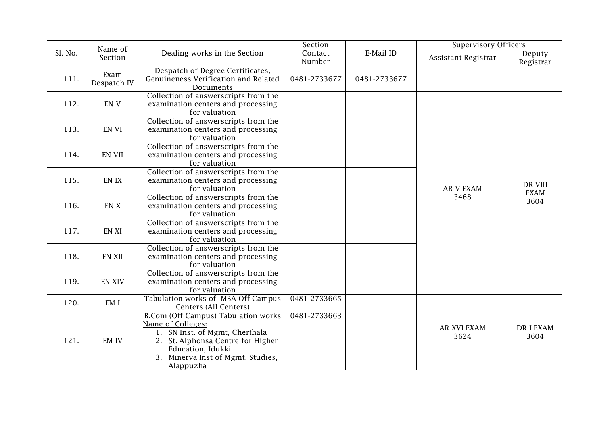|         | Name of             |                                                                                                                                                                                                               | Section           |              | <b>Supervisory Officers</b> |                         |
|---------|---------------------|---------------------------------------------------------------------------------------------------------------------------------------------------------------------------------------------------------------|-------------------|--------------|-----------------------------|-------------------------|
| Sl. No. | Section             | Dealing works in the Section                                                                                                                                                                                  | Contact<br>Number | E-Mail ID    | Assistant Registrar         | Deputy<br>Registrar     |
| 111.    | Exam<br>Despatch IV | Despatch of Degree Certificates,<br>Genuineness Verification and Related<br>Documents                                                                                                                         | 0481-2733677      | 0481-2733677 |                             |                         |
| 112.    | EN <sub>V</sub>     | Collection of answerscripts from the<br>examination centers and processing<br>for valuation                                                                                                                   |                   |              | <b>AR V EXAM</b><br>3468    | DR VIII<br>EXAM<br>3604 |
| 113.    | EN VI               | Collection of answerscripts from the<br>examination centers and processing<br>for valuation                                                                                                                   |                   |              |                             |                         |
| 114.    | EN VII              | Collection of answerscripts from the<br>examination centers and processing<br>for valuation                                                                                                                   |                   |              |                             |                         |
| 115.    | EN IX               | Collection of answerscripts from the<br>examination centers and processing<br>for valuation                                                                                                                   |                   |              |                             |                         |
| 116.    | EN X                | Collection of answerscripts from the<br>examination centers and processing<br>for valuation                                                                                                                   |                   |              |                             |                         |
| 117.    | <b>EN XI</b>        | Collection of answerscripts from the<br>examination centers and processing<br>for valuation                                                                                                                   |                   |              |                             |                         |
| 118.    | <b>EN XII</b>       | Collection of answerscripts from the<br>examination centers and processing<br>for valuation                                                                                                                   |                   |              |                             |                         |
| 119.    | <b>EN XIV</b>       | Collection of answerscripts from the<br>examination centers and processing<br>for valuation                                                                                                                   |                   |              |                             |                         |
| 120.    | EM I                | Tabulation works of MBA Off Campus<br>Centers (All Centers)                                                                                                                                                   | 0481-2733665      |              |                             |                         |
| 121.    | <b>EM IV</b>        | <b>B.Com (Off Campus) Tabulation works</b><br>Name of Colleges:<br>1. SN Inst. of Mgmt, Cherthala<br>2. St. Alphonsa Centre for Higher<br>Education, Idukki<br>3. Minerva Inst of Mgmt. Studies,<br>Alappuzha | 0481-2733663      |              | <b>AR XVI EXAM</b><br>3624  | <b>DRIEXAM</b><br>3604  |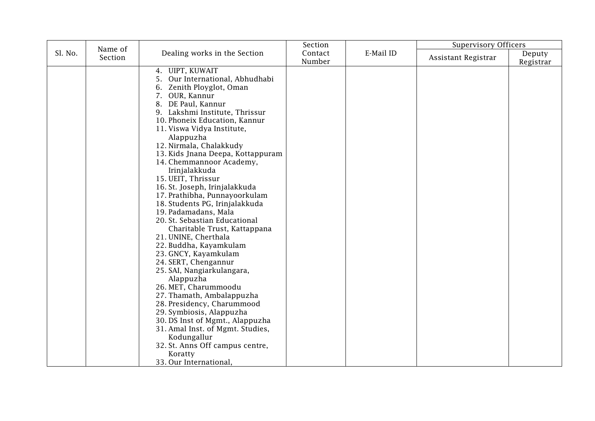|         | Name of |                                                                                                                                                                                                                                                                                                                                                                                                                                                                                                                                                                                                                                                                                                                                                                                                                                                                                                                                                              | Section           |           | <b>Supervisory Officers</b> |           |
|---------|---------|--------------------------------------------------------------------------------------------------------------------------------------------------------------------------------------------------------------------------------------------------------------------------------------------------------------------------------------------------------------------------------------------------------------------------------------------------------------------------------------------------------------------------------------------------------------------------------------------------------------------------------------------------------------------------------------------------------------------------------------------------------------------------------------------------------------------------------------------------------------------------------------------------------------------------------------------------------------|-------------------|-----------|-----------------------------|-----------|
| Sl. No. | Section | Dealing works in the Section                                                                                                                                                                                                                                                                                                                                                                                                                                                                                                                                                                                                                                                                                                                                                                                                                                                                                                                                 | Contact<br>Number | E-Mail ID | Assistant Registrar         | Deputy    |
|         |         | UIPT, KUWAIT<br>4.<br>Our International, Abhudhabi<br>5.<br>Zenith Ployglot, Oman<br>7. OUR, Kannur<br>8. DE Paul, Kannur<br>9. Lakshmi Institute, Thrissur<br>10. Phoneix Education, Kannur<br>11. Viswa Vidya Institute,<br>Alappuzha<br>12. Nirmala, Chalakkudy<br>13. Kids Jnana Deepa, Kottappuram<br>14. Chemmannoor Academy,<br>Irinjalakkuda<br>15. UEIT, Thrissur<br>16. St. Joseph, Irinjalakkuda<br>17. Prathibha, Punnayoorkulam<br>18. Students PG, Irinjalakkuda<br>19. Padamadans, Mala<br>20. St. Sebastian Educational<br>Charitable Trust, Kattappana<br>21. UNINE, Cherthala<br>22. Buddha, Kayamkulam<br>23. GNCY, Kayamkulam<br>24. SERT, Chengannur<br>25. SAI, Nangiarkulangara,<br>Alappuzha<br>26. MET, Charummoodu<br>27. Thamath, Ambalappuzha<br>28. Presidency, Charummood<br>29. Symbiosis, Alappuzha<br>30. DS Inst of Mgmt., Alappuzha<br>31. Amal Inst. of Mgmt. Studies,<br>Kodungallur<br>32. St. Anns Off campus centre, |                   |           |                             | Registrar |
|         |         | Koratty<br>33. Our International,                                                                                                                                                                                                                                                                                                                                                                                                                                                                                                                                                                                                                                                                                                                                                                                                                                                                                                                            |                   |           |                             |           |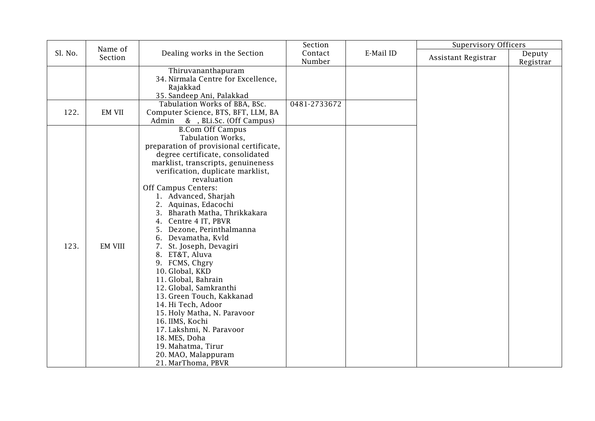|         | Name of        |                                                                                                                                                                                                                                                                                                                                                                                                                                                                                                                                                                                                                                                                                                                                                                  | Section           |           | <b>Supervisory Officers</b> |                     |
|---------|----------------|------------------------------------------------------------------------------------------------------------------------------------------------------------------------------------------------------------------------------------------------------------------------------------------------------------------------------------------------------------------------------------------------------------------------------------------------------------------------------------------------------------------------------------------------------------------------------------------------------------------------------------------------------------------------------------------------------------------------------------------------------------------|-------------------|-----------|-----------------------------|---------------------|
| Sl. No. | Section        | Dealing works in the Section                                                                                                                                                                                                                                                                                                                                                                                                                                                                                                                                                                                                                                                                                                                                     | Contact<br>Number | E-Mail ID | Assistant Registrar         | Deputy<br>Registrar |
|         |                | Thiruvananthapuram<br>34. Nirmala Centre for Excellence,<br>Rajakkad<br>35. Sandeep Ani, Palakkad                                                                                                                                                                                                                                                                                                                                                                                                                                                                                                                                                                                                                                                                |                   |           |                             |                     |
| 122.    | <b>EM VII</b>  | Tabulation Works of BBA, BSc.<br>Computer Science, BTS, BFT, LLM, BA<br>Admin & , BLi.Sc. (Off Campus)                                                                                                                                                                                                                                                                                                                                                                                                                                                                                                                                                                                                                                                           | 0481-2733672      |           |                             |                     |
| 123.    | <b>EM VIII</b> | <b>B.Com Off Campus</b><br>Tabulation Works,<br>preparation of provisional certificate,<br>degree certificate, consolidated<br>marklist, transcripts, genuineness<br>verification, duplicate marklist,<br>revaluation<br>Off Campus Centers:<br>1. Advanced, Sharjah<br>2. Aquinas, Edacochi<br>3. Bharath Matha, Thrikkakara<br>4. Centre 4 IT, PBVR<br>5. Dezone, Perinthalmanna<br>6. Devamatha, Kvld<br>7. St. Joseph, Devagiri<br>8. ET&T, Aluva<br>9. FCMS, Chgry<br>10. Global, KKD<br>11. Global, Bahrain<br>12. Global, Samkranthi<br>13. Green Touch, Kakkanad<br>14. Hi Tech, Adoor<br>15. Holy Matha, N. Paravoor<br>16. IIMS, Kochi<br>17. Lakshmi, N. Paravoor<br>18. MES, Doha<br>19. Mahatma, Tirur<br>20. MAO, Malappuram<br>21. MarThoma, PBVR |                   |           |                             |                     |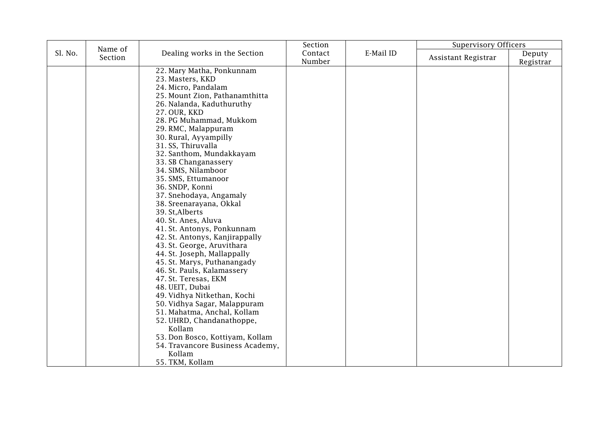|         |         |                                                                                                                                                                                                                                                                                                                                                                                                                                                                                                                                                                                                                                                                                                                                                                                                                                                     | Section           |           | <b>Supervisory Officers</b> |           |
|---------|---------|-----------------------------------------------------------------------------------------------------------------------------------------------------------------------------------------------------------------------------------------------------------------------------------------------------------------------------------------------------------------------------------------------------------------------------------------------------------------------------------------------------------------------------------------------------------------------------------------------------------------------------------------------------------------------------------------------------------------------------------------------------------------------------------------------------------------------------------------------------|-------------------|-----------|-----------------------------|-----------|
| Sl. No. | Section | Dealing works in the Section                                                                                                                                                                                                                                                                                                                                                                                                                                                                                                                                                                                                                                                                                                                                                                                                                        | Contact<br>Number | E-Mail ID | Assistant Registrar         | Deputy    |
|         | Name of | 22. Mary Matha, Ponkunnam<br>23. Masters, KKD<br>24. Micro, Pandalam<br>25. Mount Zion, Pathanamthitta<br>26. Nalanda, Kaduthuruthy<br>27. OUR, KKD<br>28. PG Muhammad, Mukkom<br>29. RMC, Malappuram<br>30. Rural, Ayyampilly<br>31. SS, Thiruvalla<br>32. Santhom, Mundakkayam<br>33. SB Changanassery<br>34. SIMS, Nilamboor<br>35. SMS, Ettumanoor<br>36. SNDP, Konni<br>37. Snehodaya, Angamaly<br>38. Sreenarayana, Okkal<br>39. St, Alberts<br>40. St. Anes, Aluva<br>41. St. Antonys, Ponkunnam<br>42. St. Antonys, Kanjirappally<br>43. St. George, Aruvithara<br>44. St. Joseph, Mallappally<br>45. St. Marys, Puthanangady<br>46. St. Pauls, Kalamassery<br>47. St. Teresas, EKM<br>48. UEIT, Dubai<br>49. Vidhya Nitkethan, Kochi<br>50. Vidhya Sagar, Malappuram<br>51. Mahatma, Anchal, Kollam<br>52. UHRD, Chandanathoppe,<br>Kollam |                   |           |                             | Registrar |
|         |         | 53. Don Bosco, Kottiyam, Kollam<br>54. Travancore Business Academy,                                                                                                                                                                                                                                                                                                                                                                                                                                                                                                                                                                                                                                                                                                                                                                                 |                   |           |                             |           |
|         |         | Kollam<br>55. TKM, Kollam                                                                                                                                                                                                                                                                                                                                                                                                                                                                                                                                                                                                                                                                                                                                                                                                                           |                   |           |                             |           |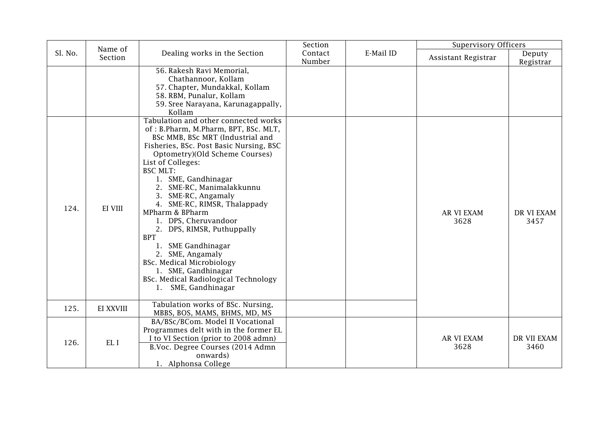|         | Name of   |                                                                                                                                                                                                                                                                                                                                                                                                                                                                                                                                                                                                                | Section           |           | <b>Supervisory Officers</b> |                     |
|---------|-----------|----------------------------------------------------------------------------------------------------------------------------------------------------------------------------------------------------------------------------------------------------------------------------------------------------------------------------------------------------------------------------------------------------------------------------------------------------------------------------------------------------------------------------------------------------------------------------------------------------------------|-------------------|-----------|-----------------------------|---------------------|
| Sl. No. | Section   | Dealing works in the Section                                                                                                                                                                                                                                                                                                                                                                                                                                                                                                                                                                                   | Contact<br>Number | E-Mail ID | Assistant Registrar         | Deputy<br>Registrar |
|         |           | 56. Rakesh Ravi Memorial,<br>Chathannoor, Kollam<br>57. Chapter, Mundakkal, Kollam<br>58. RBM, Punalur, Kollam<br>59. Sree Narayana, Karunagappally,<br>Kollam                                                                                                                                                                                                                                                                                                                                                                                                                                                 |                   |           |                             |                     |
| 124.    | EI VIII   | Tabulation and other connected works<br>of: B.Pharm, M.Pharm, BPT, BSc. MLT,<br>BSc MMB, BSc MRT (Industrial and<br>Fisheries, BSc. Post Basic Nursing, BSC<br>Optometry)(Old Scheme Courses)<br>List of Colleges:<br><b>BSC MLT:</b><br>1. SME, Gandhinagar<br>2. SME-RC, Manimalakkunnu<br>3. SME-RC, Angamaly<br>4. SME-RC, RIMSR, Thalappady<br>MPharm & BPharm<br>1. DPS, Cheruvandoor<br>2. DPS, RIMSR, Puthuppally<br><b>BPT</b><br>SME Gandhinagar<br>1.<br>2. SME, Angamaly<br><b>BSc. Medical Microbiology</b><br>1. SME, Gandhinagar<br>BSc. Medical Radiological Technology<br>1. SME, Gandhinagar |                   |           | <b>AR VI EXAM</b><br>3628   | DR VI EXAM<br>3457  |
| 125.    | EI XXVIII | Tabulation works of BSc. Nursing,<br>MBBS, BOS, MAMS, BHMS, MD, MS                                                                                                                                                                                                                                                                                                                                                                                                                                                                                                                                             |                   |           |                             |                     |
| 126.    | EL I      | BA/BSc/BCom. Model II Vocational<br>Programmes delt with in the former EL<br>I to VI Section (prior to 2008 admn)<br>B.Voc. Degree Courses (2014 Admn<br>onwards)<br>1. Alphonsa College                                                                                                                                                                                                                                                                                                                                                                                                                       |                   |           | AR VI EXAM<br>3628          | DR VII EXAM<br>3460 |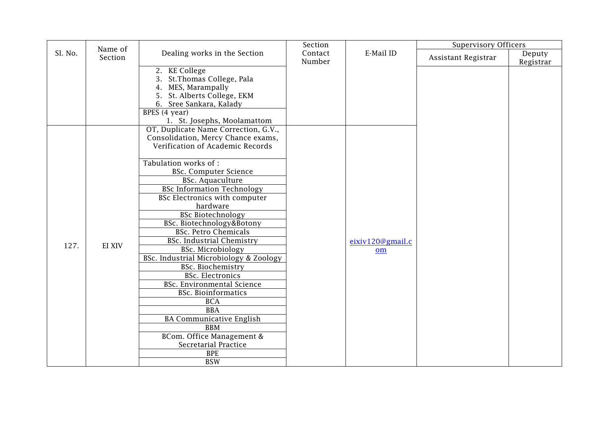|         | Name of |                                                                                                                                                                                                                                                                                                                                                                                                                                                                                                                                                                                                                                                                                                                                                                  | Section           |                        | <b>Supervisory Officers</b> |                     |
|---------|---------|------------------------------------------------------------------------------------------------------------------------------------------------------------------------------------------------------------------------------------------------------------------------------------------------------------------------------------------------------------------------------------------------------------------------------------------------------------------------------------------------------------------------------------------------------------------------------------------------------------------------------------------------------------------------------------------------------------------------------------------------------------------|-------------------|------------------------|-----------------------------|---------------------|
| Sl. No. | Section | Dealing works in the Section                                                                                                                                                                                                                                                                                                                                                                                                                                                                                                                                                                                                                                                                                                                                     | Contact<br>Number | E-Mail ID              | Assistant Registrar         | Deputy<br>Registrar |
|         |         | 2. KE College<br>3. St. Thomas College, Pala<br>4. MES, Marampally<br>5. St. Alberts College, EKM<br>6. Sree Sankara, Kalady<br>BPES (4 year)<br>1. St. Josephs, Moolamattom                                                                                                                                                                                                                                                                                                                                                                                                                                                                                                                                                                                     |                   |                        |                             |                     |
| 127.    | EI XIV  | OT, Duplicate Name Correction, G.V.,<br>Consolidation, Mercy Chance exams,<br>Verification of Academic Records<br>Tabulation works of :<br><b>BSc. Computer Science</b><br><b>BSc. Aquaculture</b><br><b>BSc Information Technology</b><br>BSc Electronics with computer<br>hardware<br><b>BSc Biotechnology</b><br>BSc. Biotechnology&Botony<br><b>BSc. Petro Chemicals</b><br><b>BSc. Industrial Chemistry</b><br>BSc. Microbiology<br>BSc. Industrial Microbiology & Zoology<br>BSc. Biochemistry<br><b>BSc. Electronics</b><br><b>BSc. Environmental Science</b><br><b>BSc. Bioinformatics</b><br><b>BCA</b><br><b>BBA</b><br><b>BA Communicative English</b><br><b>BBM</b><br>BCom. Office Management &<br>Secretarial Practice<br><b>BPE</b><br><b>BSW</b> |                   | eixiv120@gmail.c<br>om |                             |                     |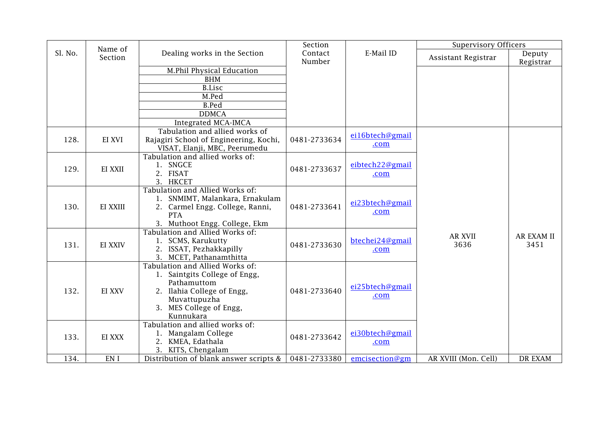|         | Name of  |                                                                                                                                                                       | Section           |                         | <b>Supervisory Officers</b> |                           |
|---------|----------|-----------------------------------------------------------------------------------------------------------------------------------------------------------------------|-------------------|-------------------------|-----------------------------|---------------------------|
| Sl. No. | Section  | Dealing works in the Section                                                                                                                                          | Contact<br>Number | E-Mail ID               | Assistant Registrar         | Deputy<br>Registrar       |
|         |          | M.Phil Physical Education                                                                                                                                             |                   |                         |                             |                           |
|         |          | <b>BHM</b>                                                                                                                                                            |                   |                         |                             |                           |
|         |          | <b>B.Lisc</b>                                                                                                                                                         |                   |                         |                             |                           |
|         |          | M.Ped                                                                                                                                                                 |                   |                         |                             |                           |
|         |          | <b>B.Ped</b>                                                                                                                                                          |                   |                         |                             |                           |
|         |          | <b>DDMCA</b>                                                                                                                                                          |                   |                         |                             |                           |
|         |          | Integrated MCA-IMCA                                                                                                                                                   |                   |                         |                             |                           |
| 128.    | EI XVI   | Tabulation and allied works of<br>Rajagiri School of Engineering, Kochi,<br>VISAT, Elanji, MBC, Peerumedu                                                             | 0481-2733634      | ei16btech@gmail<br>.com |                             |                           |
| 129.    | EI XXII  | Tabulation and allied works of:<br>1. SNGCE<br>2. FISAT<br>3. HKCET                                                                                                   | 0481-2733637      | eibtech22@gmail<br>.com |                             |                           |
| 130.    | EI XXIII | Tabulation and Allied Works of:<br>1. SNMIMT, Malankara, Ernakulam<br>2. Carmel Engg. College, Ranni,<br><b>PTA</b><br>3. Muthoot Engg. College, Ekm                  | 0481-2733641      | ei23btech@gmail<br>.com |                             |                           |
| 131.    | EI XXIV  | Tabulation and Allied Works of:<br>1. SCMS, Karukutty<br>2. ISSAT, Pezhakkapilly<br>3. MCET, Pathanamthitta                                                           | 0481-2733630      | btechei24@gmail<br>.com | <b>AR XVII</b><br>3636      | <b>AR EXAM II</b><br>3451 |
| 132.    | EI XXV   | Tabulation and Allied Works of:<br>1. Saintgits College of Engg,<br>Pathamuttom<br>2. Ilahia College of Engg,<br>Muvattupuzha<br>3. MES College of Engg,<br>Kunnukara | 0481-2733640      | ei25btech@gmail<br>.com |                             |                           |
| 133.    | EI XXX   | Tabulation and allied works of:<br>1. Mangalam College<br>2. KMEA, Edathala<br>3. KITS, Chengalam                                                                     | 0481-2733642      | ei30btech@gmail<br>.com |                             |                           |
| 134.    | EN I     | Distribution of blank answer scripts &                                                                                                                                | 0481-2733380      | emcisection@gm          | AR XVIII (Mon. Cell)        | <b>DR EXAM</b>            |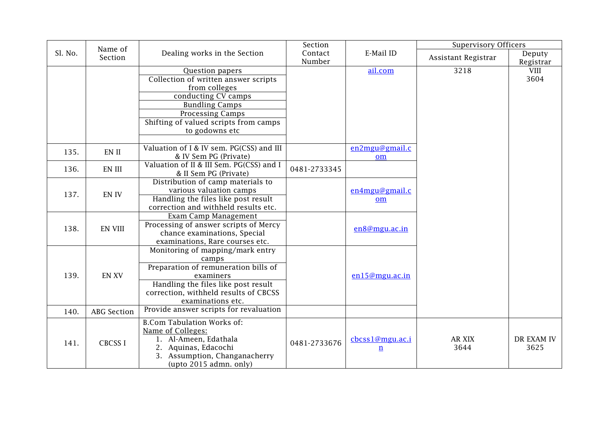|         | Name of            |                                                                   | Section           |                 | <b>Supervisory Officers</b> |                     |
|---------|--------------------|-------------------------------------------------------------------|-------------------|-----------------|-----------------------------|---------------------|
| Sl. No. | Section            | Dealing works in the Section                                      | Contact<br>Number | E-Mail ID       | Assistant Registrar         | Deputy<br>Registrar |
|         |                    | Question papers                                                   |                   | ail.com         | 3218                        | <b>VIII</b>         |
|         |                    | Collection of written answer scripts                              |                   |                 |                             | 3604                |
|         |                    | from colleges                                                     |                   |                 |                             |                     |
|         |                    | conducting CV camps                                               |                   |                 |                             |                     |
|         |                    | <b>Bundling Camps</b>                                             |                   |                 |                             |                     |
|         |                    | Processing Camps                                                  |                   |                 |                             |                     |
|         |                    | Shifting of valued scripts from camps                             |                   |                 |                             |                     |
|         |                    | to godowns etc                                                    |                   |                 |                             |                     |
|         |                    |                                                                   |                   |                 |                             |                     |
| 135.    | EN II              | Valuation of I & IV sem. PG(CSS) and III                          |                   | en2mgu@gmail.c  |                             |                     |
|         |                    | & IV Sem PG (Private)                                             |                   | om              |                             |                     |
| 136.    | EN III             | Valuation of II & III Sem. PG(CSS) and I<br>& II Sem PG (Private) | 0481-2733345      |                 |                             |                     |
|         |                    | Distribution of camp materials to                                 |                   |                 |                             |                     |
| 137.    | EN IV              | various valuation camps                                           |                   | en4mgu@gmail.c  |                             |                     |
|         |                    | Handling the files like post result                               |                   | om              |                             |                     |
|         |                    | correction and withheld results etc.                              |                   |                 |                             |                     |
|         |                    | Exam Camp Management                                              |                   |                 |                             |                     |
| 138.    | <b>EN VIII</b>     | Processing of answer scripts of Mercy                             |                   | en8@mgu.ac.in   |                             |                     |
|         |                    | chance examinations, Special                                      |                   |                 |                             |                     |
|         |                    | examinations, Rare courses etc.                                   |                   |                 |                             |                     |
|         |                    | Monitoring of mapping/mark entry                                  |                   |                 |                             |                     |
|         |                    | camps                                                             |                   |                 |                             |                     |
| 139.    | <b>EN XV</b>       | Preparation of remuneration bills of<br>examiners                 |                   | en15@mgu.ac.in  |                             |                     |
|         |                    | Handling the files like post result                               |                   |                 |                             |                     |
|         |                    | correction, withheld results of CBCSS                             |                   |                 |                             |                     |
|         |                    | examinations etc.                                                 |                   |                 |                             |                     |
|         |                    | Provide answer scripts for revaluation                            |                   |                 |                             |                     |
| 140.    | <b>ABG</b> Section |                                                                   |                   |                 |                             |                     |
|         |                    | <b>B.Com Tabulation Works of:</b>                                 |                   |                 |                             |                     |
|         |                    | Name of Colleges:                                                 |                   |                 |                             |                     |
| 141.    | <b>CBCSSI</b>      | 1. Al-Ameen, Edathala                                             | 0481-2733676      | cbcss1@mgu.ac.i | AR XIX                      | DR EXAM IV          |
|         |                    | 2. Aquinas, Edacochi                                              |                   | $\underline{n}$ | 3644                        | 3625                |
|         |                    | 3. Assumption, Changanacherry                                     |                   |                 |                             |                     |
|         |                    | $upto$ 2015 admn. only)                                           |                   |                 |                             |                     |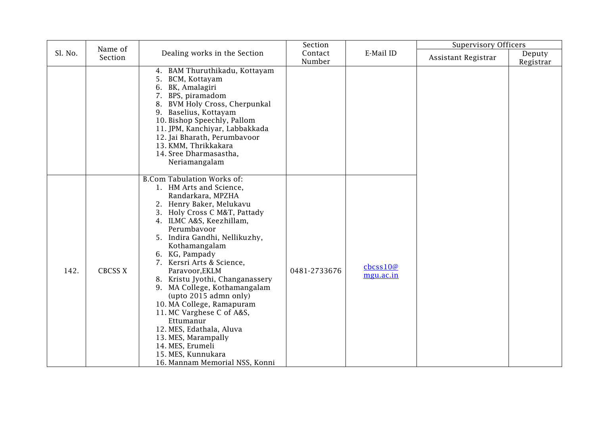|         | Name of        |                                                                                                                                                                                                                                                                                                                                                                                                                                                                                                                                                                                                               | Section           |                                                                  | <b>Supervisory Officers</b> |                     |
|---------|----------------|---------------------------------------------------------------------------------------------------------------------------------------------------------------------------------------------------------------------------------------------------------------------------------------------------------------------------------------------------------------------------------------------------------------------------------------------------------------------------------------------------------------------------------------------------------------------------------------------------------------|-------------------|------------------------------------------------------------------|-----------------------------|---------------------|
| Sl. No. | Section        | Dealing works in the Section                                                                                                                                                                                                                                                                                                                                                                                                                                                                                                                                                                                  | Contact<br>Number | E-Mail ID                                                        | Assistant Registrar         | Deputy<br>Registrar |
|         |                | 4. BAM Thuruthikadu, Kottayam<br>5. BCM, Kottayam<br>6. BK, Amalagiri<br>BPS, piramadom<br>7.<br>8. BVM Holy Cross, Cherpunkal<br>9. Baselius, Kottayam<br>10. Bishop Speechly, Pallom<br>11. JPM, Kanchiyar, Labbakkada<br>12. Jai Bharath, Perumbavoor<br>13. KMM, Thrikkakara<br>14. Sree Dharmasastha,<br>Neriamangalam                                                                                                                                                                                                                                                                                   |                   |                                                                  |                             |                     |
| 142.    | <b>CBCSS X</b> | <b>B.Com Tabulation Works of:</b><br>1. HM Arts and Science,<br>Randarkara, MPZHA<br>2. Henry Baker, Melukavu<br>3. Holy Cross C M&T, Pattady<br>4. ILMC A&S, Keezhillam,<br>Perumbavoor<br>5. Indira Gandhi, Nellikuzhy,<br>Kothamangalam<br>6. KG, Pampady<br>7. Kersri Arts & Science,<br>Paravoor, EKLM<br>8. Kristu Jyothi, Changanassery<br>9. MA College, Kothamangalam<br>(upto 2015 admn only)<br>10. MA College, Ramapuram<br>11. MC Varghese C of A&S,<br>Ettumanur<br>12. MES, Edathala, Aluva<br>13. MES, Marampally<br>14. MES, Erumeli<br>15. MES, Kunnukara<br>16. Mannam Memorial NSS, Konni | 0481-2733676      | $\frac{\text{c}b\text{c}ss10@}{\text{c}b\text{c}m}$<br>mgu.ac.in |                             |                     |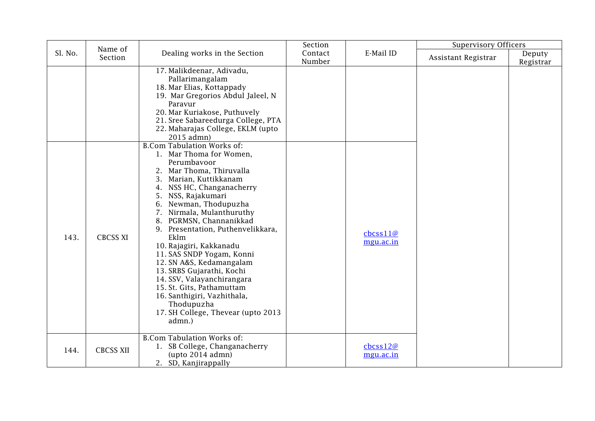|         | Name of          |                                                                                                                                                                                                                                                                                                                                                                                                                                                                                                                                                                                                      | Section           |                                              | <b>Supervisory Officers</b> |                     |
|---------|------------------|------------------------------------------------------------------------------------------------------------------------------------------------------------------------------------------------------------------------------------------------------------------------------------------------------------------------------------------------------------------------------------------------------------------------------------------------------------------------------------------------------------------------------------------------------------------------------------------------------|-------------------|----------------------------------------------|-----------------------------|---------------------|
| Sl. No. | Section          | Dealing works in the Section                                                                                                                                                                                                                                                                                                                                                                                                                                                                                                                                                                         | Contact<br>Number | E-Mail ID                                    | Assistant Registrar         | Deputy<br>Registrar |
|         |                  | 17. Malikdeenar, Adivadu,<br>Pallarimangalam<br>18. Mar Elias, Kottappady<br>19. Mar Gregorios Abdul Jaleel, N<br>Paravur<br>20. Mar Kuriakose, Puthuvely<br>21. Sree Sabareedurga College, PTA<br>22. Maharajas College, EKLM (upto<br>2015 admn)                                                                                                                                                                                                                                                                                                                                                   |                   |                                              |                             |                     |
| 143.    | <b>CBCSS XI</b>  | <b>B.Com Tabulation Works of:</b><br>1. Mar Thoma for Women,<br>Perumbavoor<br>2. Mar Thoma, Thiruvalla<br>3. Marian, Kuttikkanam<br>4. NSS HC, Changanacherry<br>NSS, Rajakumari<br>5.<br>Newman, Thodupuzha<br>6.<br>Nirmala, Mulanthuruthy<br>7.<br>8. PGRMSN, Channanikkad<br>9. Presentation, Puthenvelikkara,<br>Eklm<br>10. Rajagiri, Kakkanadu<br>11. SAS SNDP Yogam, Konni<br>12. SN A&S, Kedamangalam<br>13. SRBS Gujarathi, Kochi<br>14. SSV, Valayanchirangara<br>15. St. Gits, Pathamuttam<br>16. Santhigiri, Vazhithala,<br>Thodupuzha<br>17. SH College, Thevear (upto 2013<br>admn.) |                   | $\text{c}$ bcss $11@$<br>mgu.ac.in           |                             |                     |
| 144.    | <b>CBCSS XII</b> | <b>B.Com Tabulation Works of:</b><br>1. SB College, Changanacherry<br>$upto 2014$ admn $)$<br>2. SD, Kanjirappally                                                                                                                                                                                                                                                                                                                                                                                                                                                                                   |                   | $\text{c}$ bcss12 $\varnothing$<br>mgu.ac.in |                             |                     |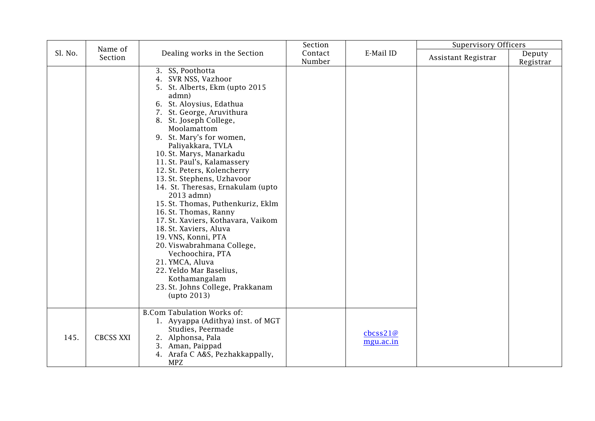|         | Name of          |                                                                                                                                                                                                                                                                                                                                                                                                                                                                                                                                                                                                                                                                                                                                          | Section           |                                                                  | <b>Supervisory Officers</b> |                     |
|---------|------------------|------------------------------------------------------------------------------------------------------------------------------------------------------------------------------------------------------------------------------------------------------------------------------------------------------------------------------------------------------------------------------------------------------------------------------------------------------------------------------------------------------------------------------------------------------------------------------------------------------------------------------------------------------------------------------------------------------------------------------------------|-------------------|------------------------------------------------------------------|-----------------------------|---------------------|
| Sl. No. | Section          | Dealing works in the Section                                                                                                                                                                                                                                                                                                                                                                                                                                                                                                                                                                                                                                                                                                             | Contact<br>Number | E-Mail ID                                                        | Assistant Registrar         | Deputy<br>Registrar |
|         |                  | 3. SS, Poothotta<br>4. SVR NSS, Vazhoor<br>5. St. Alberts, Ekm (upto 2015<br>admn)<br>6. St. Aloysius, Edathua<br>7. St. George, Aruvithura<br>8. St. Joseph College,<br>Moolamattom<br>9. St. Mary's for women,<br>Paliyakkara, TVLA<br>10. St. Marys, Manarkadu<br>11. St. Paul's, Kalamassery<br>12. St. Peters, Kolencherry<br>13. St. Stephens, Uzhavoor<br>14. St. Theresas, Ernakulam (upto<br>2013 admn)<br>15. St. Thomas, Puthenkuriz, Eklm<br>16. St. Thomas, Ranny<br>17. St. Xaviers, Kothavara, Vaikom<br>18. St. Xaviers, Aluva<br>19. VNS, Konni, PTA<br>20. Viswabrahmana College,<br>Vechoochira, PTA<br>21. YMCA, Aluva<br>22. Yeldo Mar Baselius,<br>Kothamangalam<br>23. St. Johns College, Prakkanam<br>upto 2013) |                   |                                                                  |                             |                     |
| 145.    | <b>CBCSS XXI</b> | <b>B.Com Tabulation Works of:</b><br>1. Ayyappa (Adithya) inst. of MGT<br>Studies, Peermade<br>2. Alphonsa, Pala<br>3. Aman, Paippad<br>4. Arafa C A&S, Pezhakkappally,<br><b>MPZ</b>                                                                                                                                                                                                                                                                                                                                                                                                                                                                                                                                                    |                   | $\frac{\text{c}b\text{c}ss21@}{\text{c}b\text{c}m}$<br>mgu.ac.in |                             |                     |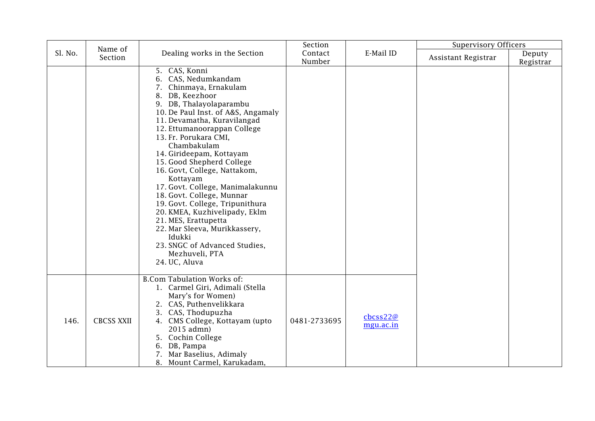|         | Name of           |                                                                                                                                                                                                                                                                                                                                                                                                                                                                                                                                                                                                                                           | Section           |                                                                      | <b>Supervisory Officers</b> |                     |
|---------|-------------------|-------------------------------------------------------------------------------------------------------------------------------------------------------------------------------------------------------------------------------------------------------------------------------------------------------------------------------------------------------------------------------------------------------------------------------------------------------------------------------------------------------------------------------------------------------------------------------------------------------------------------------------------|-------------------|----------------------------------------------------------------------|-----------------------------|---------------------|
| Sl. No. | Section           | Dealing works in the Section                                                                                                                                                                                                                                                                                                                                                                                                                                                                                                                                                                                                              | Contact<br>Number | E-Mail ID                                                            | Assistant Registrar         | Deputy<br>Registrar |
|         |                   | 5. CAS, Konni<br>6. CAS, Nedumkandam<br>Chinmaya, Ernakulam<br>DB, Keezhoor<br>8.<br>9. DB, Thalayolaparambu<br>10. De Paul Inst. of A&S, Angamaly<br>11. Devamatha, Kuravilangad<br>12. Ettumanoorappan College<br>13. Fr. Porukara CMI,<br>Chambakulam<br>14. Girideepam, Kottayam<br>15. Good Shepherd College<br>16. Govt, College, Nattakom,<br>Kottayam<br>17. Govt. College, Manimalakunnu<br>18. Govt. College, Munnar<br>19. Govt. College, Tripunithura<br>20. KMEA, Kuzhivelipady, Eklm<br>21. MES, Erattupetta<br>22. Mar Sleeva, Murikkassery,<br>Idukki<br>23. SNGC of Advanced Studies,<br>Mezhuveli, PTA<br>24. UC, Aluva |                   |                                                                      |                             |                     |
| 146.    | <b>CBCSS XXII</b> | <b>B.Com Tabulation Works of:</b><br>1. Carmel Giri, Adimali (Stella<br>Mary's for Women)<br>2. CAS, Puthenvelikkara<br>3. CAS, Thodupuzha<br>4. CMS College, Kottayam (upto<br>2015 admn)<br>5. Cochin College<br>DB, Pampa<br>6.<br>Mar Baselius, Adimaly<br>7.<br>8. Mount Carmel, Karukadam,                                                                                                                                                                                                                                                                                                                                          | 0481-2733695      | $\frac{\text{c}b\text{c}ss22@}{\text{c}b\text{c}ss22@}$<br>mgu.ac.in |                             |                     |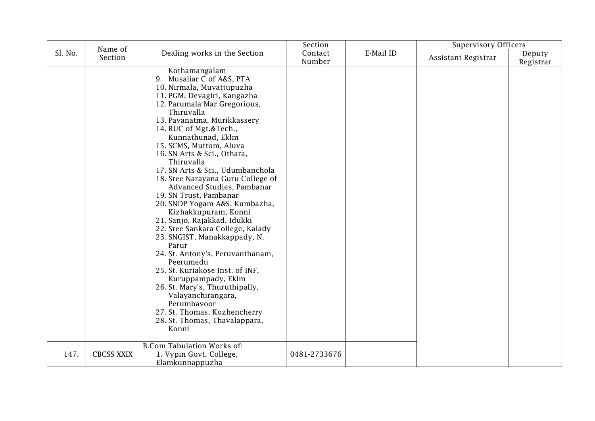|         | Name of           |                                                                                                                                                                                                                                                                                                                                                                                                                                                                                                                                                                                                                                                                                                                                                                                                                                                                                                                  | Section           |           | <b>Supervisory Officers</b> |                     |
|---------|-------------------|------------------------------------------------------------------------------------------------------------------------------------------------------------------------------------------------------------------------------------------------------------------------------------------------------------------------------------------------------------------------------------------------------------------------------------------------------------------------------------------------------------------------------------------------------------------------------------------------------------------------------------------------------------------------------------------------------------------------------------------------------------------------------------------------------------------------------------------------------------------------------------------------------------------|-------------------|-----------|-----------------------------|---------------------|
| Sl. No. | Section           | Dealing works in the Section                                                                                                                                                                                                                                                                                                                                                                                                                                                                                                                                                                                                                                                                                                                                                                                                                                                                                     | Contact<br>Number | E-Mail ID | Assistant Registrar         | Deputy<br>Registrar |
|         |                   | Kothamangalam<br>9. Musaliar C of A&S, PTA<br>10. Nirmala, Muvattupuzha<br>11. PGM. Devagiri, Kangazha<br>12. Parumala Mar Gregorious,<br>Thiruvalla<br>13. Pavanatma, Murikkassery<br>14. RUC of Mgt.&Tech.,<br>Kunnathunad, Eklm<br>15. SCMS, Muttom, Aluva<br>16. SN Arts & Sci., Othara,<br>Thiruvalla<br>17. SN Arts & Sci., Udumbanchola<br>18. Sree Narayana Guru College of<br>Advanced Studies, Pambanar<br>19. SN Trust, Pambanar<br>20. SNDP Yogam A&S, Kumbazha,<br>Kizhakkupuram, Konni<br>21. Sanjo, Rajakkad, Idukki<br>22. Sree Sankara College, Kalady<br>23. SNGIST, Manakkappady, N.<br>Parur<br>24. St. Antony's, Peruvanthanam,<br>Peerumedu<br>25. St. Kuriakose Inst. of INF,<br>Kuruppampady, Eklm<br>26. St. Mary's, Thuruthipally,<br>Valayanchirangara,<br>Perumbavoor<br>27. St. Thomas, Kozhencherry<br>28. St. Thomas, Thavalappara,<br>Konni<br><b>B.Com Tabulation Works of:</b> |                   |           |                             |                     |
| 147.    | <b>CBCSS XXIX</b> | 1. Vypin Govt. College,<br>Elamkunnappuzha                                                                                                                                                                                                                                                                                                                                                                                                                                                                                                                                                                                                                                                                                                                                                                                                                                                                       | 0481-2733676      |           |                             |                     |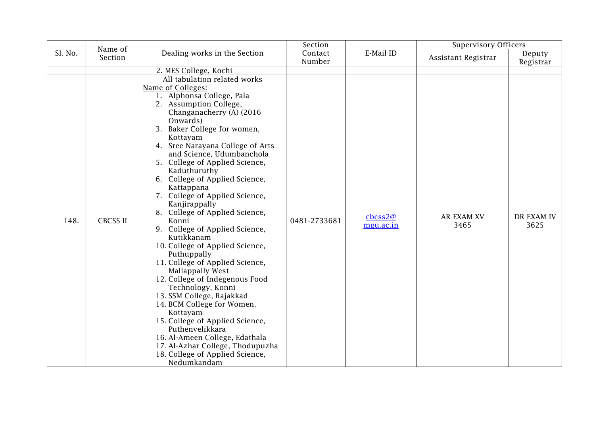|         | Name of         |                                                                                                                                                                                                                                                                                                                                                                                                                                                                                                                                                                                                                                                                                                                                                                                                                                                                                                                                    | Section      |                                                                    | <b>Supervisory Officers</b> |                    |
|---------|-----------------|------------------------------------------------------------------------------------------------------------------------------------------------------------------------------------------------------------------------------------------------------------------------------------------------------------------------------------------------------------------------------------------------------------------------------------------------------------------------------------------------------------------------------------------------------------------------------------------------------------------------------------------------------------------------------------------------------------------------------------------------------------------------------------------------------------------------------------------------------------------------------------------------------------------------------------|--------------|--------------------------------------------------------------------|-----------------------------|--------------------|
| Sl. No. | Section         | Dealing works in the Section                                                                                                                                                                                                                                                                                                                                                                                                                                                                                                                                                                                                                                                                                                                                                                                                                                                                                                       | Contact      | E-Mail ID                                                          | Assistant Registrar         | Deputy             |
|         |                 |                                                                                                                                                                                                                                                                                                                                                                                                                                                                                                                                                                                                                                                                                                                                                                                                                                                                                                                                    | Number       |                                                                    |                             | Registrar          |
|         |                 | 2. MES College, Kochi                                                                                                                                                                                                                                                                                                                                                                                                                                                                                                                                                                                                                                                                                                                                                                                                                                                                                                              |              |                                                                    |                             |                    |
| 148.    | <b>CBCSS II</b> | All tabulation related works<br>Name of Colleges:<br>1. Alphonsa College, Pala<br>2. Assumption College,<br>Changanacherry (A) (2016)<br>Onwards)<br>3. Baker College for women,<br>Kottayam<br>4. Sree Narayana College of Arts<br>and Science, Udumbanchola<br>5. College of Applied Science,<br>Kaduthuruthy<br>6. College of Applied Science,<br>Kattappana<br>7. College of Applied Science,<br>Kanjirappally<br>8. College of Applied Science,<br>Konni<br>9. College of Applied Science,<br>Kutikkanam<br>10. College of Applied Science,<br>Puthuppally<br>11. College of Applied Science,<br>Mallappally West<br>12. College of Indegenous Food<br>Technology, Konni<br>13. SSM College, Rajakkad<br>14. BCM College for Women,<br>Kottayam<br>15. College of Applied Science,<br>Puthenvelikkara<br>16. Al-Ameen College, Edathala<br>17. Al-Azhar College, Thodupuzha<br>18. College of Applied Science,<br>Nedumkandam | 0481-2733681 | $\frac{\text{c}b\text{c}ss2@}{\text{c}b\text{c}ss2@}$<br>mgu.ac.in | <b>AR EXAM XV</b><br>3465   | DR EXAM IV<br>3625 |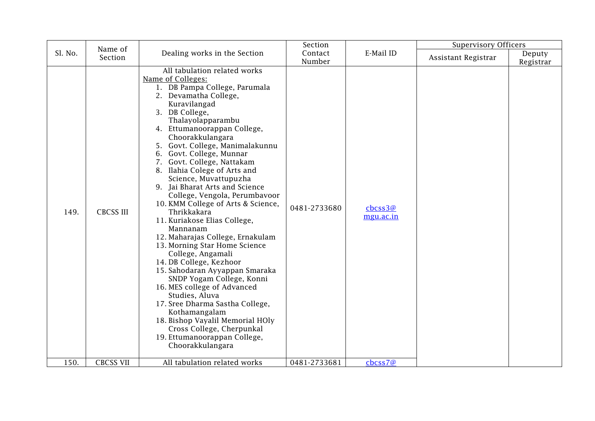|         | Name of          |                                                                                                                                                                                                                                                                                                                                                                                                                                                                                                                                                                                                                                                                                                                                                                                                                                                                                                                                                               | Section           |                                                                | <b>Supervisory Officers</b> |                     |
|---------|------------------|---------------------------------------------------------------------------------------------------------------------------------------------------------------------------------------------------------------------------------------------------------------------------------------------------------------------------------------------------------------------------------------------------------------------------------------------------------------------------------------------------------------------------------------------------------------------------------------------------------------------------------------------------------------------------------------------------------------------------------------------------------------------------------------------------------------------------------------------------------------------------------------------------------------------------------------------------------------|-------------------|----------------------------------------------------------------|-----------------------------|---------------------|
| Sl. No. | Section          | Dealing works in the Section                                                                                                                                                                                                                                                                                                                                                                                                                                                                                                                                                                                                                                                                                                                                                                                                                                                                                                                                  | Contact<br>Number | E-Mail ID                                                      | Assistant Registrar         | Deputy<br>Registrar |
| 149.    | <b>CBCSS III</b> | All tabulation related works<br>Name of Colleges:<br>1. DB Pampa College, Parumala<br>2. Devamatha College,<br>Kuravilangad<br>3. DB College,<br>Thalayolapparambu<br>4. Ettumanoorappan College,<br>Choorakkulangara<br>5. Govt. College, Manimalakunnu<br>6. Govt. College, Munnar<br>7. Govt. College, Nattakam<br>8. Ilahia Colege of Arts and<br>Science, Muvattupuzha<br>9. Jai Bharat Arts and Science<br>College, Vengola, Perumbavoor<br>10. KMM College of Arts & Science,<br>Thrikkakara<br>11. Kuriakose Elias College,<br>Mannanam<br>12. Maharajas College, Ernakulam<br>13. Morning Star Home Science<br>College, Angamali<br>14. DB College, Kezhoor<br>15. Sahodaran Ayyappan Smaraka<br>SNDP Yogam College, Konni<br>16. MES college of Advanced<br>Studies, Aluva<br>17. Sree Dharma Sastha College,<br>Kothamangalam<br>18. Bishop Vayalil Memorial HOly<br>Cross College, Cherpunkal<br>19. Ettumanoorappan College,<br>Choorakkulangara | 0481-2733680      | $\frac{\text{c}b\text{c}ss3@}{\text{c}b\text{c}}$<br>mgu.ac.in |                             |                     |
| 150.    | <b>CBCSS VII</b> | All tabulation related works                                                                                                                                                                                                                                                                                                                                                                                                                                                                                                                                                                                                                                                                                                                                                                                                                                                                                                                                  | 0481-2733681      | cbcss7@                                                        |                             |                     |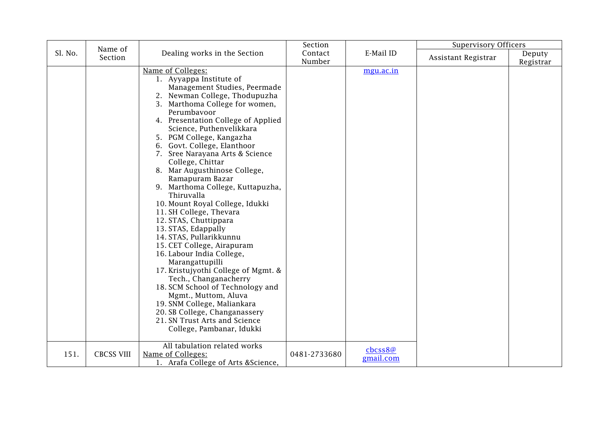|         | Name of           |                                                                                                                                                                                                                                                                                                                                                                                                                                                                                                                                                                                                                                                                                                                                                                                                                                                                                                                                          | Section           |                                | <b>Supervisory Officers</b> |                     |
|---------|-------------------|------------------------------------------------------------------------------------------------------------------------------------------------------------------------------------------------------------------------------------------------------------------------------------------------------------------------------------------------------------------------------------------------------------------------------------------------------------------------------------------------------------------------------------------------------------------------------------------------------------------------------------------------------------------------------------------------------------------------------------------------------------------------------------------------------------------------------------------------------------------------------------------------------------------------------------------|-------------------|--------------------------------|-----------------------------|---------------------|
| Sl. No. | Section           | Dealing works in the Section                                                                                                                                                                                                                                                                                                                                                                                                                                                                                                                                                                                                                                                                                                                                                                                                                                                                                                             | Contact<br>Number | E-Mail ID                      | Assistant Registrar         | Deputy<br>Registrar |
|         |                   | Name of Colleges:<br>1. Ayyappa Institute of<br>Management Studies, Peermade<br>2. Newman College, Thodupuzha<br>3. Marthoma College for women,<br>Perumbavoor<br>4. Presentation College of Applied<br>Science, Puthenvelikkara<br>5. PGM College, Kangazha<br>6. Govt. College, Elanthoor<br>7. Sree Narayana Arts & Science<br>College, Chittar<br>8. Mar Augusthinose College,<br>Ramapuram Bazar<br>9. Marthoma College, Kuttapuzha,<br>Thiruvalla<br>10. Mount Royal College, Idukki<br>11. SH College, Thevara<br>12. STAS, Chuttippara<br>13. STAS, Edappally<br>14. STAS, Pullarikkunnu<br>15. CET College, Airapuram<br>16. Labour India College,<br>Marangattupilli<br>17. Kristujyothi College of Mgmt. &<br>Tech., Changanacherry<br>18. SCM School of Technology and<br>Mgmt., Muttom, Aluva<br>19. SNM College, Maliankara<br>20. SB College, Changanassery<br>21. SN Trust Arts and Science<br>College, Pambanar, Idukki |                   | mgu.ac.in                      |                             |                     |
| 151.    | <b>CBCSS VIII</b> | All tabulation related works<br>Name of Colleges:<br>1. Arafa College of Arts & Science,                                                                                                                                                                                                                                                                                                                                                                                                                                                                                                                                                                                                                                                                                                                                                                                                                                                 | 0481-2733680      | $\text{c}$ bcss8@<br>gmail.com |                             |                     |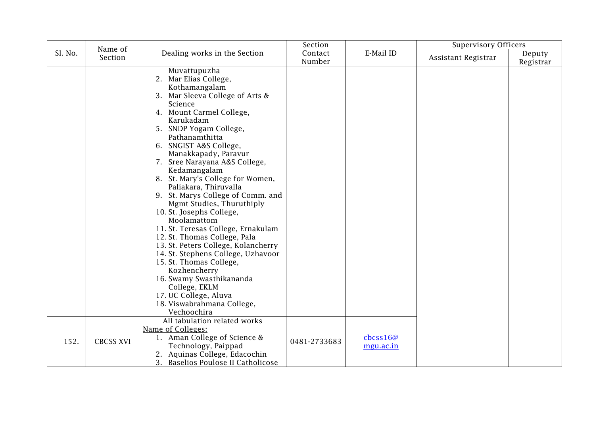|         |                    |                                                                                                                                                                                                                                                                                                                                                                                                                                                                                                                                                                                                                                                                                                                                                                                                                         | Section           |                                 | <b>Supervisory Officers</b> |                     |
|---------|--------------------|-------------------------------------------------------------------------------------------------------------------------------------------------------------------------------------------------------------------------------------------------------------------------------------------------------------------------------------------------------------------------------------------------------------------------------------------------------------------------------------------------------------------------------------------------------------------------------------------------------------------------------------------------------------------------------------------------------------------------------------------------------------------------------------------------------------------------|-------------------|---------------------------------|-----------------------------|---------------------|
| Sl. No. | Name of<br>Section | Dealing works in the Section                                                                                                                                                                                                                                                                                                                                                                                                                                                                                                                                                                                                                                                                                                                                                                                            | Contact<br>Number | E-Mail ID                       | Assistant Registrar         | Deputy<br>Registrar |
|         |                    | Muvattupuzha<br>2. Mar Elias College,<br>Kothamangalam<br>3. Mar Sleeva College of Arts &<br>Science<br>4. Mount Carmel College,<br>Karukadam<br>5. SNDP Yogam College,<br>Pathanamthitta<br>6. SNGIST A&S College,<br>Manakkapady, Paravur<br>7. Sree Narayana A&S College,<br>Kedamangalam<br>8. St. Mary's College for Women,<br>Paliakara, Thiruvalla<br>9. St. Marys College of Comm. and<br>Mgmt Studies, Thuruthiply<br>10. St. Josephs College,<br>Moolamattom<br>11. St. Teresas College, Ernakulam<br>12. St. Thomas College, Pala<br>13. St. Peters College, Kolancherry<br>14. St. Stephens College, Uzhavoor<br>15. St. Thomas College,<br>Kozhencherry<br>16. Swamy Swasthikananda<br>College, EKLM<br>17. UC College, Aluva<br>18. Viswabrahmana College,<br>Vechoochira<br>All tabulation related works |                   |                                 |                             |                     |
| 152.    | <b>CBCSS XVI</b>   | Name of Colleges:<br>1. Aman College of Science &<br>Technology, Paippad<br>2. Aquinas College, Edacochin<br>3. Baselios Poulose II Catholicose                                                                                                                                                                                                                                                                                                                                                                                                                                                                                                                                                                                                                                                                         | 0481-2733683      | $\text{c}$ bcss16@<br>mgu.ac.in |                             |                     |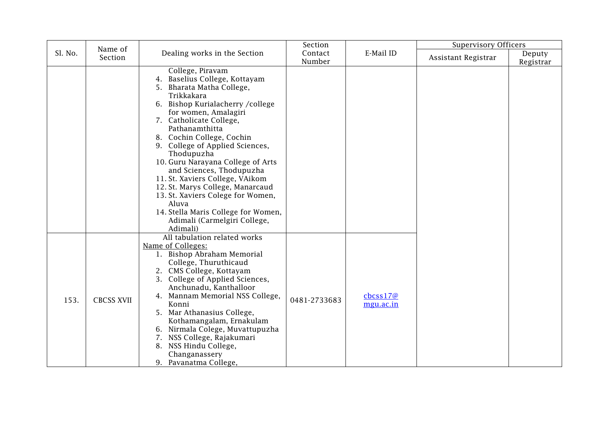|         | Name of           |                                                                                                                                                                                                                                                                                                                                                                                                                                                                                                                                                               | Section           |                                 | <b>Supervisory Officers</b> |                     |
|---------|-------------------|---------------------------------------------------------------------------------------------------------------------------------------------------------------------------------------------------------------------------------------------------------------------------------------------------------------------------------------------------------------------------------------------------------------------------------------------------------------------------------------------------------------------------------------------------------------|-------------------|---------------------------------|-----------------------------|---------------------|
| Sl. No. | Section           | Dealing works in the Section                                                                                                                                                                                                                                                                                                                                                                                                                                                                                                                                  | Contact<br>Number | E-Mail ID                       | Assistant Registrar         | Deputy<br>Registrar |
|         |                   | College, Piravam<br>4. Baselius College, Kottayam<br>5. Bharata Matha College,<br>Trikkakara<br>6. Bishop Kurialacherry / college<br>for women, Amalagiri<br>7. Catholicate College,<br>Pathanamthitta<br>8. Cochin College, Cochin<br>9. College of Applied Sciences,<br>Thodupuzha<br>10. Guru Narayana College of Arts<br>and Sciences, Thodupuzha<br>11. St. Xaviers College, VAikom<br>12. St. Marys College, Manarcaud<br>13. St. Xaviers Colege for Women,<br>Aluva<br>14. Stella Maris College for Women,<br>Adimali (Carmelgiri College,<br>Adimali) |                   |                                 |                             |                     |
| 153.    | <b>CBCSS XVII</b> | All tabulation related works<br>Name of Colleges:<br>1. Bishop Abraham Memorial<br>College, Thuruthicaud<br>2. CMS College, Kottayam<br>3. College of Applied Sciences,<br>Anchunadu, Kanthalloor<br>4. Mannam Memorial NSS College,<br>Konni<br>5. Mar Athanasius College,<br>Kothamangalam, Ernakulam<br>6. Nirmala Colege, Muvattupuzha<br>7. NSS College, Rajakumari<br>8. NSS Hindu College,<br>Changanassery<br>9. Pavanatma College,                                                                                                                   | 0481-2733683      | $\text{c}$ bcss17@<br>mgu.ac.in |                             |                     |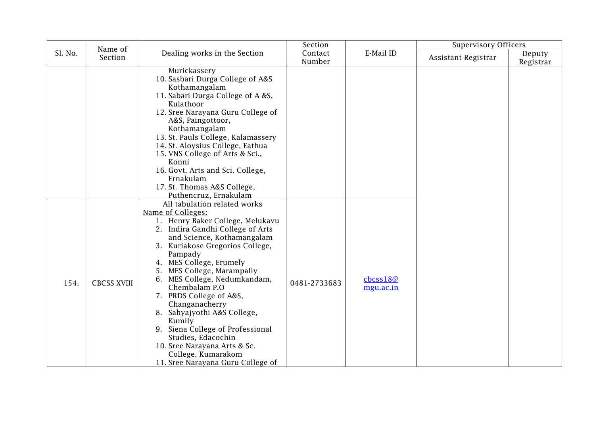|         | Name of            |                                                                                                                                                                                                                                                                                                                                                                                                                                                                                                                                                            | Section           |                       | <b>Supervisory Officers</b> |                     |
|---------|--------------------|------------------------------------------------------------------------------------------------------------------------------------------------------------------------------------------------------------------------------------------------------------------------------------------------------------------------------------------------------------------------------------------------------------------------------------------------------------------------------------------------------------------------------------------------------------|-------------------|-----------------------|-----------------------------|---------------------|
| Sl. No. | Section            | Dealing works in the Section                                                                                                                                                                                                                                                                                                                                                                                                                                                                                                                               | Contact<br>Number | E-Mail ID             | Assistant Registrar         | Deputy<br>Registrar |
|         |                    | Murickassery<br>10. Sasbari Durga College of A&S<br>Kothamangalam<br>11. Sabari Durga College of A &S,<br>Kulathoor<br>12. Sree Narayana Guru College of<br>A&S, Paingottoor,<br>Kothamangalam<br>13. St. Pauls College, Kalamassery<br>14. St. Aloysius College, Eathua<br>15. VNS College of Arts & Sci.,<br>Konni<br>16. Govt. Arts and Sci. College,<br>Ernakulam<br>17. St. Thomas A&S College,<br>Puthencruz, Ernakulam                                                                                                                              |                   |                       |                             |                     |
| 154.    | <b>CBCSS XVIII</b> | All tabulation related works<br>Name of Colleges:<br>1. Henry Baker College, Melukavu<br>2. Indira Gandhi College of Arts<br>and Science, Kothamangalam<br>3. Kuriakose Gregorios College,<br>Pampady<br>4. MES College, Erumely<br>5. MES College, Marampally<br>6. MES College, Nedumkandam,<br>Chembalam P.O<br>7. PRDS College of A&S,<br>Changanacherry<br>8. Sahyajyothi A&S College,<br>Kumily<br>9. Siena College of Professional<br>Studies, Edacochin<br>10. Sree Narayana Arts & Sc.<br>College, Kumarakom<br>11. Sree Narayana Guru College of | 0481-2733683      | cbcss18@<br>mgu.ac.in |                             |                     |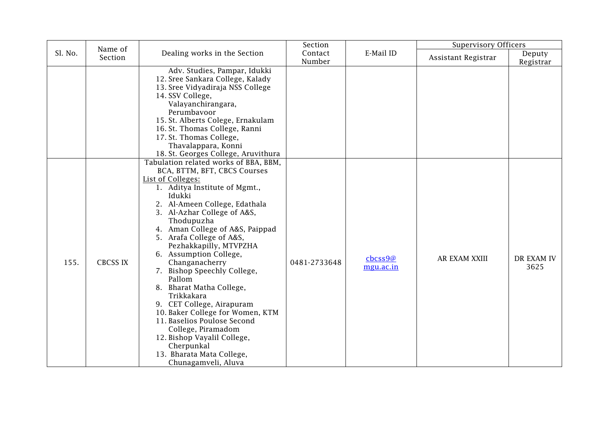|         | Name of         |                                                                                                                                                                                                                                                                                                                                                                                                                                                                                                                                                                                                                                                                    | Section           |                      | <b>Supervisory Officers</b> |                     |
|---------|-----------------|--------------------------------------------------------------------------------------------------------------------------------------------------------------------------------------------------------------------------------------------------------------------------------------------------------------------------------------------------------------------------------------------------------------------------------------------------------------------------------------------------------------------------------------------------------------------------------------------------------------------------------------------------------------------|-------------------|----------------------|-----------------------------|---------------------|
| Sl. No. | Section         | Dealing works in the Section                                                                                                                                                                                                                                                                                                                                                                                                                                                                                                                                                                                                                                       | Contact<br>Number | E-Mail ID            | Assistant Registrar         | Deputy<br>Registrar |
|         |                 | Adv. Studies, Pampar, Idukki<br>12. Sree Sankara College, Kalady<br>13. Sree Vidyadiraja NSS College<br>14. SSV College,<br>Valayanchirangara,<br>Perumbayoor<br>15. St. Alberts Colege, Ernakulam<br>16. St. Thomas College, Ranni<br>17. St. Thomas College,<br>Thavalappara, Konni<br>18. St. Georges College, Aruvithura                                                                                                                                                                                                                                                                                                                                       |                   |                      |                             |                     |
| 155.    | <b>CBCSS IX</b> | Tabulation related works of BBA, BBM,<br>BCA, BTTM, BFT, CBCS Courses<br>List of Colleges:<br>1. Aditya Institute of Mgmt.,<br>Idukki<br>2. Al-Ameen College, Edathala<br>3. Al-Azhar College of A&S,<br>Thodupuzha<br>4. Aman College of A&S, Paippad<br>5. Arafa College of A&S,<br>Pezhakkapilly, MTVPZHA<br>6. Assumption College,<br>Changanacherry<br>7. Bishop Speechly College,<br>Pallom<br>8. Bharat Matha College,<br>Trikkakara<br>9. CET College, Airapuram<br>10. Baker College for Women, KTM<br>11. Baselios Poulose Second<br>College, Piramadom<br>12. Bishop Vayalil College,<br>Cherpunkal<br>13. Bharata Mata College,<br>Chunagamveli, Aluva | 0481-2733648      | cbcss9@<br>mgu.ac.in | AR EXAM XXIII               | DR EXAM IV<br>3625  |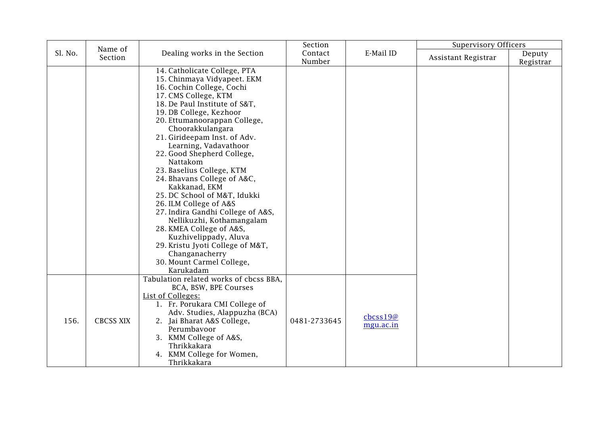|         | Name of          |                                                                                                                                                                                                                                                                                                                                                                                                                                                                                                                                                                                                                                                                                                   | Section           |                                                                  | <b>Supervisory Officers</b> |                     |
|---------|------------------|---------------------------------------------------------------------------------------------------------------------------------------------------------------------------------------------------------------------------------------------------------------------------------------------------------------------------------------------------------------------------------------------------------------------------------------------------------------------------------------------------------------------------------------------------------------------------------------------------------------------------------------------------------------------------------------------------|-------------------|------------------------------------------------------------------|-----------------------------|---------------------|
| Sl. No. | Section          | Dealing works in the Section                                                                                                                                                                                                                                                                                                                                                                                                                                                                                                                                                                                                                                                                      | Contact<br>Number | E-Mail ID                                                        | Assistant Registrar         | Deputy<br>Registrar |
|         |                  | 14. Catholicate College, PTA<br>15. Chinmaya Vidyapeet. EKM<br>16. Cochin College, Cochi<br>17. CMS College, KTM<br>18. De Paul Institute of S&T,<br>19. DB College, Kezhoor<br>20. Ettumanoorappan College,<br>Choorakkulangara<br>21. Girideepam Inst. of Adv.<br>Learning, Vadavathoor<br>22. Good Shepherd College,<br>Nattakom<br>23. Baselius College, KTM<br>24. Bhavans College of A&C,<br>Kakkanad, EKM<br>25. DC School of M&T, Idukki<br>26. ILM College of A&S<br>27. Indira Gandhi College of A&S,<br>Nellikuzhi, Kothamangalam<br>28. KMEA College of A&S,<br>Kuzhivelippady, Aluva<br>29. Kristu Jyoti College of M&T,<br>Changanacherry<br>30. Mount Carmel College,<br>Karukadam |                   |                                                                  |                             |                     |
| 156.    | <b>CBCSS XIX</b> | Tabulation related works of cbcss BBA,<br>BCA, BSW, BPE Courses<br>List of Colleges:<br>1. Fr. Porukara CMI College of<br>Adv. Studies, Alappuzha (BCA)<br>2. Jai Bharat A&S College,<br>Perumbavoor<br>3. KMM College of A&S,<br>Thrikkakara<br>4. KMM College for Women,<br>Thrikkakara                                                                                                                                                                                                                                                                                                                                                                                                         | 0481-2733645      | $\frac{\text{c}b\text{c}ss19@}{\text{c}b\text{c}m}$<br>mgu.ac.in |                             |                     |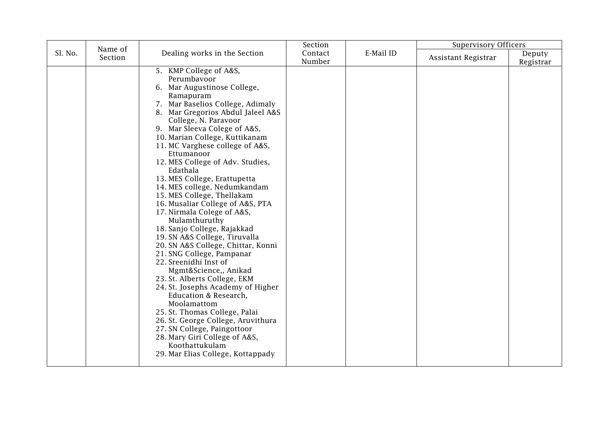|         | Name of |                                                                                                                                                                                                                                                                                                                                                                                                                                                                                                                                                                                                                                                                                                                                                                                                                                                                                                                                                                                                                                        | Section           |           | <b>Supervisory Officers</b> |                     |
|---------|---------|----------------------------------------------------------------------------------------------------------------------------------------------------------------------------------------------------------------------------------------------------------------------------------------------------------------------------------------------------------------------------------------------------------------------------------------------------------------------------------------------------------------------------------------------------------------------------------------------------------------------------------------------------------------------------------------------------------------------------------------------------------------------------------------------------------------------------------------------------------------------------------------------------------------------------------------------------------------------------------------------------------------------------------------|-------------------|-----------|-----------------------------|---------------------|
| Sl. No. | Section | Dealing works in the Section                                                                                                                                                                                                                                                                                                                                                                                                                                                                                                                                                                                                                                                                                                                                                                                                                                                                                                                                                                                                           | Contact<br>Number | E-Mail ID | Assistant Registrar         | Deputy<br>Registrar |
|         |         | 5. KMP College of A&S,<br>Perumbavoor<br>6. Mar Augustinose College,<br>Ramapuram<br>7. Mar Baselios College, Adimaly<br>8. Mar Gregorios Abdul Jaleel A&S<br>College, N. Paravoor<br>9. Mar Sleeva Colege of A&S,<br>10. Marian College, Kuttikanam<br>11. MC Varghese college of A&S,<br>Ettumanoor<br>12. MES College of Adv. Studies,<br>Edathala<br>13. MES College, Erattupetta<br>14. MES college, Nedumkandam<br>15. MES College, Thellakam<br>16. Musaliar College of A&S, PTA<br>17. Nirmala Colege of A&S,<br>Mulamthuruthy<br>18. Sanjo College, Rajakkad<br>19. SN A&S College, Tiruvalla<br>20. SN A&S College, Chittar, Konni<br>21. SNG College, Pampanar<br>22. Sreenidhi Inst of<br>Mgmt&Science,, Anikad<br>23. St. Alberts College, EKM<br>24. St. Josephs Academy of Higher<br>Education & Research,<br>Moolamattom<br>25. St. Thomas College, Palai<br>26. St. George College, Aruvithura<br>27. SN College, Paingottoor<br>28. Mary Giri College of A&S,<br>Koothattukulam<br>29. Mar Elias College, Kottappady |                   |           |                             |                     |
|         |         |                                                                                                                                                                                                                                                                                                                                                                                                                                                                                                                                                                                                                                                                                                                                                                                                                                                                                                                                                                                                                                        |                   |           |                             |                     |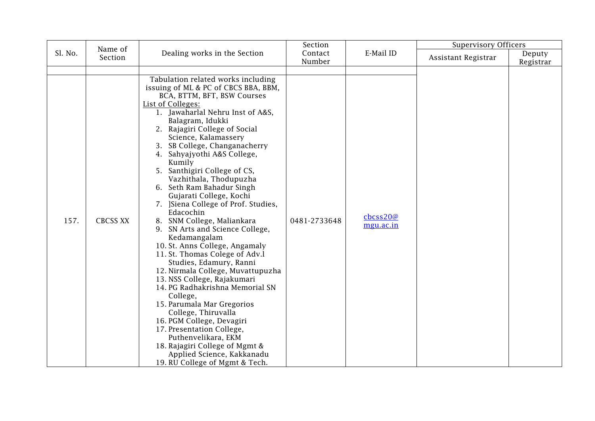|         | Name of         |                                                                                                                                                                                                                                                                                                                                                                                                                                                                                                                                                                                                                                                                                                                                                                                                                                                                                                                                                                                                                                            | Section           |                                              | <b>Supervisory Officers</b> |                     |
|---------|-----------------|--------------------------------------------------------------------------------------------------------------------------------------------------------------------------------------------------------------------------------------------------------------------------------------------------------------------------------------------------------------------------------------------------------------------------------------------------------------------------------------------------------------------------------------------------------------------------------------------------------------------------------------------------------------------------------------------------------------------------------------------------------------------------------------------------------------------------------------------------------------------------------------------------------------------------------------------------------------------------------------------------------------------------------------------|-------------------|----------------------------------------------|-----------------------------|---------------------|
| Sl. No. | Section         | Dealing works in the Section                                                                                                                                                                                                                                                                                                                                                                                                                                                                                                                                                                                                                                                                                                                                                                                                                                                                                                                                                                                                               | Contact<br>Number | E-Mail ID                                    | Assistant Registrar         | Deputy<br>Registrar |
|         |                 |                                                                                                                                                                                                                                                                                                                                                                                                                                                                                                                                                                                                                                                                                                                                                                                                                                                                                                                                                                                                                                            |                   |                                              |                             |                     |
| 157.    | <b>CBCSS XX</b> | Tabulation related works including<br>issuing of ML & PC of CBCS BBA, BBM,<br>BCA, BTTM, BFT, BSW Courses<br>List of Colleges:<br>1. Jawaharlal Nehru Inst of A&S,<br>Balagram, Idukki<br>2. Rajagiri College of Social<br>Science, Kalamassery<br>3. SB College, Changanacherry<br>4. Sahyajyothi A&S College,<br>Kumily<br>5. Santhigiri College of CS,<br>Vazhithala, Thodupuzha<br>6. Seth Ram Bahadur Singh<br>Gujarati College, Kochi<br>7. JSiena College of Prof. Studies,<br>Edacochin<br>8. SNM College, Maliankara<br>9. SN Arts and Science College,<br>Kedamangalam<br>10. St. Anns College, Angamaly<br>11. St. Thomas Colege of Adv.l<br>Studies, Edamury, Ranni<br>12. Nirmala College, Muvattupuzha<br>13. NSS College, Rajakumari<br>14. PG Radhakrishna Memorial SN<br>College,<br>15. Parumala Mar Gregorios<br>College, Thiruvalla<br>16. PGM College, Devagiri<br>17. Presentation College,<br>Puthenvelikara, EKM<br>18. Rajagiri College of Mgmt &<br>Applied Science, Kakkanadu<br>19. RU College of Mgmt & Tech. | 0481-2733648      | $\text{c}$ bcss20 $\varnothing$<br>mgu.ac.in |                             |                     |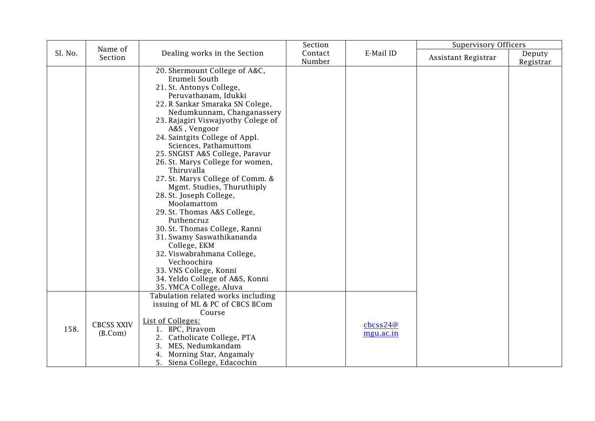|         | Name of                      |                                                                                                                                                                                                                                                                                                                                                                                                                                                                                                                                                                                                                                                                                                                                                       | Section           |                                                                      | <b>Supervisory Officers</b> |                     |
|---------|------------------------------|-------------------------------------------------------------------------------------------------------------------------------------------------------------------------------------------------------------------------------------------------------------------------------------------------------------------------------------------------------------------------------------------------------------------------------------------------------------------------------------------------------------------------------------------------------------------------------------------------------------------------------------------------------------------------------------------------------------------------------------------------------|-------------------|----------------------------------------------------------------------|-----------------------------|---------------------|
| Sl. No. | Section                      | Dealing works in the Section                                                                                                                                                                                                                                                                                                                                                                                                                                                                                                                                                                                                                                                                                                                          | Contact<br>Number | E-Mail ID                                                            | Assistant Registrar         | Deputy<br>Registrar |
|         |                              | 20. Shermount College of A&C,<br>Erumeli South<br>21. St. Antonys College,<br>Peruvathanam, Idukki<br>22. R Sankar Smaraka SN Colege,<br>Nedumkunnam, Changanassery<br>23. Rajagiri Viswajyothy Colege of<br>A&S, Vengoor<br>24. Saintgits College of Appl.<br>Sciences, Pathamuttom<br>25. SNGIST A&S College, Paravur<br>26. St. Marys College for women,<br>Thiruvalla<br>27. St. Marys College of Comm. &<br>Mgmt. Studies, Thuruthiply<br>28. St. Joseph College,<br>Moolamattom<br>29. St. Thomas A&S College,<br>Puthencruz<br>30. St. Thomas College, Ranni<br>31. Swamy Saswathikananda<br>College, EKM<br>32. Viswabrahmana College,<br>Vechoochira<br>33. VNS College, Konni<br>34. Yeldo College of A&S, Konni<br>35. YMCA College, Aluva |                   |                                                                      |                             |                     |
| 158.    | <b>CBCSS XXIV</b><br>(B.Com) | Tabulation related works including<br>issuing of ML & PC of CBCS BCom<br>Course<br>List of Colleges:<br>1. BPC, Piravom<br>2. Catholicate College, PTA<br>MES, Nedumkandam<br>3.<br>Morning Star, Angamaly<br>4.<br>5. Siena College, Edacochin                                                                                                                                                                                                                                                                                                                                                                                                                                                                                                       |                   | $\frac{\text{c}b\text{c}ss24@}{\text{c}b\text{c}ss24@}$<br>mgu.ac.in |                             |                     |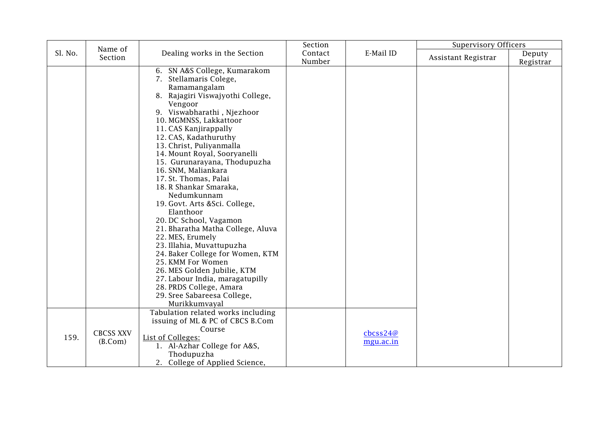|         | Name of                     |                                                                                                                                                                                                                                                                                                                                                                                                                                                                                                                                                                                                                                                                                                                                                                                          | Section           |                                                                      | <b>Supervisory Officers</b> |                     |
|---------|-----------------------------|------------------------------------------------------------------------------------------------------------------------------------------------------------------------------------------------------------------------------------------------------------------------------------------------------------------------------------------------------------------------------------------------------------------------------------------------------------------------------------------------------------------------------------------------------------------------------------------------------------------------------------------------------------------------------------------------------------------------------------------------------------------------------------------|-------------------|----------------------------------------------------------------------|-----------------------------|---------------------|
| Sl. No. | Section                     | Dealing works in the Section                                                                                                                                                                                                                                                                                                                                                                                                                                                                                                                                                                                                                                                                                                                                                             | Contact<br>Number | E-Mail ID                                                            | Assistant Registrar         | Deputy<br>Registrar |
|         |                             | 6. SN A&S College, Kumarakom<br>7. Stellamaris Colege,<br>Ramamangalam<br>8. Rajagiri Viswajyothi College,<br>Vengoor<br>9. Viswabharathi, Njezhoor<br>10. MGMNSS, Lakkattoor<br>11. CAS Kanjirappally<br>12. CAS, Kadathuruthy<br>13. Christ, Puliyanmalla<br>14. Mount Royal, Sooryanelli<br>15. Gurunarayana, Thodupuzha<br>16. SNM, Maliankara<br>17. St. Thomas, Palai<br>18. R Shankar Smaraka,<br>Nedumkunnam<br>19. Govt. Arts &Sci. College,<br>Elanthoor<br>20. DC School, Vagamon<br>21. Bharatha Matha College, Aluva<br>22. MES, Erumely<br>23. Illahia, Muvattupuzha<br>24. Baker College for Women, KTM<br>25. KMM For Women<br>26. MES Golden Jubilie, KTM<br>27. Labour India, maragatupilly<br>28. PRDS College, Amara<br>29. Sree Sabareesa College,<br>Murikkumvayal |                   |                                                                      |                             |                     |
| 159.    | <b>CBCSS XXV</b><br>(B.Com) | Tabulation related works including<br>issuing of ML & PC of CBCS B.Com<br>Course<br>List of Colleges:<br>1. Al-Azhar College for A&S,<br>Thodupuzha<br>2. College of Applied Science,                                                                                                                                                                                                                                                                                                                                                                                                                                                                                                                                                                                                    |                   | $\frac{\text{c}b\text{c}ss24@}{\text{c}b\text{c}ss24@}$<br>mgu.ac.in |                             |                     |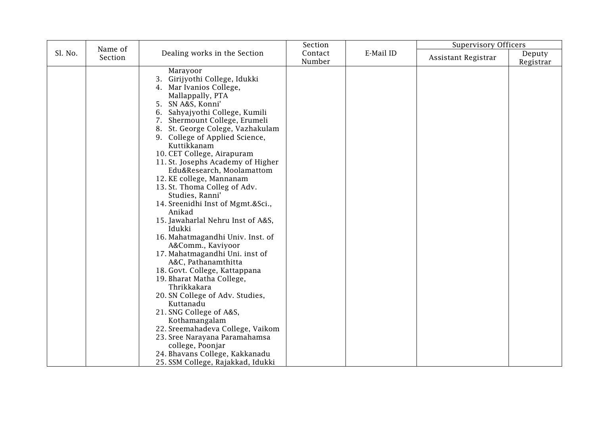|         |                    |                                                                                                                                                                                                                                                                                                                                                                                                                                                                                                                                                                                                                                                                                                                                                                                                                                                                                                                                                                          | Section           |           | <b>Supervisory Officers</b> |                     |
|---------|--------------------|--------------------------------------------------------------------------------------------------------------------------------------------------------------------------------------------------------------------------------------------------------------------------------------------------------------------------------------------------------------------------------------------------------------------------------------------------------------------------------------------------------------------------------------------------------------------------------------------------------------------------------------------------------------------------------------------------------------------------------------------------------------------------------------------------------------------------------------------------------------------------------------------------------------------------------------------------------------------------|-------------------|-----------|-----------------------------|---------------------|
| Sl. No. | Name of<br>Section | Dealing works in the Section                                                                                                                                                                                                                                                                                                                                                                                                                                                                                                                                                                                                                                                                                                                                                                                                                                                                                                                                             | Contact<br>Number | E-Mail ID | Assistant Registrar         | Deputy<br>Registrar |
|         |                    | Marayoor<br>Girijyothi College, Idukki<br>4. Mar Ivanios College,<br>Mallappally, PTA<br>5. SN A&S, Konni'<br>Sahyajyothi College, Kumili<br>6.<br>7. Shermount College, Erumeli<br>8. St. George Colege, Vazhakulam<br>9. College of Applied Science,<br>Kuttikkanam<br>10. CET College, Airapuram<br>11. St. Josephs Academy of Higher<br>Edu&Research, Moolamattom<br>12. KE college, Mannanam<br>13. St. Thoma Colleg of Adv.<br>Studies, Ranni'<br>14. Sreenidhi Inst of Mgmt.&Sci.,<br>Anikad<br>15. Jawaharlal Nehru Inst of A&S,<br>Idukki<br>16. Mahatmagandhi Univ. Inst. of<br>A&Comm., Kaviyoor<br>17. Mahatmagandhi Uni. inst of<br>A&C, Pathanamthitta<br>18. Govt. College, Kattappana<br>19. Bharat Matha College,<br>Thrikkakara<br>20. SN College of Adv. Studies,<br>Kuttanadu<br>21. SNG College of A&S,<br>Kothamangalam<br>22. Sreemahadeva College, Vaikom<br>23. Sree Narayana Paramahamsa<br>college, Poonjar<br>24. Bhavans College, Kakkanadu |                   |           |                             |                     |
|         |                    | 25. SSM College, Rajakkad, Idukki                                                                                                                                                                                                                                                                                                                                                                                                                                                                                                                                                                                                                                                                                                                                                                                                                                                                                                                                        |                   |           |                             |                     |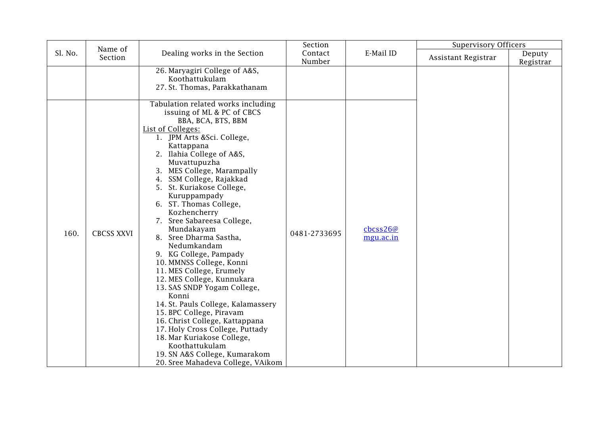|         | Name of           |                                                                                                                                                                                                                                                                                                                                                                                                                                                                                                                                                                                                                                                                                                                                                                                                                                                                 | Section           |                                 | <b>Supervisory Officers</b> |                     |
|---------|-------------------|-----------------------------------------------------------------------------------------------------------------------------------------------------------------------------------------------------------------------------------------------------------------------------------------------------------------------------------------------------------------------------------------------------------------------------------------------------------------------------------------------------------------------------------------------------------------------------------------------------------------------------------------------------------------------------------------------------------------------------------------------------------------------------------------------------------------------------------------------------------------|-------------------|---------------------------------|-----------------------------|---------------------|
| Sl. No. | Section           | Dealing works in the Section                                                                                                                                                                                                                                                                                                                                                                                                                                                                                                                                                                                                                                                                                                                                                                                                                                    | Contact<br>Number | E-Mail ID                       | Assistant Registrar         | Deputy<br>Registrar |
|         |                   | 26. Maryagiri College of A&S,<br>Koothattukulam<br>27. St. Thomas, Parakkathanam                                                                                                                                                                                                                                                                                                                                                                                                                                                                                                                                                                                                                                                                                                                                                                                |                   |                                 |                             |                     |
| 160.    | <b>CBCSS XXVI</b> | Tabulation related works including<br>issuing of ML & PC of CBCS<br>BBA, BCA, BTS, BBM<br>List of Colleges:<br>1. JPM Arts &Sci. College,<br>Kattappana<br>2. Ilahia College of A&S,<br>Muvattupuzha<br>3. MES College, Marampally<br>4. SSM College, Rajakkad<br>5. St. Kuriakose College,<br>Kuruppampady<br>6. ST. Thomas College,<br>Kozhencherry<br>7. Sree Sabareesa College,<br>Mundakayam<br>8. Sree Dharma Sastha,<br>Nedumkandam<br>9. KG College, Pampady<br>10. MMNSS College, Konni<br>11. MES College, Erumely<br>12. MES College, Kunnukara<br>13. SAS SNDP Yogam College,<br>Konni<br>14. St. Pauls College, Kalamassery<br>15. BPC College, Piravam<br>16. Christ College, Kattappana<br>17. Holy Cross College, Puttady<br>18. Mar Kuriakose College,<br>Koothattukulam<br>19. SN A&S College, Kumarakom<br>20. Sree Mahadeva College, VAikom | 0481-2733695      | $\text{c}$ bcss26@<br>mgu.ac.in |                             |                     |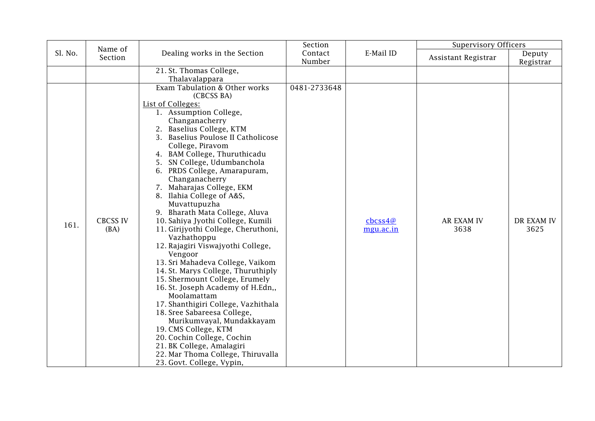|         | Name of                 |                                                                                                                                                                                                                                                                                                                                                                                                                                                                                                                                                                                                                                                                                                                                                                                                                                                                                                                                                                                                    | Section           |                                | <b>Supervisory Officers</b> |                     |
|---------|-------------------------|----------------------------------------------------------------------------------------------------------------------------------------------------------------------------------------------------------------------------------------------------------------------------------------------------------------------------------------------------------------------------------------------------------------------------------------------------------------------------------------------------------------------------------------------------------------------------------------------------------------------------------------------------------------------------------------------------------------------------------------------------------------------------------------------------------------------------------------------------------------------------------------------------------------------------------------------------------------------------------------------------|-------------------|--------------------------------|-----------------------------|---------------------|
| Sl. No. | Section                 | Dealing works in the Section                                                                                                                                                                                                                                                                                                                                                                                                                                                                                                                                                                                                                                                                                                                                                                                                                                                                                                                                                                       | Contact<br>Number | E-Mail ID                      | Assistant Registrar         | Deputy<br>Registrar |
|         |                         | 21. St. Thomas College,<br>Thalavalappara                                                                                                                                                                                                                                                                                                                                                                                                                                                                                                                                                                                                                                                                                                                                                                                                                                                                                                                                                          |                   |                                |                             |                     |
| 161.    | <b>CBCSS IV</b><br>(BA) | Exam Tabulation & Other works<br>(CBCSS BA)<br>List of Colleges:<br>1. Assumption College,<br>Changanacherry<br>2. Baselius College, KTM<br>3. Baselius Poulose II Catholicose<br>College, Piravom<br>4. BAM College, Thuruthicadu<br>5. SN College, Udumbanchola<br>6. PRDS College, Amarapuram,<br>Changanacherry<br>7. Maharajas College, EKM<br>8. Ilahia College of A&S,<br>Muvattupuzha<br>9. Bharath Mata College, Aluva<br>10. Sahiya Jyothi College, Kumili<br>11. Girijyothi College, Cheruthoni,<br>Vazhathoppu<br>12. Rajagiri Viswajyothi College,<br>Vengoor<br>13. Sri Mahadeva College, Vaikom<br>14. St. Marys College, Thuruthiply<br>15. Shermount College, Erumely<br>16. St. Joseph Academy of H.Edn,,<br>Moolamattam<br>17. Shanthigiri College, Vazhithala<br>18. Sree Sabareesa College,<br>Murikumvayal, Mundakkayam<br>19. CMS College, KTM<br>20. Cochin College, Cochin<br>21. BK College, Amalagiri<br>22. Mar Thoma College, Thiruvalla<br>23. Govt. College, Vypin, | 0481-2733648      | $\text{c}$ bcss4@<br>mgu.ac.in | <b>AR EXAM IV</b><br>3638   | DR EXAM IV<br>3625  |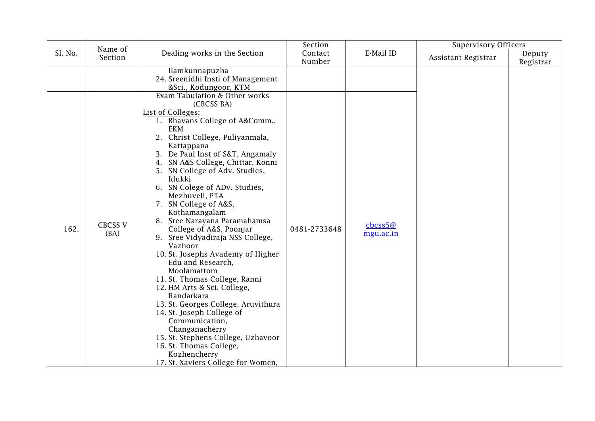|         |                                   |                                                                                                                                                                                                                                                                                                                                                                                                                                                                                                                                                                                                                                                                                                                                                                                                                                       | Section           |                                                                | <b>Supervisory Officers</b> |                     |
|---------|-----------------------------------|---------------------------------------------------------------------------------------------------------------------------------------------------------------------------------------------------------------------------------------------------------------------------------------------------------------------------------------------------------------------------------------------------------------------------------------------------------------------------------------------------------------------------------------------------------------------------------------------------------------------------------------------------------------------------------------------------------------------------------------------------------------------------------------------------------------------------------------|-------------------|----------------------------------------------------------------|-----------------------------|---------------------|
| Sl. No. | Section                           | Dealing works in the Section                                                                                                                                                                                                                                                                                                                                                                                                                                                                                                                                                                                                                                                                                                                                                                                                          | Contact<br>Number | E-Mail ID                                                      | Assistant Registrar         | Deputy<br>Registrar |
| 162.    | Name of<br><b>CBCSS V</b><br>(BA) | Ilamkunnapuzha<br>24. Sreenidhi Insti of Management<br>&Sci., Kodungoor, KTM<br>Exam Tabulation & Other works<br>(CBCSS BA)<br>List of Colleges:<br>1. Bhavans College of A&Comm.,<br>EKM<br>2. Christ College, Puliyanmala,<br>Kattappana<br>3. De Paul Inst of S&T, Angamaly<br>4. SN A&S College, Chittar, Konni<br>5. SN College of Adv. Studies,<br>Idukki<br>6. SN Colege of ADv. Studies,<br>Mezhuveli, PTA<br>7. SN College of A&S,<br>Kothamangalam<br>8. Sree Narayana Paramahamsa<br>College of A&S, Poonjar<br>9. Sree Vidyadiraja NSS College,<br>Vazhoor<br>10. St. Josephs Avademy of Higher<br>Edu and Research,<br>Moolamattom<br>11. St. Thomas College, Ranni<br>12. HM Arts & Sci. College,<br>Randarkara<br>13. St. Georges College, Aruvithura<br>14. St. Joseph College of<br>Communication,<br>Changanacherry | 0481-2733648      | $\frac{\text{c}b\text{c}ss5@}{\text{c}b\text{c}}$<br>mgu.ac.in |                             |                     |
|         |                                   | 15. St. Stephens College, Uzhavoor<br>16. St. Thomas College,<br>Kozhencherry<br>17. St. Xaviers College for Women,                                                                                                                                                                                                                                                                                                                                                                                                                                                                                                                                                                                                                                                                                                                   |                   |                                                                |                             |                     |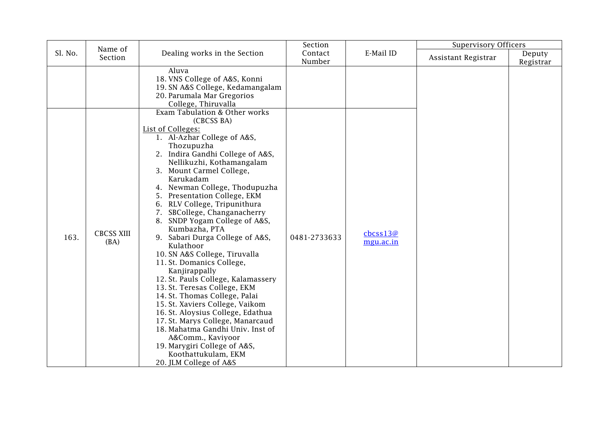|         | Name of                   |                                                                                                                                                                                                                                                                                                                                                                                                                                                                                                                                                                                                                                                                                                                                                                                                                                                                       | Section           |                                 | <b>Supervisory Officers</b> |                     |
|---------|---------------------------|-----------------------------------------------------------------------------------------------------------------------------------------------------------------------------------------------------------------------------------------------------------------------------------------------------------------------------------------------------------------------------------------------------------------------------------------------------------------------------------------------------------------------------------------------------------------------------------------------------------------------------------------------------------------------------------------------------------------------------------------------------------------------------------------------------------------------------------------------------------------------|-------------------|---------------------------------|-----------------------------|---------------------|
| Sl. No. | Section                   | Dealing works in the Section                                                                                                                                                                                                                                                                                                                                                                                                                                                                                                                                                                                                                                                                                                                                                                                                                                          | Contact<br>Number | E-Mail ID                       | Assistant Registrar         | Deputy<br>Registrar |
|         |                           | Aluva<br>18. VNS College of A&S, Konni<br>19. SN A&S College, Kedamangalam<br>20. Parumala Mar Gregorios<br>College, Thiruvalla<br>Exam Tabulation & Other works                                                                                                                                                                                                                                                                                                                                                                                                                                                                                                                                                                                                                                                                                                      |                   |                                 |                             |                     |
| 163.    | <b>CBCSS XIII</b><br>(BA) | (CBCSS BA)<br>List of Colleges:<br>1. Al-Azhar College of A&S,<br>Thozupuzha<br>2. Indira Gandhi College of A&S,<br>Nellikuzhi, Kothamangalam<br>3. Mount Carmel College,<br>Karukadam<br>4. Newman College, Thodupuzha<br>5. Presentation College, EKM<br>6. RLV College, Tripunithura<br>7. SBCollege, Changanacherry<br>8. SNDP Yogam College of A&S,<br>Kumbazha, PTA<br>9. Sabari Durga College of A&S,<br>Kulathoor<br>10. SN A&S College, Tiruvalla<br>11. St. Domanics College,<br>Kanjirappally<br>12. St. Pauls College, Kalamassery<br>13. St. Teresas College, EKM<br>14. St. Thomas College, Palai<br>15. St. Xaviers College, Vaikom<br>16. St. Aloysius College, Edathua<br>17. St. Marys College, Manarcaud<br>18. Mahatma Gandhi Univ. Inst of<br>A&Comm., Kaviyoor<br>19. Marygiri College of A&S,<br>Koothattukulam, EKM<br>20. JLM College of A&S | 0481-2733633      | $\text{c}$ bcss13@<br>mgu.ac.in |                             |                     |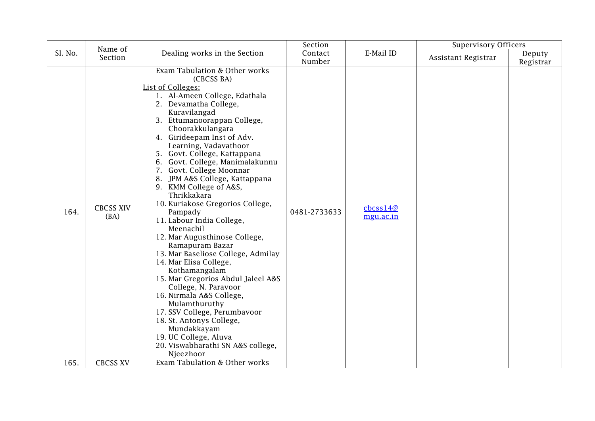|              | Name of                                     |                                                                                                                                                                                                                                                                                                                                                                                                                                                                                                                                                                                                                                                                                                                                                                                                                                                                                                                                                                | Section           |                                                                      | <b>Supervisory Officers</b> |                     |
|--------------|---------------------------------------------|----------------------------------------------------------------------------------------------------------------------------------------------------------------------------------------------------------------------------------------------------------------------------------------------------------------------------------------------------------------------------------------------------------------------------------------------------------------------------------------------------------------------------------------------------------------------------------------------------------------------------------------------------------------------------------------------------------------------------------------------------------------------------------------------------------------------------------------------------------------------------------------------------------------------------------------------------------------|-------------------|----------------------------------------------------------------------|-----------------------------|---------------------|
| Sl. No.      | Section                                     | Dealing works in the Section                                                                                                                                                                                                                                                                                                                                                                                                                                                                                                                                                                                                                                                                                                                                                                                                                                                                                                                                   | Contact<br>Number | E-Mail ID                                                            | Assistant Registrar         | Deputy<br>Registrar |
| 164.<br>165. | <b>CBCSS XIV</b><br>(BA)<br><b>CBCSS XV</b> | Exam Tabulation & Other works<br>(CBCSS BA)<br>List of Colleges:<br>1. Al-Ameen College, Edathala<br>2. Devamatha College,<br>Kuravilangad<br>3. Ettumanoorappan College,<br>Choorakkulangara<br>4. Girideepam Inst of Adv.<br>Learning, Vadavathoor<br>5. Govt. College, Kattappana<br>6. Govt. College, Manimalakunnu<br>7. Govt. College Moonnar<br>8. JPM A&S College, Kattappana<br>9. KMM College of A&S,<br>Thrikkakara<br>10. Kuriakose Gregorios College,<br>Pampady<br>11. Labour India College,<br>Meenachil<br>12. Mar Augusthinose College,<br>Ramapuram Bazar<br>13. Mar Baseliose College, Admilay<br>14. Mar Elisa College,<br>Kothamangalam<br>15. Mar Gregorios Abdul Jaleel A&S<br>College, N. Paravoor<br>16. Nirmala A&S College,<br>Mulamthuruthy<br>17. SSV College, Perumbavoor<br>18. St. Antonys College,<br>Mundakkayam<br>19. UC College, Aluva<br>20. Viswabharathi SN A&S college,<br>Njeezhoor<br>Exam Tabulation & Other works | 0481-2733633      | $\frac{\text{c}b\text{c}ss14@}{\text{c}b\text{c}ss14@}$<br>mgu.ac.in |                             |                     |
|              |                                             |                                                                                                                                                                                                                                                                                                                                                                                                                                                                                                                                                                                                                                                                                                                                                                                                                                                                                                                                                                |                   |                                                                      |                             |                     |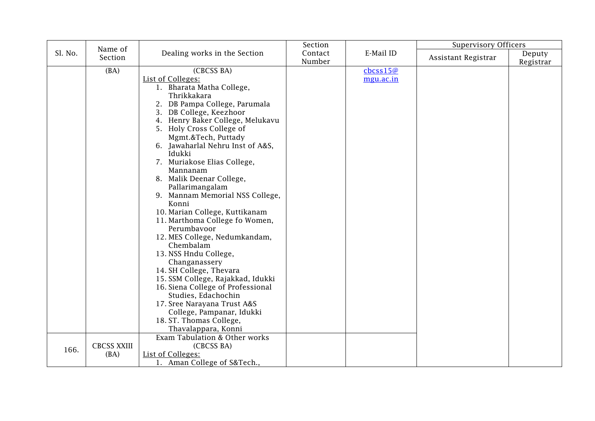|         |                    |                                   | Section |                    | <b>Supervisory Officers</b> |           |
|---------|--------------------|-----------------------------------|---------|--------------------|-----------------------------|-----------|
| Sl. No. | Name of<br>Section | Dealing works in the Section      | Contact | E-Mail ID          |                             | Deputy    |
|         |                    |                                   | Number  |                    | Assistant Registrar         | Registrar |
|         | (BA)               | (CBCSS BA)                        |         | $\text{c}$ bcss15@ |                             |           |
|         |                    | <b>List of Colleges:</b>          |         | mgu.ac.in          |                             |           |
|         |                    | 1. Bharata Matha College,         |         |                    |                             |           |
|         |                    | Thrikkakara                       |         |                    |                             |           |
|         |                    | 2. DB Pampa College, Parumala     |         |                    |                             |           |
|         |                    | 3. DB College, Keezhoor           |         |                    |                             |           |
|         |                    | 4. Henry Baker College, Melukavu  |         |                    |                             |           |
|         |                    | 5. Holy Cross College of          |         |                    |                             |           |
|         |                    | Mgmt.&Tech, Puttady               |         |                    |                             |           |
|         |                    | 6. Jawaharlal Nehru Inst of A&S,  |         |                    |                             |           |
|         |                    | Idukki                            |         |                    |                             |           |
|         |                    | 7. Muriakose Elias College,       |         |                    |                             |           |
|         |                    | Mannanam                          |         |                    |                             |           |
|         |                    | 8. Malik Deenar College,          |         |                    |                             |           |
|         |                    | Pallarimangalam                   |         |                    |                             |           |
|         |                    | 9. Mannam Memorial NSS College,   |         |                    |                             |           |
|         |                    | Konni                             |         |                    |                             |           |
|         |                    | 10. Marian College, Kuttikanam    |         |                    |                             |           |
|         |                    | 11. Marthoma College fo Women,    |         |                    |                             |           |
|         |                    | Perumbavoor                       |         |                    |                             |           |
|         |                    | 12. MES College, Nedumkandam,     |         |                    |                             |           |
|         |                    | Chembalam                         |         |                    |                             |           |
|         |                    | 13. NSS Hndu College,             |         |                    |                             |           |
|         |                    | Changanassery                     |         |                    |                             |           |
|         |                    | 14. SH College, Thevara           |         |                    |                             |           |
|         |                    | 15. SSM College, Rajakkad, Idukki |         |                    |                             |           |
|         |                    | 16. Siena College of Professional |         |                    |                             |           |
|         |                    | Studies, Edachochin               |         |                    |                             |           |
|         |                    | 17. Sree Narayana Trust A&S       |         |                    |                             |           |
|         |                    | College, Pampanar, Idukki         |         |                    |                             |           |
|         |                    | 18. ST. Thomas College,           |         |                    |                             |           |
|         |                    | Thavalappara, Konni               |         |                    |                             |           |
|         |                    | Exam Tabulation & Other works     |         |                    |                             |           |
| 166.    | <b>CBCSS XXIII</b> | (CBCSS BA)                        |         |                    |                             |           |
|         | (BA)               | List of Colleges:                 |         |                    |                             |           |
|         |                    | 1. Aman College of S&Tech.,       |         |                    |                             |           |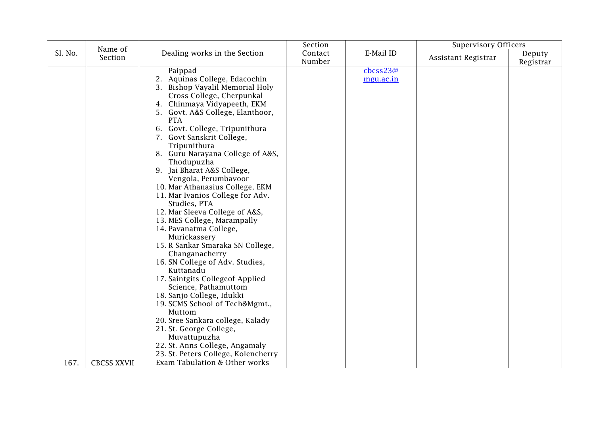|         |                    |                                                                                                                                                                                                                                                                                                                                                                                                                                                                                                                                                                                                                                                                                                                                                                                                                                                                                                                                                                                      | Section           |                                         | <b>Supervisory Officers</b> |                     |
|---------|--------------------|--------------------------------------------------------------------------------------------------------------------------------------------------------------------------------------------------------------------------------------------------------------------------------------------------------------------------------------------------------------------------------------------------------------------------------------------------------------------------------------------------------------------------------------------------------------------------------------------------------------------------------------------------------------------------------------------------------------------------------------------------------------------------------------------------------------------------------------------------------------------------------------------------------------------------------------------------------------------------------------|-------------------|-----------------------------------------|-----------------------------|---------------------|
| Sl. No. | Name of<br>Section | Dealing works in the Section                                                                                                                                                                                                                                                                                                                                                                                                                                                                                                                                                                                                                                                                                                                                                                                                                                                                                                                                                         | Contact<br>Number | E-Mail ID                               | Assistant Registrar         | Deputy<br>Registrar |
|         |                    | Paippad<br>2. Aquinas College, Edacochin<br>3. Bishop Vayalil Memorial Holy<br>Cross College, Cherpunkal<br>4. Chinmaya Vidyapeeth, EKM<br>5. Govt. A&S College, Elanthoor,<br><b>PTA</b><br>6. Govt. College, Tripunithura<br>7. Govt Sanskrit College,<br>Tripunithura<br>8. Guru Narayana College of A&S,<br>Thodupuzha<br>9. Jai Bharat A&S College,<br>Vengola, Perumbavoor<br>10. Mar Athanasius College, EKM<br>11. Mar Ivanios College for Adv.<br>Studies, PTA<br>12. Mar Sleeva College of A&S,<br>13. MES College, Marampally<br>14. Pavanatma College,<br>Murickassery<br>15. R Sankar Smaraka SN College,<br>Changanacherry<br>16. SN College of Adv. Studies,<br>Kuttanadu<br>17. Saintgits Collegeof Applied<br>Science, Pathamuttom<br>18. Sanjo College, Idukki<br>19. SCMS School of Tech&Mgmt.,<br>Muttom<br>20. Sree Sankara college, Kalady<br>21. St. George College,<br>Muvattupuzha<br>22. St. Anns College, Angamaly<br>23. St. Peters College, Kolencherry |                   | $\frac{\text{cbcss23@}}{}$<br>mgu.ac.in |                             |                     |
| 167.    | <b>CBCSS XXVII</b> | Exam Tabulation & Other works                                                                                                                                                                                                                                                                                                                                                                                                                                                                                                                                                                                                                                                                                                                                                                                                                                                                                                                                                        |                   |                                         |                             |                     |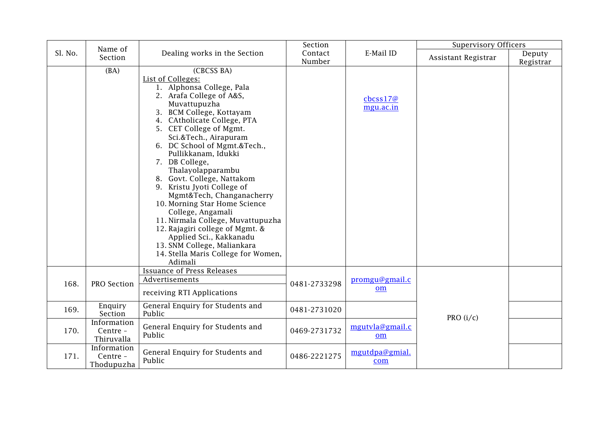|         | Name of                               |                                                                                                                                                                                                                                                                                                                                                                                                                                                                                                                                                                                                                                                          | Section           |                                 | <b>Supervisory Officers</b> |                     |
|---------|---------------------------------------|----------------------------------------------------------------------------------------------------------------------------------------------------------------------------------------------------------------------------------------------------------------------------------------------------------------------------------------------------------------------------------------------------------------------------------------------------------------------------------------------------------------------------------------------------------------------------------------------------------------------------------------------------------|-------------------|---------------------------------|-----------------------------|---------------------|
| Sl. No. | Section                               | Dealing works in the Section                                                                                                                                                                                                                                                                                                                                                                                                                                                                                                                                                                                                                             | Contact<br>Number | E-Mail ID                       | Assistant Registrar         | Deputy<br>Registrar |
|         | (BA)                                  | (CBCSS BA)<br>List of Colleges:<br>1. Alphonsa College, Pala<br>2. Arafa College of A&S,<br>Muvattupuzha<br>3. BCM College, Kottayam<br>4. CAtholicate College, PTA<br>5. CET College of Mgmt.<br>Sci.&Tech., Airapuram<br>6. DC School of Mgmt.&Tech.,<br>Pullikkanam, Idukki<br>7. DB College,<br>Thalayolapparambu<br>8. Govt. College, Nattakom<br>9. Kristu Jyoti College of<br>Mgmt&Tech, Changanacherry<br>10. Morning Star Home Science<br>College, Angamali<br>11. Nirmala College, Muvattupuzha<br>12. Rajagiri college of Mgmt. &<br>Applied Sci., Kakkanadu<br>13. SNM College, Maliankara<br>14. Stella Maris College for Women,<br>Adimali |                   | $\text{c}$ bcss17@<br>mgu.ac.in |                             |                     |
| 168.    | PRO Section                           | <b>Issuance of Press Releases</b><br>Advertisements<br>receiving RTI Applications                                                                                                                                                                                                                                                                                                                                                                                                                                                                                                                                                                        | 0481-2733298      | promgu@gmail.c<br>om            |                             |                     |
| 169.    | Enquiry<br>Section                    | General Enquiry for Students and<br>Public                                                                                                                                                                                                                                                                                                                                                                                                                                                                                                                                                                                                               | 0481-2731020      |                                 | PRO $(i/c)$                 |                     |
| 170.    | Information<br>Centre -<br>Thiruvalla | General Enquiry for Students and<br>Public                                                                                                                                                                                                                                                                                                                                                                                                                                                                                                                                                                                                               | 0469-2731732      | mgutvla@gmail.c<br>om           |                             |                     |
| 171.    | Information<br>Centre -<br>Thodupuzha | General Enquiry for Students and<br>Public                                                                                                                                                                                                                                                                                                                                                                                                                                                                                                                                                                                                               | 0486-2221275      | mgutdpa@gmial.<br>com           |                             |                     |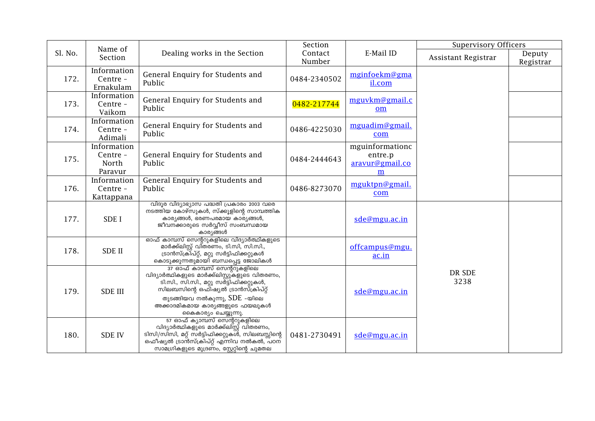|         | Name of                                     |                                                                                                                                                                                                                                                                   | Section           |                                                    | <b>Supervisory Officers</b> |                     |
|---------|---------------------------------------------|-------------------------------------------------------------------------------------------------------------------------------------------------------------------------------------------------------------------------------------------------------------------|-------------------|----------------------------------------------------|-----------------------------|---------------------|
| Sl. No. | Section                                     | Dealing works in the Section                                                                                                                                                                                                                                      | Contact<br>Number | E-Mail ID                                          | Assistant Registrar         | Deputy<br>Registrar |
| 172.    | Information<br>Centre -<br>Ernakulam        | General Enquiry for Students and<br>Public                                                                                                                                                                                                                        | 0484-2340502      | mginfoekm@gma<br>il.com                            |                             |                     |
| 173.    | Information<br>Centre -<br>Vaikom           | General Enquiry for Students and<br>Public                                                                                                                                                                                                                        | 0482-217744       | mguvkm@gmail.c<br>om                               |                             |                     |
| 174.    | Information<br>Centre -<br>Adimali          | General Enquiry for Students and<br>Public                                                                                                                                                                                                                        | 0486-4225030      | mguadim@gmail.<br>com                              |                             |                     |
| 175.    | Information<br>Centre -<br>North<br>Paravur | General Enquiry for Students and<br>Public                                                                                                                                                                                                                        | 0484-2444643      | mguinformationc<br>entre.p<br>aravur@gmail.co<br>m |                             |                     |
| 176.    | Information<br>Centre -<br>Kattappana       | General Enquiry for Students and<br>Public                                                                                                                                                                                                                        | 0486-8273070      | mguktpn@gmail.<br>com                              |                             |                     |
| 177.    | <b>SDEI</b>                                 | വിദൂര വിദ്യാഭ്യാസ പദ്ധതി പ്രകാരം 2003 വരെ<br>നടത്തിയ കോഴ്സുകൾ, സ്ക്കൂളിന്റെ സാമ്പത്തിക<br>കാര്യങ്ങൾ, ഭരണപരമായ കാര്യങ്ങൾ,<br>ജീവനക്കാരുടെ സർവ്വീസ് സംബന്ധമായ<br>കാര്യങ്ങൾ                                                                                          |                   | sde@mgu.ac.in                                      |                             |                     |
| 178.    | <b>SDE II</b>                               | ഓഫ് കാമ്പസ് സെന്ററുകളിലെ വിദ്യാർത്ഥികളുടെ<br>മാർക്ക്ലിസ്റ്റ് വി്തരണം, ടി.സി, സി.സി.,<br>ട്രാൻസ്ക്രി്പ്റ്റ്, മറ്റു സർട്ടിഫിക്കറ്റുകൾ<br>കൊടുക്കുന്നതുമായി ബന്ധപ്പെട്ട ജോലികൾ                                                                                       |                   | offcampus@mgu.<br>ac.in                            |                             |                     |
| 179.    | <b>SDE III</b>                              | <u>ാം ക്ലെസ് സെന്ററുകളിലെ</u><br>വിദ്യാർത്ഥികളുടെ മാർക്ക്ലിസ്റ്റുകളുടെ വിതരണം,<br>ടി.സി., സി.സി., മറ്റു സർട്ടിഫിക്കറ്റുകൾ,<br>സിലബസിന്റെ ഒഫിഷ്യൽ ട്രാൻസ്ക്രിപ്റ്റ്<br>തുടങ്ങിയവ നൽകുന്നു, $SDE$ -യിലെ<br>അക്കാദമികമായ കാര്യങ്ങളുടെ ഫയലുകൾ<br>കൈകാര്യം ചെയ്യുന്നു. |                   | sde@mgu.ac.in                                      | DR SDE<br>3238              |                     |
| 180.    | <b>SDE IV</b>                               | 57 ഓഫ് ക്യാമ്പസ് സെന്ററുകളിലെ<br>വിദ്യാർത്ഥികളുടെ മാർക്ക്ലിസ്റ്റ് വിതരണം,<br>ടിസി/സിസി, മറ്റ് സർട്ടിഫിക്കറ്റുകശ്, സിലബസ്സിന്റെ<br>ഒഫീഷ്യൽ ട്രാൻസ്ക്രിപ്റ്റ് എന്നിവ നൽകൽ, പഠന്<br>സാമഗ്രികളുടെ മുദ്രണം, സ്റ്റേറ്റിന്റെ ചുമതല                                       | 0481-2730491      | sde@mgu.ac.in                                      |                             |                     |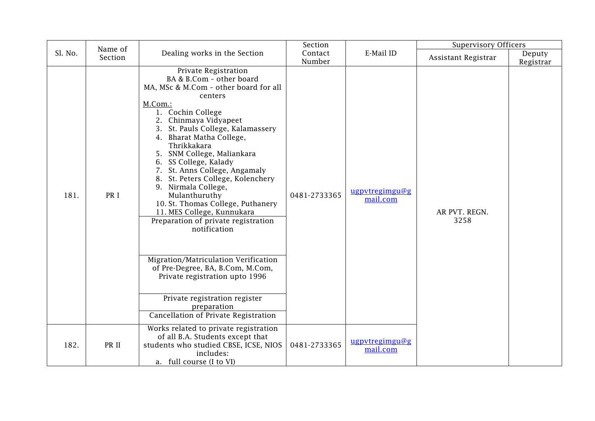|         | Name of |                                                                                                                                                                                                                                                                                                                                                                                                                                                                                                                                                                                                                                                                                                                                                    | Section           |                            | <b>Supervisory Officers</b> |                     |
|---------|---------|----------------------------------------------------------------------------------------------------------------------------------------------------------------------------------------------------------------------------------------------------------------------------------------------------------------------------------------------------------------------------------------------------------------------------------------------------------------------------------------------------------------------------------------------------------------------------------------------------------------------------------------------------------------------------------------------------------------------------------------------------|-------------------|----------------------------|-----------------------------|---------------------|
| Sl. No. | Section | Dealing works in the Section                                                                                                                                                                                                                                                                                                                                                                                                                                                                                                                                                                                                                                                                                                                       | Contact<br>Number | E-Mail ID                  | Assistant Registrar         | Deputy<br>Registrar |
| 181.    | PR I    | Private Registration<br>BA & B.Com - other board<br>MA, MSc & M.Com - other board for all<br>centers<br>M.Com.:<br>1. Cochin College<br>2. Chinmaya Vidyapeet<br>3. St. Pauls College, Kalamassery<br>4. Bharat Matha College,<br>Thrikkakara<br>5. SNM College, Maliankara<br>6. SS College, Kalady<br>7. St. Anns College, Angamaly<br>8. St. Peters College, Kolenchery<br>9. Nirmala College,<br>Mulanthuruthy<br>10. St. Thomas College, Puthanery<br>11. MES College, Kunnukara<br>Preparation of private registration<br>notification<br>Migration/Matriculation Verification<br>of Pre-Degree, BA, B.Com, M.Com,<br>Private registration upto 1996<br>Private registration register<br>preparation<br>Cancellation of Private Registration | 0481-2733365      | ugpvtregimgu@g<br>mail.com | AR PVT. REGN.<br>3258       |                     |
| 182.    | PR II   | Works related to private registration<br>of all B.A. Students except that<br>students who studied CBSE, ICSE, NIOS<br>includes:<br>a. full course (I to VI)                                                                                                                                                                                                                                                                                                                                                                                                                                                                                                                                                                                        | 0481-2733365      | ugpvtregimgu@g<br>mail.com |                             |                     |